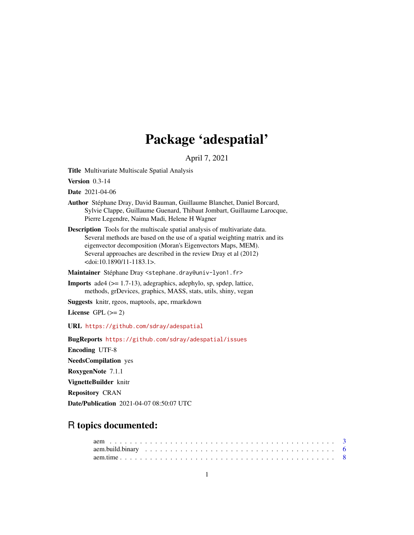# Package 'adespatial'

April 7, 2021

<span id="page-0-0"></span>Title Multivariate Multiscale Spatial Analysis

Version 0.3-14

Date 2021-04-06

- Author Stéphane Dray, David Bauman, Guillaume Blanchet, Daniel Borcard, Sylvie Clappe, Guillaume Guenard, Thibaut Jombart, Guillaume Larocque, Pierre Legendre, Naima Madi, Helene H Wagner
- Description Tools for the multiscale spatial analysis of multivariate data. Several methods are based on the use of a spatial weighting matrix and its eigenvector decomposition (Moran's Eigenvectors Maps, MEM). Several approaches are described in the review Dray et al (2012) <doi:10.1890/11-1183.1>.

Maintainer Stéphane Dray <stephane.dray@univ-lyon1.fr>

**Imports** ade4  $(>= 1.7-13)$ , adegraphics, adephylo, sp, spdep, lattice, methods, grDevices, graphics, MASS, stats, utils, shiny, vegan

Suggests knitr, rgeos, maptools, ape, rmarkdown

License GPL  $(>= 2)$ 

URL <https://github.com/sdray/adespatial>

BugReports <https://github.com/sdray/adespatial/issues> Encoding UTF-8 NeedsCompilation yes RoxygenNote 7.1.1 VignetteBuilder knitr Repository CRAN Date/Publication 2021-04-07 08:50:07 UTC

# R topics documented: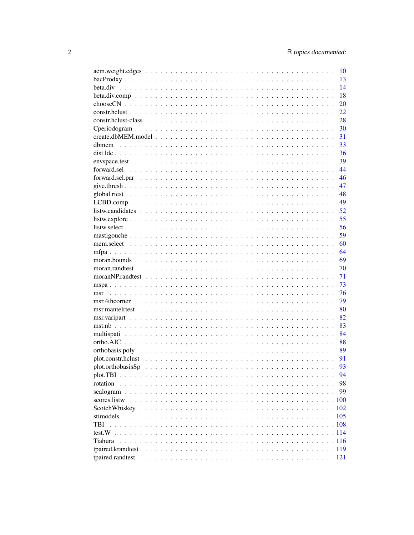|           | <b>10</b> |
|-----------|-----------|
|           | 13        |
|           | 14        |
|           | 18        |
|           | 20        |
|           | 22        |
|           |           |
|           |           |
|           |           |
|           |           |
|           |           |
|           |           |
|           |           |
|           |           |
|           | 47        |
|           | 48        |
|           |           |
|           |           |
|           |           |
|           |           |
|           |           |
|           |           |
|           |           |
|           |           |
|           | 70        |
|           | 71        |
|           | 73        |
| msr       | 76        |
|           | 79        |
|           |           |
|           |           |
|           |           |
|           |           |
|           |           |
|           |           |
|           |           |
|           | 93        |
|           | 94        |
| rotation  | 98        |
|           | 99        |
|           |           |
|           |           |
| stimodels |           |
| TBI       |           |
|           |           |
| Tiahura   |           |
|           |           |
|           |           |
|           |           |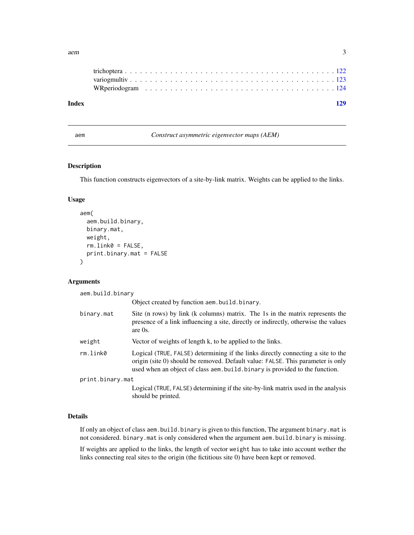<span id="page-2-0"></span>

| Index |  |  |
|-------|--|--|
|       |  |  |
|       |  |  |
|       |  |  |
|       |  |  |

<span id="page-2-1"></span>

aem *Construct asymmetric eigenvector maps (AEM)*

### Description

This function constructs eigenvectors of a site-by-link matrix. Weights can be applied to the links.

### Usage

```
aem(
  aem.build.binary,
 binary.mat,
 weight,
  rm.link0 = FALSE,
 print.binary.mat = FALSE
)
```
#### Arguments

aem.build.binary

|                  | Object created by function aem.build.binary.                                                                                                                                                                                                      |
|------------------|---------------------------------------------------------------------------------------------------------------------------------------------------------------------------------------------------------------------------------------------------|
| binary.mat       | Site (n rows) by link (k columns) matrix. The 1s in the matrix represents the<br>presence of a link influencing a site, directly or indirectly, otherwise the values<br>are $0s$ .                                                                |
| weight           | Vector of weights of length k, to be applied to the links.                                                                                                                                                                                        |
| rm.link0         | Logical (TRUE, FALSE) determining if the links directly connecting a site to the<br>origin (site 0) should be removed. Default value: FALSE. This parameter is only<br>used when an object of class aem.build.binary is provided to the function. |
| print.binary.mat |                                                                                                                                                                                                                                                   |
|                  | Logical (TRUE, FALSE) determining if the site-by-link matrix used in the analysis<br>should be printed.                                                                                                                                           |
|                  |                                                                                                                                                                                                                                                   |

# Details

If only an object of class aem.build.binary is given to this function, The argument binary.mat is not considered. binary.mat is only considered when the argument aem.build.binary is missing.

If weights are applied to the links, the length of vector weight has to take into account wether the links connecting real sites to the origin (the fictitious site 0) have been kept or removed.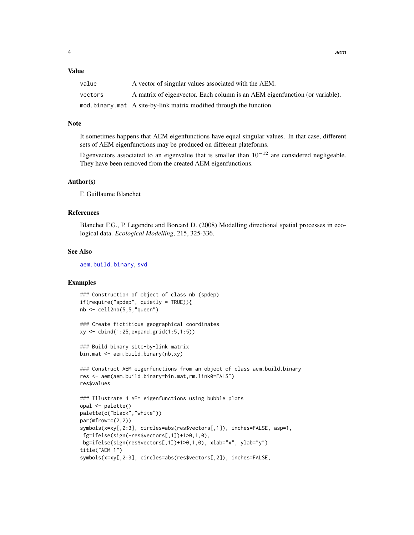#### Value

| value   | A vector of singular values associated with the AEM.                        |
|---------|-----------------------------------------------------------------------------|
| vectors | A matrix of eigenvector. Each column is an AEM eigenfunction (or variable). |
|         | mod.binary.mat A site-by-link matrix modified through the function.         |

# Note

It sometimes happens that AEM eigenfunctions have equal singular values. In that case, different sets of AEM eigenfunctions may be produced on different plateforms.

Eigenvectors associated to an eigenvalue that is smaller than  $10^{-12}$  are considered negligeable. They have been removed from the created AEM eigenfunctions.

#### Author(s)

F. Guillaume Blanchet

# References

Blanchet F.G., P. Legendre and Borcard D. (2008) Modelling directional spatial processes in ecological data. *Ecological Modelling*, 215, 325-336.

#### See Also

[aem.build.binary](#page-5-1), [svd](#page-0-0)

#### Examples

```
### Construction of object of class nb (spdep)
if(require("spdep", quietly = TRUE)){
nb <- cell2nb(5,5,"queen")
### Create fictitious geographical coordinates
xy <- cbind(1:25,expand.grid(1:5,1:5))
### Build binary site-by-link matrix
bin.mat <- aem.build.binary(nb,xy)
### Construct AEM eigenfunctions from an object of class aem.build.binary
res <- aem(aem.build.binary=bin.mat,rm.link0=FALSE)
res$values
### Illustrate 4 AEM eigenfunctions using bubble plots
opal <- palette()
palette(c("black","white"))
par(mfrow=c(2,2))
```

```
symbols(x=xy[,2:3], circles=abs(res$vectors[,1]), inches=FALSE, asp=1,
fg=ifelse(sign(-res$vectors[,1])+1>0,1,0),
bg=ifelse(sign(res$vectors[,1])+1>0,1,0), xlab="x", ylab="y")
title("AEM 1")
```

```
symbols(x=xy[,2:3], circles=abs(res$vectors[,2]), inches=FALSE,
```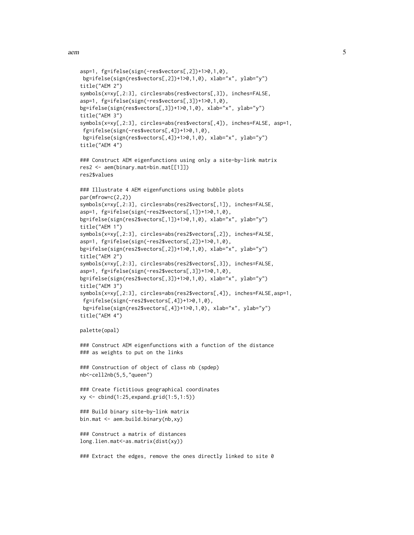```
asp=1, fg=ifelse(sign(-res$vectors[,2])+1>0,1,0),
bg=ifelse(sign(res$vectors[,2])+1>0,1,0), xlab="x", ylab="y")
title("AEM 2")
symbols(x=xy[,2:3], circles=abs(res$vectors[,3]), inches=FALSE,
asp=1, fg=ifelse(sign(-res$vectors[,3])+1>0,1,0),
bg=ifelse(sign(res$vectors[,3])+1>0,1,0), xlab="x", ylab="y")
title("AEM 3")
symbols(x=xy[,2:3], circles=abs(res$vectors[,4]), inches=FALSE, asp=1,
fg=ifelse(sign(-res$vectors[,4])+1>0,1,0),
bg=ifelse(sign(res$vectors[,4])+1>0,1,0), xlab="x", ylab="y")
title("AEM 4")
### Construct AEM eigenfunctions using only a site-by-link matrix
res2 <- aem(binary.mat=bin.mat[[1]])
res2$values
### Illustrate 4 AEM eigenfunctions using bubble plots
par(mfrow=c(2,2))
symbols(x=xy[,2:3], circles=abs(res2$vectors[,1]), inches=FALSE,
asp=1, fg=ifelse(sign(-res2$vectors[,1])+1>0,1,0),
bg=ifelse(sign(res2$vectors[,1])+1>0,1,0), xlab="x", ylab="y")
title("AEM 1")
symbols(x=xy[,2:3], circles=abs(res2$vectors[,2]), inches=FALSE,
asp=1, fg=ifelse(sign(-res2$vectors[,2])+1>0,1,0),
bg=ifelse(sign(res2$vectors[,2])+1>0,1,0), xlab="x", ylab="y")
title("AEM 2")
symbols(x=xy[,2:3], circles=abs(res2$vectors[,3]), inches=FALSE,
asp=1, fg=ifelse(sign(-res2$vectors[,3])+1>0,1,0),
bg=ifelse(sign(res2$vectors[,3])+1>0,1,0), xlab="x", ylab="y")
title("AEM 3")
symbols(x=xy[,2:3], circles=abs(res2$vectors[,4]), inches=FALSE,asp=1,
fg=ifelse(sign(-res2$vectors[,4])+1>0,1,0),
bg=ifelse(sign(res2$vectors[,4])+1>0,1,0), xlab="x", ylab="y")
title("AEM 4")
palette(opal)
### Construct AEM eigenfunctions with a function of the distance
### as weights to put on the links
### Construction of object of class nb (spdep)
nb<-cell2nb(5,5,"queen")
### Create fictitious geographical coordinates
xy <- cbind(1:25,expand.grid(1:5,1:5))
### Build binary site-by-link matrix
bin.mat <- aem.build.binary(nb,xy)
### Construct a matrix of distances
long.lien.mat<-as.matrix(dist(xy))
### Extract the edges, remove the ones directly linked to site 0
```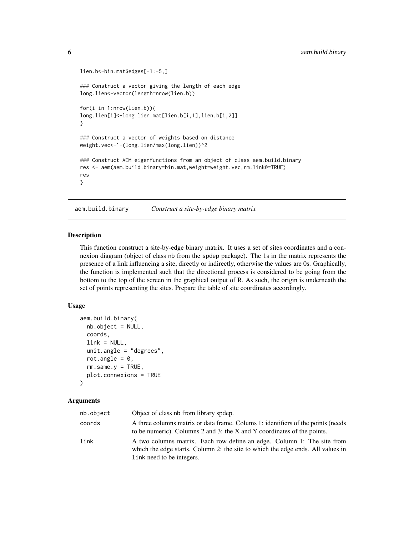```
lien.b<-bin.mat$edges[-1:-5,]
### Construct a vector giving the length of each edge
long.lien<-vector(length=nrow(lien.b))
for(i in 1:nrow(lien.b)){
long.lien[i]<-long.lien.mat[lien.b[i,1],lien.b[i,2]]
}
### Construct a vector of weights based on distance
weight.vec<-1-(long.lien/max(long.lien))^2
### Construct AEM eigenfunctions from an object of class aem.build.binary
res <- aem(aem.build.binary=bin.mat,weight=weight.vec,rm.link0=TRUE)
res
}
```
<span id="page-5-1"></span>aem.build.binary *Construct a site-by-edge binary matrix*

#### **Description**

This function construct a site-by-edge binary matrix. It uses a set of sites coordinates and a connexion diagram (object of class nb from the spdep package). The 1s in the matrix represents the presence of a link influencing a site, directly or indirectly, otherwise the values are 0s. Graphically, the function is implemented such that the directional process is considered to be going from the bottom to the top of the screen in the graphical output of R. As such, the origin is underneath the set of points representing the sites. Prepare the table of site coordinates accordingly.

# Usage

```
aem.build.binary(
 nb.object = NULL,
  coords,
  link = NULL,unit.angle = "degrees",
  rot.angle = 0,
  rm.same.y = TRUE,plot.connexions = TRUE
```
# )

# Arguments

| nb.object | Object of class nb from library spdep.                                                                                                                                                 |
|-----------|----------------------------------------------------------------------------------------------------------------------------------------------------------------------------------------|
| coords    | A three columns matrix or data frame. Column 1: identifiers of the points (needs<br>to be numeric). Columns 2 and 3: the X and Y coordinates of the points.                            |
| link      | A two columns matrix. Each row define an edge. Column 1: The site from<br>which the edge starts. Column 2: the site to which the edge ends. All values in<br>link need to be integers. |

<span id="page-5-0"></span>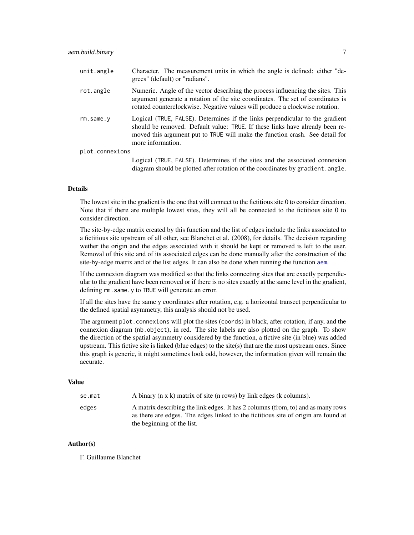| unit.angle      | Character. The measurement units in which the angle is defined: either "de-<br>grees" (default) or "radians".                                                                                                                                                     |
|-----------------|-------------------------------------------------------------------------------------------------------------------------------------------------------------------------------------------------------------------------------------------------------------------|
| rot.angle       | Numeric. Angle of the vector describing the process influencing the sites. This<br>argument generate a rotation of the site coordinates. The set of coordinates is<br>rotated counterclockwise. Negative values will produce a clockwise rotation.                |
| rm.same.v       | Logical (TRUE, FALSE). Determines if the links perpendicular to the gradient<br>should be removed. Default value: TRUE. If these links have already been re-<br>moved this argument put to TRUE will make the function crash. See detail for<br>more information. |
| plot.connexions |                                                                                                                                                                                                                                                                   |

Logical (TRUE, FALSE). Determines if the sites and the associated connexion diagram should be plotted after rotation of the coordinates by gradient.angle.

#### Details

The lowest site in the gradient is the one that will connect to the fictitious site 0 to consider direction. Note that if there are multiple lowest sites, they will all be connected to the fictitious site 0 to consider direction.

The site-by-edge matrix created by this function and the list of edges include the links associated to a fictitious site upstream of all other, see Blanchet et al. (2008), for details. The decision regarding wether the origin and the edges associated with it should be kept or removed is left to the user. Removal of this site and of its associated edges can be done manually after the construction of the site-by-edge matrix and of the list edges. It can also be done when running the function [aem](#page-2-1).

If the connexion diagram was modified so that the links connecting sites that are exactly perpendicular to the gradient have been removed or if there is no sites exactly at the same level in the gradient, defining rm.same.y to TRUE will generate an error.

If all the sites have the same y coordinates after rotation, e.g. a horizontal transect perpendicular to the defined spatial asymmetry, this analysis should not be used.

The argument plot.connexions will plot the sites (coords) in black, after rotation, if any, and the connexion diagram (nb.object), in red. The site labels are also plotted on the graph. To show the direction of the spatial asymmetry considered by the function, a fictive site (in blue) was added upstream. This fictive site is linked (blue edges) to the site(s) that are the most upstream ones. Since this graph is generic, it might sometimes look odd, however, the information given will remain the accurate.

# Value

| se.mat | A binary (n x k) matrix of site (n rows) by link edges (k columns).                                                                                                                                  |
|--------|------------------------------------------------------------------------------------------------------------------------------------------------------------------------------------------------------|
| edges  | A matrix describing the link edges. It has 2 columns (from, to) and as many rows<br>as there are edges. The edges linked to the fictitious site of origin are found at<br>the beginning of the list. |

# Author(s)

F. Guillaume Blanchet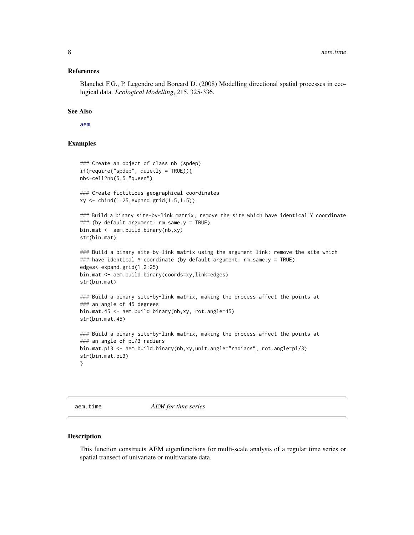#### <span id="page-7-0"></span>References

Blanchet F.G., P. Legendre and Borcard D. (2008) Modelling directional spatial processes in ecological data. *Ecological Modelling*, 215, 325-336.

# See Also

[aem](#page-2-1)

# Examples

```
### Create an object of class nb (spdep)
if(require("spdep", quietly = TRUE)){
nb<-cell2nb(5,5,"queen")
### Create fictitious geographical coordinates
xy <- cbind(1:25,expand.grid(1:5,1:5))
### Build a binary site-by-link matrix; remove the site which have identical Y coordinate
### (by default argument: rm.same.y = TRUE)
bin.mat <- aem.build.binary(nb,xy)
str(bin.mat)
### Build a binary site-by-link matrix using the argument link: remove the site which
### have identical Y coordinate (by default argument: rm.same.y = TRUE)
edges<-expand.grid(1,2:25)
bin.mat <- aem.build.binary(coords=xy,link=edges)
str(bin.mat)
### Build a binary site-by-link matrix, making the process affect the points at
### an angle of 45 degrees
bin.mat.45 <- aem.build.binary(nb,xy, rot.angle=45)
str(bin.mat.45)
### Build a binary site-by-link matrix, making the process affect the points at
### an angle of pi/3 radians
bin.mat.pi3 <- aem.build.binary(nb,xy,unit.angle="radians", rot.angle=pi/3)
str(bin.mat.pi3)
}
```
aem.time *AEM for time series*

#### Description

This function constructs AEM eigenfunctions for multi-scale analysis of a regular time series or spatial transect of univariate or multivariate data.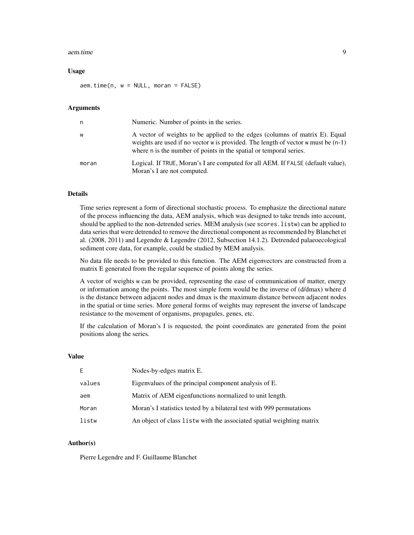#### aem.time 9

#### Usage

 $aem.time(n, w = NULL, moran = FALSE)$ 

#### Arguments

| n     | Numeric. Number of points in the series.                                                                                                                                                                                                 |
|-------|------------------------------------------------------------------------------------------------------------------------------------------------------------------------------------------------------------------------------------------|
| W     | A vector of weights to be applied to the edges (columns of matrix E). Equal<br>weights are used if no vector w is provided. The length of vector w must be $(n-1)$<br>where n is the number of points in the spatial or temporal series. |
| moran | Logical. If TRUE, Moran's I are computed for all AEM. If FALSE (default value),<br>Moran's I are not computed.                                                                                                                           |

# Details

Time series represent a form of directional stochastic process. To emphasize the directional nature of the process influencing the data, AEM analysis, which was designed to take trends into account, should be applied to the non-detrended series. MEM analysis (see scores.listw) can be applied to data series that were detrended to remove the directional component as recommended by Blanchet et al. (2008, 2011) and Legendre & Legendre (2012, Subsection 14.1.2). Detrended palaeoecological sediment core data, for example, could be studied by MEM analysis.

No data file needs to be provided to this function. The AEM eigenvectors are constructed from a matrix E generated from the regular sequence of points along the series.

A vector of weights w can be provided, representing the ease of communication of matter, energy or information among the points. The most simple form would be the inverse of (d/dmax) where d is the distance between adjacent nodes and dmax is the maximum distance between adjacent nodes in the spatial or time series. More general forms of weights may represent the inverse of landscape resistance to the movement of organisms, propagules, genes, etc.

If the calculation of Moran's I is requested, the point coordinates are generated from the point positions along the series.

#### Value

| Nodes-by-edges matrix E.                                              |
|-----------------------------------------------------------------------|
| Eigenvalues of the principal component analysis of E.                 |
| Matrix of AEM eigenfunctions normalized to unit length.               |
| Moran's I statistics tested by a bilateral test with 999 permutations |
| An object of class listw with the associated spatial weighting matrix |
|                                                                       |

#### Author(s)

Pierre Legendre and F. Guillaume Blanchet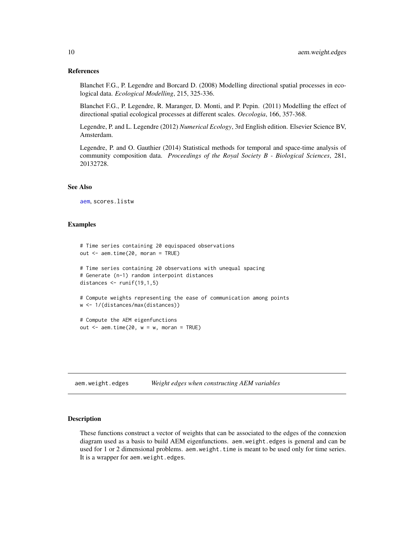#### <span id="page-9-0"></span>References

Blanchet F.G., P. Legendre and Borcard D. (2008) Modelling directional spatial processes in ecological data. *Ecological Modelling*, 215, 325-336.

Blanchet F.G., P. Legendre, R. Maranger, D. Monti, and P. Pepin. (2011) Modelling the effect of directional spatial ecological processes at different scales. *Oecologia*, 166, 357-368.

Legendre, P. and L. Legendre (2012) *Numerical Ecology*, 3rd English edition. Elsevier Science BV, Amsterdam.

Legendre, P. and O. Gauthier (2014) Statistical methods for temporal and space-time analysis of community composition data. *Proceedings of the Royal Society B - Biological Sciences*, 281, 20132728.

#### See Also

[aem](#page-2-1), scores.listw

#### Examples

```
# Time series containing 20 equispaced observations
out <- aem.time(20, moran = TRUE)
# Time series containing 20 observations with unequal spacing
# Generate (n-1) random interpoint distances
distances \le runif(19,1,5)
# Compute weights representing the ease of communication among points
w <- 1/(distances/max(distances))
# Compute the AEM eigenfunctions
out \leq aem.time(20, w = w, moran = TRUE)
```
aem.weight.edges *Weight edges when constructing AEM variables*

#### Description

These functions construct a vector of weights that can be associated to the edges of the connexion diagram used as a basis to build AEM eigenfunctions. aem.weight.edges is general and can be used for 1 or 2 dimensional problems. aem.weight.time is meant to be used only for time series. It is a wrapper for aem.weight.edges.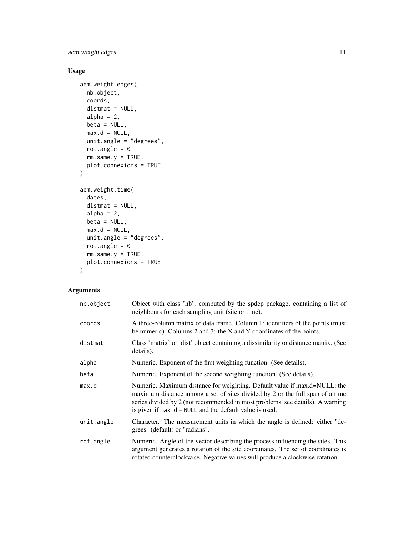aem.weight.edges 11

# Usage

```
aem.weight.edges(
 nb.object,
 coords,
 distmat = NULL,
 alpha = 2,
 beta = NULL,
 max.d = NULL,unit.angle = "degrees",
 rot.angle = 0,
 rm.same.y = TRUE,plot.connexions = TRUE
\mathcal{L}aem.weight.time(
 dates,
 distmat = NULL,
  alpha = 2,
 beta = NULL,
 max.d = NULL,unit.angle = "degrees",
  rot.angle = 0,
 rm.same.y = TRUE,plot.connexions = TRUE
\mathcal{L}
```
# Arguments

| nb.object  | Object with class 'nb', computed by the spdep package, containing a list of<br>neighbours for each sampling unit (site or time).                                                                                                                                                                          |
|------------|-----------------------------------------------------------------------------------------------------------------------------------------------------------------------------------------------------------------------------------------------------------------------------------------------------------|
| coords     | A three-column matrix or data frame. Column 1: identifiers of the points (must)<br>be numeric). Columns 2 and 3: the X and Y coordinates of the points.                                                                                                                                                   |
| distmat    | Class 'matrix' or 'dist' object containing a dissimilarity or distance matrix. (See<br>details).                                                                                                                                                                                                          |
| alpha      | Numeric. Exponent of the first weighting function. (See details).                                                                                                                                                                                                                                         |
| beta       | Numeric. Exponent of the second weighting function. (See details).                                                                                                                                                                                                                                        |
| max.d      | Numeric. Maximum distance for weighting. Default value if max.d=NULL: the<br>maximum distance among a set of sites divided by 2 or the full span of a time<br>series divided by 2 (not recommended in most problems, see details). A warning<br>is given if $max.d = NULL$ and the default value is used. |
| unit.angle | Character. The measurement units in which the angle is defined: either "de-<br>grees" (default) or "radians".                                                                                                                                                                                             |
| rot.angle  | Numeric. Angle of the vector describing the process influencing the sites. This<br>argument generates a rotation of the site coordinates. The set of coordinates is<br>rotated counterclockwise. Negative values will produce a clockwise rotation.                                                       |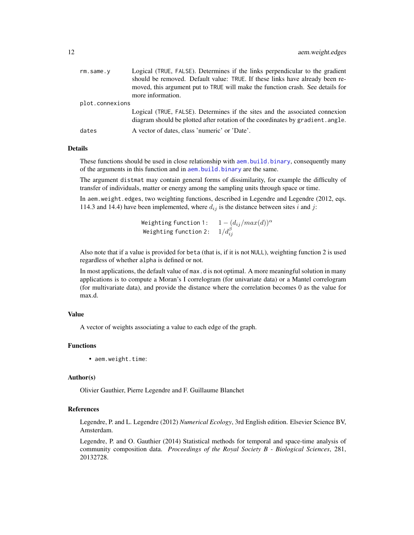| rm.same.v       | Logical (TRUE, FALSE). Determines if the links perpendicular to the gradient                                                                                   |
|-----------------|----------------------------------------------------------------------------------------------------------------------------------------------------------------|
|                 | should be removed. Default value: TRUE. If these links have already been re-                                                                                   |
|                 | moved, this argument put to TRUE will make the function crash. See details for                                                                                 |
|                 | more information.                                                                                                                                              |
| plot.connexions |                                                                                                                                                                |
|                 | Logical (TRUE, FALSE). Determines if the sites and the associated connexion<br>diagram should be plotted after rotation of the coordinates by gradient. angle. |
| dates           | A vector of dates, class 'numeric' or 'Date'.                                                                                                                  |

# Details

These functions should be used in close relationship with [aem.build.binary](#page-5-1), consequently many of the arguments in this function and in [aem.build.binary](#page-5-1) are the same.

The argument distmat may contain general forms of dissimilarity, for example the difficulty of transfer of individuals, matter or energy among the sampling units through space or time.

In aem.weight.edges, two weighting functions, described in Legendre and Legendre (2012, eqs. 114.3 and 14.4) have been implemented, where  $d_{ij}$  is the distance between sites i and j:

> Weighting function 1:  $1-(d_{ij}/max(d))^{\alpha}$ Weighting function 2:  $1/d_{ij}^{\beta}$

Also note that if a value is provided for beta (that is, if it is not NULL), weighting function 2 is used regardless of whether alpha is defined or not.

In most applications, the default value of max.d is not optimal. A more meaningful solution in many applications is to compute a Moran's I correlogram (for univariate data) or a Mantel correlogram (for multivariate data), and provide the distance where the correlation becomes 0 as the value for max.d.

#### Value

A vector of weights associating a value to each edge of the graph.

#### Functions

• aem.weight.time:

# Author(s)

Olivier Gauthier, Pierre Legendre and F. Guillaume Blanchet

# References

Legendre, P. and L. Legendre (2012) *Numerical Ecology*, 3rd English edition. Elsevier Science BV, Amsterdam.

Legendre, P. and O. Gauthier (2014) Statistical methods for temporal and space-time analysis of community composition data. *Proceedings of the Royal Society B - Biological Sciences*, 281, 20132728.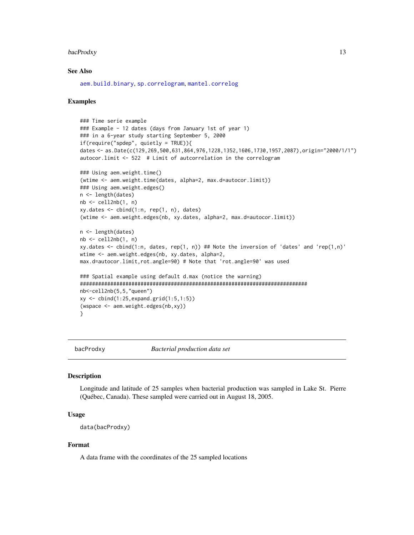#### <span id="page-12-0"></span>bacProdxy 13

#### See Also

[aem.build.binary](#page-5-1), [sp.correlogram](#page-0-0), [mantel.correlog](#page-0-0)

#### Examples

```
### Time serie example
### Example - 12 dates (days from January 1st of year 1)
### in a 6-year study starting September 5, 2000
if(require("spdep", quietly = TRUE)){
dates <- as.Date(c(129,269,500,631,864,976,1228,1352,1606,1730,1957,2087),origin="2000/1/1")
autocor.limit <- 522 # Limit of autcorrelation in the correlogram
### Using aem.weight.time()
(wtime <- aem.weight.time(dates, alpha=2, max.d=autocor.limit))
### Using aem.weight.edges()
n <- length(dates)
nb <- cell2nb(1, n)
xy.dates < -</math> <math>cbind(1:n, rep(1, n), dates)</math>(wtime <- aem.weight.edges(nb, xy.dates, alpha=2, max.d=autocor.limit))
n <- length(dates)
nb \leftarrow cell2nb(1, n)xy.dates \le cbind(1:n, dates, rep(1, n)) ## Note the inversion of 'dates' and 'rep(1,n)'
wtime <- aem.weight.edges(nb, xy.dates, alpha=2,
max.d=autocor.limit,rot.angle=90) # Note that 'rot.angle=90' was used
### Spatial example using default d.max (notice the warning)
###########################################################################
nb<-cell2nb(5,5,"queen")
xy <- cbind(1:25,expand.grid(1:5,1:5))
(wspace <- aem.weight.edges(nb,xy))
}
```
bacProdxy *Bacterial production data set*

#### Description

Longitude and latitude of 25 samples when bacterial production was sampled in Lake St. Pierre (Québec, Canada). These sampled were carried out in August 18, 2005.

#### Usage

data(bacProdxy)

#### Format

A data frame with the coordinates of the 25 sampled locations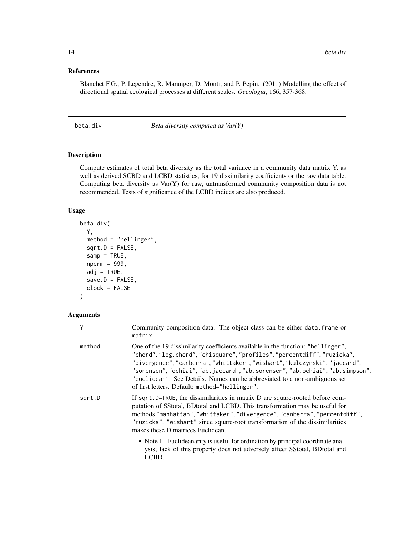#### <span id="page-13-0"></span>References

Blanchet F.G., P. Legendre, R. Maranger, D. Monti, and P. Pepin. (2011) Modelling the effect of directional spatial ecological processes at different scales. *Oecologia*, 166, 357-368.

beta.div *Beta diversity computed as Var(Y)*

# Description

Compute estimates of total beta diversity as the total variance in a community data matrix Y, as well as derived SCBD and LCBD statistics, for 19 dissimilarity coefficients or the raw data table. Computing beta diversity as  $Var(Y)$  for raw, untransformed community composition data is not recommended. Tests of significance of the LCBD indices are also produced.

#### Usage

```
beta.div(
  Y,
  method = "hellinger",
  sqrt.D = FALSE,\text{sample} = \text{TRUE},
  nperm = 999,
  adj = TRUE,save.D = FALSE,clock = FALSE
)
```
#### Arguments

| Y      | Community composition data. The object class can be either data. frame or<br>matrix.                                                                                                                                                                                                                                                                                                                                                                       |
|--------|------------------------------------------------------------------------------------------------------------------------------------------------------------------------------------------------------------------------------------------------------------------------------------------------------------------------------------------------------------------------------------------------------------------------------------------------------------|
| method | One of the 19 dissimilarity coefficients available in the function: "hellinger",<br>"chord", "log.chord", "chisquare", "profiles", "percentdiff", "ruzicka",<br>"divergence", "canberra", "whittaker", "wishart", "kulczynski", "jaccard",<br>"sorensen", "ochiai", "ab.jaccard", "ab.sorensen", "ab.ochiai", "ab.simpson",<br>"euclidean". See Details. Names can be abbreviated to a non-ambiguous set<br>of first letters. Default: method="hellinger". |
| sgrt.D | If sqrt. D=TRUE, the dissimilarities in matrix D are square-rooted before com-<br>putation of SStotal, BDtotal and LCBD. This transformation may be useful for<br>methods "manhattan", "whittaker", "divergence", "canberra", "percentdiff",<br>"ruzicka", "wishart" since square-root transformation of the dissimilarities<br>makes these D matrices Euclidean.                                                                                          |
|        | • Note 1 - Euclideanarity is useful for ordination by principal coordinate anal-<br>ysis; lack of this property does not adversely affect SStotal, BDtotal and<br>LCBD.                                                                                                                                                                                                                                                                                    |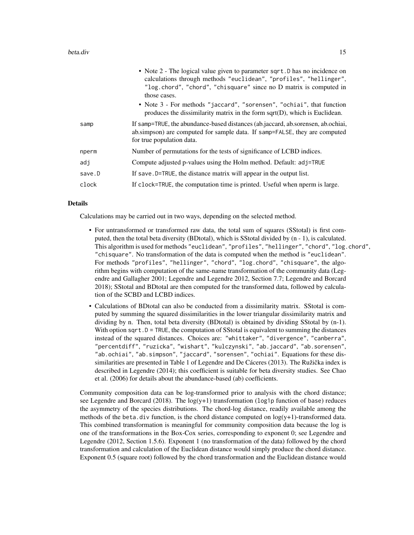|        | • Note 2 - The logical value given to parameter sqrt. D has no incidence on<br>calculations through methods "euclidean", "profiles", "hellinger",<br>"log.chord", "chord", "chisquare" since no D matrix is computed in<br>those cases. |
|--------|-----------------------------------------------------------------------------------------------------------------------------------------------------------------------------------------------------------------------------------------|
|        | • Note 3 - For methods "jaccard", "sorensen", "ochiai", that function<br>produces the dissimilarity matrix in the form $sqrt(D)$ , which is Euclidean.                                                                                  |
| samp   | If samp=TRUE, the abundance-based distances (ab.jaccard, ab.sorensen, ab.ochiai,<br>ab.simpson) are computed for sample data. If samp=FALSE, they are computed<br>for true population data.                                             |
| nperm  | Number of permutations for the tests of significance of LCBD indices.                                                                                                                                                                   |
| adj    | Compute adjusted p-values using the Holm method. Default: adj=TRUE                                                                                                                                                                      |
| save.D | If save. D=TRUE, the distance matrix will appear in the output list.                                                                                                                                                                    |
| clock  | If clock=TRUE, the computation time is printed. Useful when nperm is large.                                                                                                                                                             |

#### Details

Calculations may be carried out in two ways, depending on the selected method.

- For untransformed or transformed raw data, the total sum of squares (SStotal) is first computed, then the total beta diversity (BDtotal), which is SStotal divided by (n - 1), is calculated. This algorithm is used for methods "euclidean", "profiles", "hellinger", "chord", "log.chord", "chisquare". No transformation of the data is computed when the method is "euclidean". For methods "profiles", "hellinger", "chord", "log.chord", "chisquare", the algorithm begins with computation of the same-name transformation of the community data (Legendre and Gallagher 2001; Legendre and Legendre 2012, Section 7.7; Legendre and Borcard 2018); SStotal and BDtotal are then computed for the transformed data, followed by calculation of the SCBD and LCBD indices.
- Calculations of BDtotal can also be conducted from a dissimilarity matrix. SStotal is computed by summing the squared dissimilarities in the lower triangular dissimilarity matrix and dividing by n. Then, total beta diversity (BDtotal) is obtained by dividing SStotal by (n-1). With option sqrt.D = TRUE, the computation of SStotal is equivalent to summing the distances instead of the squared distances. Choices are: "whittaker", "divergence", "canberra", "percentdiff", "ruzicka", "wishart", "kulczynski", "ab.jaccard", "ab.sorensen", "ab.ochiai", "ab.simpson", "jaccard", "sorensen", "ochiai". Equations for these dissimilarities are presented in Table 1 of Legendre and De Cáceres (2013). The Ružička index is described in Legendre (2014); this coefficient is suitable for beta diversity studies. See Chao et al. (2006) for details about the abundance-based (ab) coefficients.

Community composition data can be log-transformed prior to analysis with the chord distance; see Legendre and Borcard (2018). The  $log(y+1)$  transformation (log1p function of base) reduces the asymmetry of the species distributions. The chord-log distance, readily available among the methods of the beta.div function, is the chord distance computed on  $log(y+1)$ -transformed data. This combined transformation is meaningful for community composition data because the log is one of the transformations in the Box-Cox series, corresponding to exponent 0; see Legendre and Legendre (2012, Section 1.5.6). Exponent 1 (no transformation of the data) followed by the chord transformation and calculation of the Euclidean distance would simply produce the chord distance. Exponent 0.5 (square root) followed by the chord transformation and the Euclidean distance would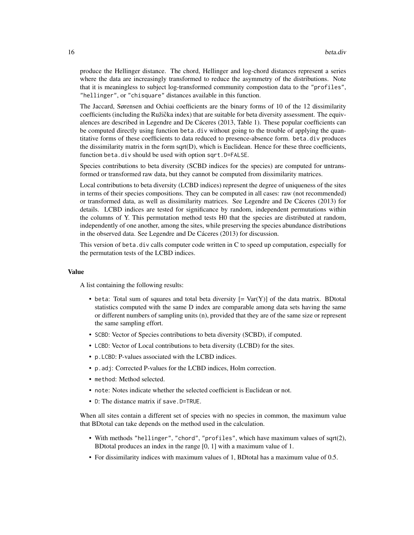produce the Hellinger distance. The chord, Hellinger and log-chord distances represent a series where the data are increasingly transformed to reduce the asymmetry of the distributions. Note that it is meaningless to subject log-transformed community compostion data to the "profiles", "hellinger", or "chisquare" distances available in this function.

The Jaccard, Sørensen and Ochiai coefficients are the binary forms of 10 of the 12 dissimilarity coefficients (including the Ružička index) that are suitable for beta diversity assessment. The equivalences are described in Legendre and De Cáceres (2013, Table 1). These popular coefficients can be computed directly using function beta.div without going to the trouble of applying the quantitative forms of these coefficients to data reduced to presence-absence form. beta.div produces the dissimilarity matrix in the form sqrt $(D)$ , which is Euclidean. Hence for these three coefficients, function beta.div should be used with option sqrt.D=FALSE.

Species contributions to beta diversity (SCBD indices for the species) are computed for untransformed or transformed raw data, but they cannot be computed from dissimilarity matrices.

Local contributions to beta diversity (LCBD indices) represent the degree of uniqueness of the sites in terms of their species compositions. They can be computed in all cases: raw (not recommended) or transformed data, as well as dissimilarity matrices. See Legendre and De Cáceres (2013) for details. LCBD indices are tested for significance by random, independent permutations within the columns of Y. This permutation method tests H0 that the species are distributed at random, independently of one another, among the sites, while preserving the species abundance distributions in the observed data. See Legendre and De Cáceres (2013) for discussion.

This version of beta.div calls computer code written in C to speed up computation, especially for the permutation tests of the LCBD indices.

# Value

A list containing the following results:

- beta: Total sum of squares and total beta diversity  $[= \text{Var}(Y)]$  of the data matrix. BDtotal statistics computed with the same D index are comparable among data sets having the same or different numbers of sampling units (n), provided that they are of the same size or represent the same sampling effort.
- SCBD: Vector of Species contributions to beta diversity (SCBD), if computed.
- LCBD: Vector of Local contributions to beta diversity (LCBD) for the sites.
- p.LCBD: P-values associated with the LCBD indices.
- p.adj: Corrected P-values for the LCBD indices, Holm correction.
- method: Method selected.
- note: Notes indicate whether the selected coefficient is Euclidean or not.
- D: The distance matrix if save.D=TRUE.

When all sites contain a different set of species with no species in common, the maximum value that BDtotal can take depends on the method used in the calculation.

- With methods "hellinger", "chord", "profiles", which have maximum values of sqrt(2), BDtotal produces an index in the range [0, 1] with a maximum value of 1.
- For dissimilarity indices with maximum values of 1, BDtotal has a maximum value of 0.5.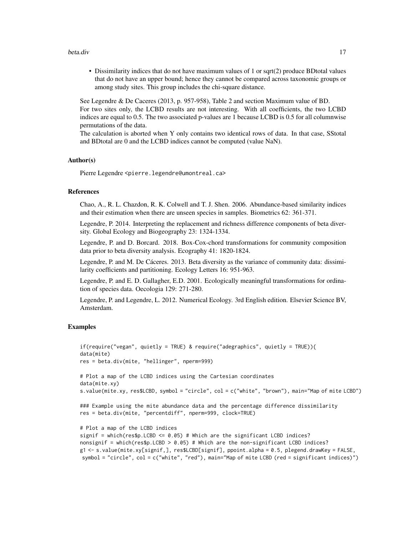#### beta.div 17

• Dissimilarity indices that do not have maximum values of 1 or sqrt(2) produce BDtotal values that do not have an upper bound; hence they cannot be compared across taxonomic groups or among study sites. This group includes the chi-square distance.

See Legendre & De Caceres (2013, p. 957-958), Table 2 and section Maximum value of BD. For two sites only, the LCBD results are not interesting. With all coefficients, the two LCBD indices are equal to 0.5. The two associated p-values are 1 because LCBD is 0.5 for all columnwise permutations of the data.

The calculation is aborted when Y only contains two identical rows of data. In that case, SStotal and BDtotal are 0 and the LCBD indices cannot be computed (value NaN).

#### Author(s)

Pierre Legendre <pierre.legendre@umontreal.ca>

# References

Chao, A., R. L. Chazdon, R. K. Colwell and T. J. Shen. 2006. Abundance-based similarity indices and their estimation when there are unseen species in samples. Biometrics 62: 361-371.

Legendre, P. 2014. Interpreting the replacement and richness difference components of beta diversity. Global Ecology and Biogeography 23: 1324-1334.

Legendre, P. and D. Borcard. 2018. Box-Cox-chord transformations for community composition data prior to beta diversity analysis. Ecography 41: 1820-1824.

Legendre, P. and M. De Cáceres. 2013. Beta diversity as the variance of community data: dissimilarity coefficients and partitioning. Ecology Letters 16: 951-963.

Legendre, P. and E. D. Gallagher, E.D. 2001. Ecologically meaningful transformations for ordination of species data. Oecologia 129: 271-280.

Legendre, P. and Legendre, L. 2012. Numerical Ecology. 3rd English edition. Elsevier Science BV, Amsterdam.

# Examples

```
if(require("vegan", quietly = TRUE) & require("adegraphics", quietly = TRUE)){
data(mite)
res = beta.div(mite, "hellinger", nperm=999)
# Plot a map of the LCBD indices using the Cartesian coordinates
data(mite.xy)
s.value(mite.xy, res$LCBD, symbol = "circle", col = c("white", "brown"), main="Map of mite LCBD")
### Example using the mite abundance data and the percentage difference dissimilarity
res = beta.div(mite, "percentdiff", nperm=999, clock=TRUE)
# Plot a map of the LCBD indices
signif = which(res$p.LCBD <= 0.05) # Which are the significant LCBD indices?
nonsignif = which(res$p.LCBD > 0.05) # Which are the non-significant LCBD indices?
g1 <- s.value(mite.xy[signif,], res$LCBD[signif], ppoint.alpha = 0.5, plegend.drawKey = FALSE,
symbol = "circle", col = c("white", "red"), main="Map of mite LCBD (red = significant indices)")
```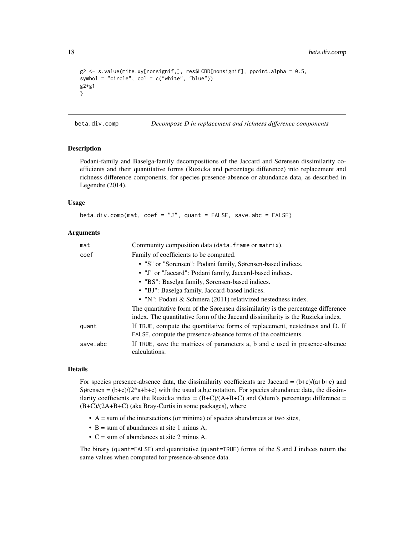```
g2 <- s.value(mite.xy[nonsignif,], res$LCBD[nonsignif], ppoint.alpha = 0.5,
symbol = "circle", col = c("white", "blue"))
g2+g1
}
```
beta.div.comp *Decompose D in replacement and richness difference components*

# Description

Podani-family and Baselga-family decompositions of the Jaccard and Sørensen dissimilarity coefficients and their quantitative forms (Ruzicka and percentage difference) into replacement and richness difference components, for species presence-absence or abundance data, as described in Legendre (2014).

#### Usage

```
beta.div.comp(mat, coef = "J", quant = FALSE, save.abc = FALSE)
```
### Arguments

| mat      | Community composition data (data. frame or matrix).                                                                                                                 |
|----------|---------------------------------------------------------------------------------------------------------------------------------------------------------------------|
| coef     | Family of coefficients to be computed.                                                                                                                              |
|          | • "S" or "Sorensen": Podani family, Sørensen-based indices.                                                                                                         |
|          | • "J" or "Jaccard": Podani family, Jaccard-based indices.                                                                                                           |
|          | • "BS": Baselga family, Sørensen-based indices.                                                                                                                     |
|          | • "BJ": Baselga family, Jaccard-based indices.                                                                                                                      |
|          | • "N": Podani & Schmera $(2011)$ relativized nestedness index.                                                                                                      |
|          | The quantitative form of the Sørensen dissimilarity is the percentage difference<br>index. The quantitative form of the Jaccard dissimilarity is the Ruzicka index. |
| quant    | If TRUE, compute the quantitative forms of replacement, nestedness and D. If<br>FALSE, compute the presence-absence forms of the coefficients.                      |
| save.abc | If TRUE, save the matrices of parameters a, b and c used in presence-absence<br>calculations.                                                                       |

#### Details

For species presence-absence data, the dissimilarity coefficients are Jaccard =  $(b+c)/(a+b+c)$  and Sørensen =  $(b+c)/(2+a+b+c)$  with the usual a,b,c notation. For species abundance data, the dissimilarity coefficients are the Ruzicka index =  $(B+C)/(A+B+C)$  and Odum's percentage difference = (B+C)/(2A+B+C) (aka Bray-Curtis in some packages), where

- $\bullet$  A = sum of the intersections (or minima) of species abundances at two sites,
- $B = sum of abundances at site 1 minus A,$
- C = sum of abundances at site 2 minus A.

The binary (quant=FALSE) and quantitative (quant=TRUE) forms of the S and J indices return the same values when computed for presence-absence data.

<span id="page-17-0"></span>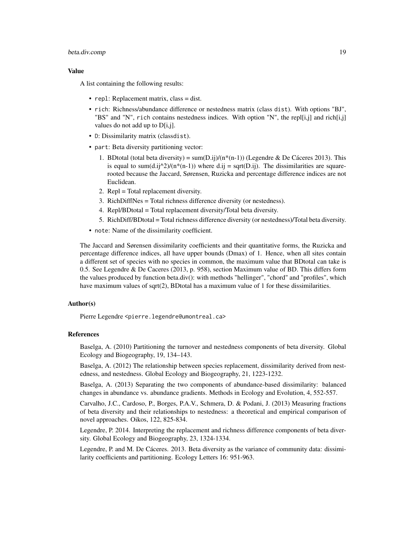# beta.div.comp 19

#### Value

A list containing the following results:

- repl: Replacement matrix, class = dist.
- rich: Richness/abundance difference or nestedness matrix (class dist). With options "BJ", "BS" and "N", rich contains nestedness indices. With option "N", the repl[i,j] and rich[i,j] values do not add up to D[i,j].
- D: Dissimilarity matrix (classdist).
- part: Beta diversity partitioning vector:
	- 1. BDtotal (total beta diversity) = sum(D.ij)/( $n*(n-1)$ ) (Legendre & De Cáceres 2013). This is equal to sum(d.ij^2)/(n\*(n-1)) where d.ij = sqrt(D.ij). The dissimilarities are squarerooted because the Jaccard, Sørensen, Ruzicka and percentage difference indices are not Euclidean.
	- 2. Repl = Total replacement diversity.
	- 3. RichDiff|Nes = Total richness difference diversity (or nestedness).
	- 4. Repl/BDtotal = Total replacement diversity/Total beta diversity.
	- 5. RichDiff/BDtotal = Total richness difference diversity (or nestedness)/Total beta diversity.
- note: Name of the dissimilarity coefficient.

The Jaccard and Sørensen dissimilarity coefficients and their quantitative forms, the Ruzicka and percentage difference indices, all have upper bounds (Dmax) of 1. Hence, when all sites contain a different set of species with no species in common, the maximum value that BDtotal can take is 0.5. See Legendre & De Caceres (2013, p. 958), section Maximum value of BD. This differs form the values produced by function beta.div(): with methods "hellinger", "chord" and "profiles", which have maximum values of sqrt(2), BDtotal has a maximum value of 1 for these dissimilarities.

# Author(s)

Pierre Legendre <pierre.legendre@umontreal.ca>

# References

Baselga, A. (2010) Partitioning the turnover and nestedness components of beta diversity. Global Ecology and Biogeography, 19, 134–143.

Baselga, A. (2012) The relationship between species replacement, dissimilarity derived from nestedness, and nestedness. Global Ecology and Biogeography, 21, 1223-1232.

Baselga, A. (2013) Separating the two components of abundance-based dissimilarity: balanced changes in abundance vs. abundance gradients. Methods in Ecology and Evolution, 4, 552-557.

Carvalho, J.C., Cardoso, P., Borges, P.A.V., Schmera, D. & Podani, J. (2013) Measuring fractions of beta diversity and their relationships to nestedness: a theoretical and empirical comparison of novel approaches. Oikos, 122, 825-834.

Legendre, P. 2014. Interpreting the replacement and richness difference components of beta diversity. Global Ecology and Biogeography, 23, 1324-1334.

Legendre, P. and M. De Cáceres. 2013. Beta diversity as the variance of community data: dissimilarity coefficients and partitioning. Ecology Letters 16: 951-963.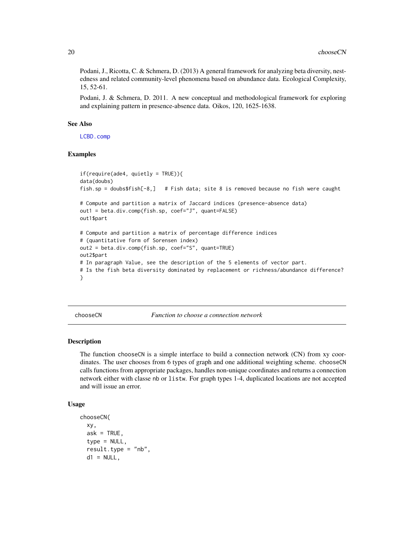<span id="page-19-0"></span>Podani, J., Ricotta, C. & Schmera, D. (2013) A general framework for analyzing beta diversity, nestedness and related community-level phenomena based on abundance data. Ecological Complexity, 15, 52-61.

Podani, J. & Schmera, D. 2011. A new conceptual and methodological framework for exploring and explaining pattern in presence-absence data. Oikos, 120, 1625-1638.

#### See Also

[LCBD.comp](#page-48-1)

#### Examples

```
if(require(ade4, quietly = TRUE)){
data(doubs)
fish.sp = doubs$fish[-8,] # Fish data; site 8 is removed because no fish were caught
# Compute and partition a matrix of Jaccard indices (presence-absence data)
out1 = beta.div.comp(fish.sp, coef="J", quant=FALSE)
out1$part
# Compute and partition a matrix of percentage difference indices
# (quantitative form of Sorensen index)
out2 = beta.div.comp(fish.sp, coef="S", quant=TRUE)
out2$part
# In paragraph Value, see the description of the 5 elements of vector part.
# Is the fish beta diversity dominated by replacement or richness/abundance difference?
}
```
chooseCN *Function to choose a connection network*

#### Description

The function chooseCN is a simple interface to build a connection network (CN) from xy coordinates. The user chooses from 6 types of graph and one additional weighting scheme. chooseCN calls functions from appropriate packages, handles non-unique coordinates and returns a connection network either with classe nb or listw. For graph types 1-4, duplicated locations are not accepted and will issue an error.

# Usage

```
chooseCN(
  xy,
  ask = TRUE,
  type = NULL,
  result.type = "nb",
  d1 = NULL,
```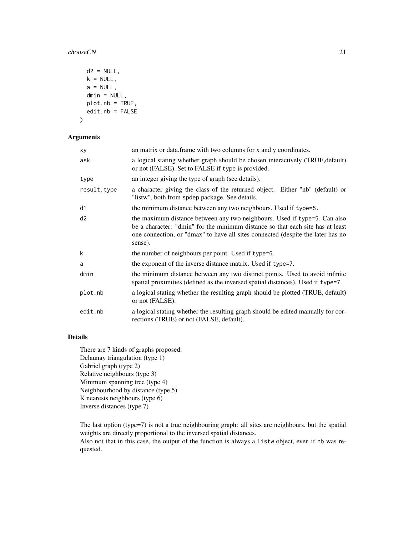#### chooseCN 21

```
d2 = NULL,k = NULL,a = NULL,dmin = NULL,plot.nb = TRUE,
 edit.nb = FALSE
)
```
# Arguments

| хy          | an matrix or data.frame with two columns for x and y coordinates.                                                                                                                                                                                         |
|-------------|-----------------------------------------------------------------------------------------------------------------------------------------------------------------------------------------------------------------------------------------------------------|
| ask         | a logical stating whether graph should be chosen interactively (TRUE, default)<br>or not (FALSE). Set to FALSE if type is provided.                                                                                                                       |
| type        | an integer giving the type of graph (see details).                                                                                                                                                                                                        |
| result.type | a character giving the class of the returned object. Either "nb" (default) or<br>"listw", both from spdep package. See details.                                                                                                                           |
| d1          | the minimum distance between any two neighbours. Used if type=5.                                                                                                                                                                                          |
| d2          | the maximum distance between any two neighbours. Used if type=5. Can also<br>be a character: "dmin" for the minimum distance so that each site has at least<br>one connection, or "dmax" to have all sites connected (despite the later has no<br>sense). |
| k           | the number of neighbours per point. Used if type=6.                                                                                                                                                                                                       |
| a           | the exponent of the inverse distance matrix. Used if type=7.                                                                                                                                                                                              |
| dmin        | the minimum distance between any two distinct points. Used to avoid infinite<br>spatial proximities (defined as the inversed spatial distances). Used if type=7.                                                                                          |
| plot.nb     | a logical stating whether the resulting graph should be plotted (TRUE, default)<br>or not (FALSE).                                                                                                                                                        |
| edit.nb     | a logical stating whether the resulting graph should be edited manually for cor-<br>rections (TRUE) or not (FALSE, default).                                                                                                                              |

# Details

There are 7 kinds of graphs proposed: Delaunay triangulation (type 1) Gabriel graph (type 2) Relative neighbours (type 3) Minimum spanning tree (type 4) Neighbourhood by distance (type 5) K nearests neighbours (type 6) Inverse distances (type 7)

The last option (type=7) is not a true neighbouring graph: all sites are neighbours, but the spatial weights are directly proportional to the inversed spatial distances. Also not that in this case, the output of the function is always a listw object, even if nb was requested.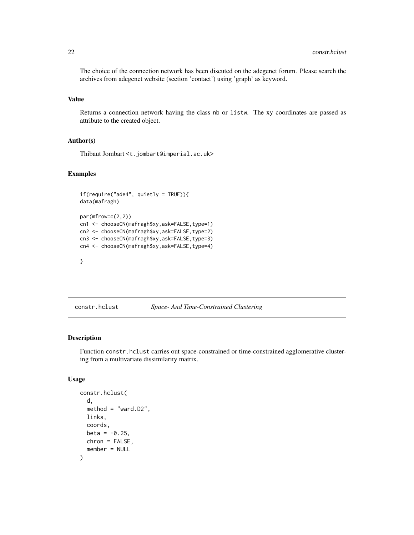<span id="page-21-0"></span>The choice of the connection network has been discuted on the adegenet forum. Please search the archives from adegenet website (section 'contact') using 'graph' as keyword.

#### Value

Returns a connection network having the class nb or listw. The xy coordinates are passed as attribute to the created object.

# Author(s)

Thibaut Jombart <t.jombart@imperial.ac.uk>

# Examples

```
if(require("ade4", quietly = TRUE)){
data(mafragh)
par(mfrow=c(2,2))
cn1 <- chooseCN(mafragh$xy,ask=FALSE,type=1)
cn2 <- chooseCN(mafragh$xy,ask=FALSE,type=2)
cn3 <- chooseCN(mafragh$xy,ask=FALSE,type=3)
cn4 <- chooseCN(mafragh$xy,ask=FALSE,type=4)
```

```
}
```
#### constr.hclust *Space- And Time-Constrained Clustering*

#### Description

Function constr.hclust carries out space-constrained or time-constrained agglomerative clustering from a multivariate dissimilarity matrix.

#### Usage

```
constr.hclust(
  d,
  method = "ward.D2",
  links,
  coords,
  beta = -0.25,
  chron = FALSE,
  member = NULL
)
```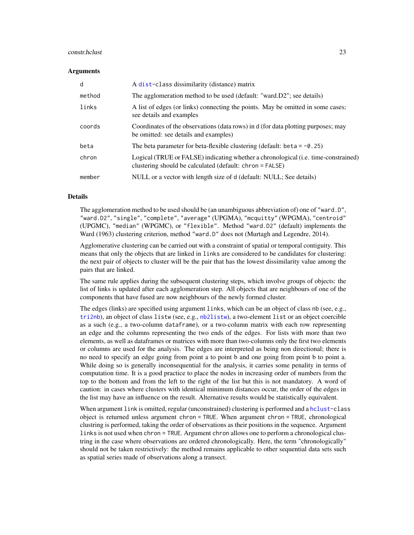#### constr.hclust 23

#### Arguments

| d      | A dist-class dissimilarity (distance) matrix                                                                                                   |
|--------|------------------------------------------------------------------------------------------------------------------------------------------------|
| method | The agglomeration method to be used (default: "ward.D2"; see details)                                                                          |
| links  | A list of edges (or links) connecting the points. May be omitted in some cases;<br>see details and examples                                    |
| coords | Coordinates of the observations (data rows) in d (for data plotting purposes; may<br>be omitted: see details and examples)                     |
| beta   | The beta parameter for beta-flexible clustering (default: beta = $-0.25$ )                                                                     |
| chron  | Logical (TRUE or FALSE) indicating whether a chronological (i.e. time-constrained)<br>clustering should be calculated (default: chron = FALSE) |
| member | NULL or a vector with length size of d (default: NULL; See details)                                                                            |

# Details

The agglomeration method to be used should be (an unambiguous abbreviation of) one of "ward.D", "ward.D2", "single", "complete", "average" (UPGMA), "mcquitty" (WPGMA), "centroid" (UPGMC), "median" (WPGMC), or "flexible". Method "ward.D2" (default) implements the Ward (1963) clustering criterion, method "ward.D" does not (Murtagh and Legendre, 2014).

Agglomerative clustering can be carried out with a constraint of spatial or temporal contiguity. This means that only the objects that are linked in links are considered to be candidates for clustering: the next pair of objects to cluster will be the pair that has the lowest dissimilarity value among the pairs that are linked.

The same rule applies during the subsequent clustering steps, which involve groups of objects: the list of links is updated after each agglomeration step. All objects that are neighbours of one of the components that have fused are now neighbours of the newly formed cluster.

The edges (links) are specified using argument links, which can be an object of class nb (see, e.g., [tri2nb](#page-0-0)), an object of class listw (see, e.g., [nb2listw](#page-0-0)), a two-element list or an object coercible as a such (e.g., a two-column dataframe), or a two-column matrix with each row representing an edge and the columns representing the two ends of the edges. For lists with more than two elements, as well as dataframes or matrices with more than two-columns only the first two elements or columns are used for the analysis. The edges are interpreted as being non directional; there is no need to specify an edge going from point a to point b and one going from point b to point a. While doing so is generally inconsequential for the analysis, it carries some penality in terms of computation time. It is a good practice to place the nodes in increasing order of numbers from the top to the bottom and from the left to the right of the list but this is not mandatory. A word of caution: in cases where clusters with identical minimum distances occur, the order of the edges in the list may have an influence on the result. Alternative results would be statistically equivalent.

When argument link is omitted, regular (unconstrained) clustering is performed and a [hclust-](#page-0-0)class object is returned unless argument chron = TRUE. When argument chron = TRUE, chronological clustring is performed, taking the order of observations as their positions in the sequence. Argument links is not used when chron = TRUE. Argument chron allows one to perform a chronological clustring in the case where observations are ordered chronologically. Here, the term "chronologically" should not be taken restrictively: the method remains applicable to other sequential data sets such as spatial series made of observations along a transect.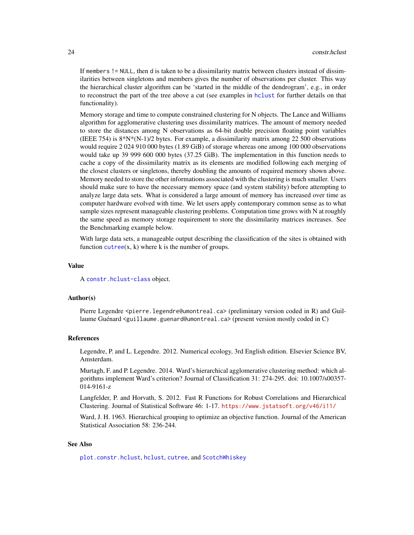If members != NULL, then d is taken to be a dissimilarity matrix between clusters instead of dissimilarities between singletons and members gives the number of observations per cluster. This way the hierarchical cluster algorithm can be 'started in the middle of the dendrogram', e.g., in order to reconstruct the part of the tree above a cut (see examples in [hclust](#page-0-0) for further details on that functionality).

Memory storage and time to compute constrained clustering for N objects. The Lance and Williams algorithm for agglomerative clustering uses dissimilarity matrices. The amount of memory needed to store the distances among N observations as 64-bit double precision floating point variables (IEEE 754) is  $8*N*(N-1)/2$  bytes. For example, a dissimilarity matrix among 22 500 observations would require 2 024 910 000 bytes (1.89 GiB) of storage whereas one among 100 000 observations would take up 39 999 600 000 bytes (37.25 GiB). The implementation in this function needs to cache a copy of the dissimilarity matrix as its elements are modified following each merging of the closest clusters or singletons, thereby doubling the amounts of required memory shown above. Memory needed to store the other informations associated with the clustering is much smaller. Users should make sure to have the necessary memory space (and system stability) before attempting to analyze large data sets. What is considered a large amount of memory has increased over time as computer hardware evolved with time. We let users apply contemporary common sense as to what sample sizes represent manageable clustering problems. Computation time grows with N at roughly the same speed as memory storage requirement to store the dissimilarity matrices increases. See the Benchmarking example below.

With large data sets, a manageable output describing the classification of the sites is obtained with function  $cutree(x, k)$  $cutree(x, k)$  where k is the number of groups.

#### Value

A [constr.hclust-class](#page-27-1) object.

#### Author(s)

Pierre Legendre <pierre.legendre@umontreal.ca> (preliminary version coded in R) and Guillaume Guénard <guillaume.guenard@umontreal.ca> (present version mostly coded in C)

#### References

Legendre, P. and L. Legendre. 2012. Numerical ecology, 3rd English edition. Elsevier Science BV, Amsterdam.

Murtagh, F. and P. Legendre. 2014. Ward's hierarchical agglomerative clustering method: which algorithms implement Ward's criterion? Journal of Classification 31: 274-295. doi: 10.1007/s00357- 014-9161-z

Langfelder, P. and Horvath, S. 2012. Fast R Functions for Robust Correlations and Hierarchical Clustering. Journal of Statistical Software 46: 1-17. <https://www.jstatsoft.org/v46/i11/>

Ward, J. H. 1963. Hierarchical grouping to optimize an objective function. Journal of the American Statistical Association 58: 236-244.

# See Also

[plot.constr.hclust](#page-90-1), [hclust](#page-0-0), [cutree](#page-0-0), and [ScotchWhiskey](#page-101-1)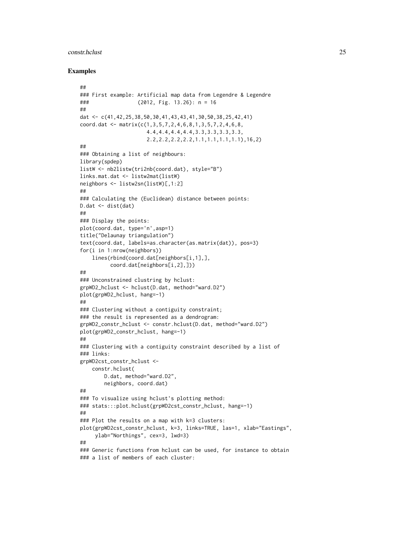#### constr.hclust 25

#### Examples

```
##
### First example: Artificial map data from Legendre & Legendre
### (2012, Fig. 13.26): n = 16
##
dat <- c(41,42,25,38,50,30,41,43,43,41,30,50,38,25,42,41)
coord.dat <- matrix(c(1,3,5,7,2,4,6,8,1,3,5,7,2,4,6,8,
                      4.4,4.4,4.4,4.4,3.3,3.3,3.3,3.3,
                      2.2,2.2,2.2,2.2,1.1,1.1,1.1,1.1),16,2)
##
### Obtaining a list of neighbours:
library(spdep)
listW <- nb2listw(tri2nb(coord.dat), style="B")
links.mat.dat <- listw2mat(listW)
neighbors <- listw2sn(listW)[,1:2]
##
### Calculating the (Euclidean) distance between points:
D.dat <- dist(dat)
##
### Display the points:
plot(coord.dat, type='n',asp=1)
title("Delaunay triangulation")
text(coord.dat, labels=as.character(as.matrix(dat)), pos=3)
for(i in 1:nrow(neighbors))
    lines(rbind(coord.dat[neighbors[i,1],],
          coord.dat[neighbors[i,2],]))
##
### Unconstrained clustring by hclust:
grpWD2_hclust <- hclust(D.dat, method="ward.D2")
plot(grpWD2_hclust, hang=-1)
##
### Clustering without a contiguity constraint;
### the result is represented as a dendrogram:
grpWD2_constr_hclust <- constr.hclust(D.dat, method="ward.D2")
plot(grpWD2_constr_hclust, hang=-1)
##
### Clustering with a contiguity constraint described by a list of
### links:
grpWD2cst_constr_hclust <-
    constr.hclust(
        D.dat, method="ward.D2",
        neighbors, coord.dat)
##
### To visualize using hclust's plotting method:
### stats:::plot.hclust(grpWD2cst_constr_hclust, hang=-1)
##
### Plot the results on a map with k=3 clusters:
plot(grpWD2cst_constr_hclust, k=3, links=TRUE, las=1, xlab="Eastings",
     ylab="Northings", cex=3, lwd=3)
##
### Generic functions from hclust can be used, for instance to obtain
### a list of members of each cluster:
```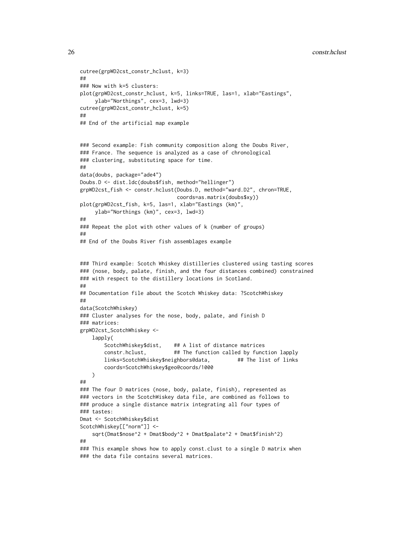```
26 construction of the construction of the construction of the construction of the construction of the construction of the construction of the construction of the construction of the construction of the construction of the
```

```
cutree(grpWD2cst_constr_hclust, k=3)
##
### Now with k=5 clusters:
plot(grpWD2cst_constr_hclust, k=5, links=TRUE, las=1, xlab="Eastings",
     ylab="Northings", cex=3, lwd=3)
cutree(grpWD2cst_constr_hclust, k=5)
##
## End of the artificial map example
### Second example: Fish community composition along the Doubs River,
### France. The sequence is analyzed as a case of chronological
### clustering, substituting space for time.
##
data(doubs, package="ade4")
Doubs.D <- dist.ldc(doubs$fish, method="hellinger")
grpWD2cst_fish <- constr.hclust(Doubs.D, method="ward.D2", chron=TRUE,
                               coords=as.matrix(doubs$xy))
plot(grpWD2cst_fish, k=5, las=1, xlab="Eastings (km)",
    ylab="Northings (km)", cex=3, lwd=3)
##
### Repeat the plot with other values of k (number of groups)
##
## End of the Doubs River fish assemblages example
### Third example: Scotch Whiskey distilleries clustered using tasting scores
### (nose, body, palate, finish, and the four distances combined) constrained
### with respect to the distillery locations in Scotland.
##
## Documentation file about the Scotch Whiskey data: ?ScotchWhiskey
##
data(ScotchWhiskey)
### Cluster analyses for the nose, body, palate, and finish D
### matrices:
grpWD2cst_ScotchWhiskey <-
   lapply(
       ScotchWhiskey$dist, ## A list of distance matrices
       constr.hclust, ## The function called by function lapply
       links=ScotchWhiskey$neighbors@data, ## The list of links
       coords=ScotchWhiskey$geo@coords/1000
   )
##
### The four D matrices (nose, body, palate, finish), represented as
### vectors in the ScotchWiskey data file, are combined as follows to
### produce a single distance matrix integrating all four types of
### tastes:
Dmat <- ScotchWhiskey$dist
ScotchWhiskey[["norm"]] <-
    sqrt(Dmat$nose^2 + Dmat$body^2 + Dmat$palate^2 + Dmat$finish^2)
##
### This example shows how to apply const.clust to a single D matrix when
### the data file contains several matrices.
```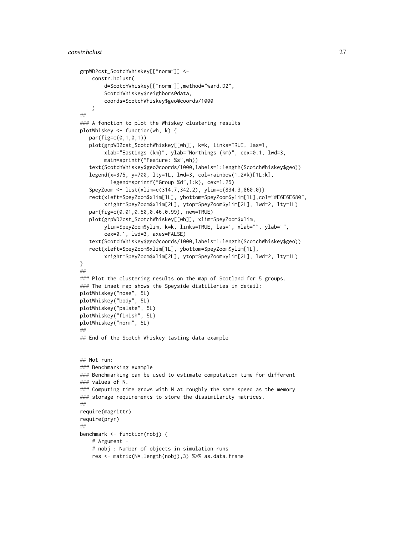```
grpWD2cst_ScotchWhiskey[["norm"]] <-
    constr.hclust(
        d=ScotchWhiskey[["norm"]],method="ward.D2",
        ScotchWhiskey$neighbors@data,
        coords=ScotchWhiskey$geo@coords/1000
    )
##
### A fonction to plot the Whiskey clustering results
plotWhiskey <- function(wh, k) {
  par(fig=c(0,1,0,1))
  plot(grpWD2cst_ScotchWhiskey[[wh]], k=k, links=TRUE, las=1,
        xlab="Eastings (km)", ylab="Northings (km)", cex=0.1, lwd=3,
        main=sprintf("Feature: %s",wh))
   text(ScotchWhiskey$geo@coords/1000,labels=1:length(ScotchWhiskey$geo))
   legend(x=375, y=700, lty=1L, lwd=3, col=rainbow(1.2*k)[1L:k],
          legend=sprintf("Group %d",1:k), cex=1.25)
   SpeyZoom <- list(xlim=c(314.7,342.2), ylim=c(834.3,860.0))
   rect(xleft=SpeyZoom$xlim[1L], ybottom=SpeyZoom$ylim[1L],col="#E6E6E680",
        xright=SpeyZoom$xlim[2L], ytop=SpeyZoom$ylim[2L], lwd=2, lty=1L)
   par(fig=c(0.01,0.50,0.46,0.99), new=TRUE)
   plot(grpWD2cst_ScotchWhiskey[[wh]], xlim=SpeyZoom$xlim,
        ylim=SpeyZoom$ylim, k=k, links=TRUE, las=1, xlab="", ylab="",
        cex=0.1, lwd=3, axes=FALSE)
   text(ScotchWhiskey$geo@coords/1000,labels=1:length(ScotchWhiskey$geo))
  rect(xleft=SpeyZoom$xlim[1L], ybottom=SpeyZoom$ylim[1L],
        xright=SpeyZoom$xlim[2L], ytop=SpeyZoom$ylim[2L], lwd=2, lty=1L)
}
##
### Plot the clustering results on the map of Scotland for 5 groups.
### The inset map shows the Speyside distilleries in detail:
plotWhiskey("nose", 5L)
plotWhiskey("body", 5L)
plotWhiskey("palate", 5L)
plotWhiskey("finish", 5L)
plotWhiskey("norm", 5L)
##
## End of the Scotch Whiskey tasting data example
## Not run:
### Benchmarking example
### Benchmarking can be used to estimate computation time for different
### values of N.
### Computing time grows with N at roughly the same speed as the memory
### storage requirements to store the dissimilarity matrices.
##
require(magrittr)
require(pryr)
##
benchmark <- function(nobj) {
    # Argument -
    # nobj : Number of objects in simulation runs
    res <- matrix(NA,length(nobj),3) %>% as.data.frame
```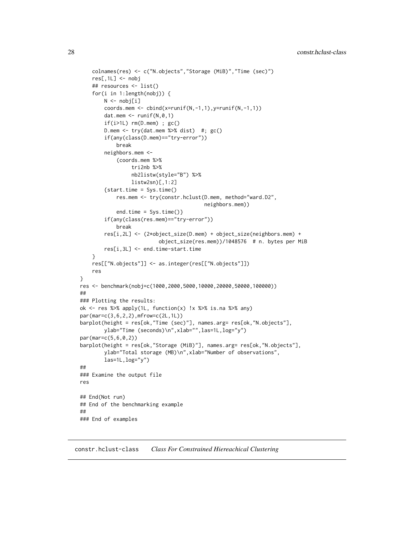```
colnames(res) <- c("N.objects","Storage (MiB)","Time (sec)")
    res[,1L] <- nobj
    ## resources <- list()
    for(i in 1:length(nobj)) {
        N <- nobj[i]
        coords.mem <- \text{cbind}(x=\text{runif}(N,-1,1),y=\text{runif}(N,-1,1))dat.mem \leq runif(N,0,1)
        if(i>1L) rm(D.mem) ; gc()
        D.mem \leq try(dat.mem %>% dist) #; gc()
        if(any(class(D.mem)=="try-error"))
            break
        neighbors.mem <-
            (coords.mem %>%
                 tri2nb %>%
                 nb2listw(style="B") %>%
                 listw2sn)[,1:2]
        {start.time = Sys.time()
            res.mem <- try(constr.hclust(D.mem, method="ward.D2",
                                          neighbors.mem))
            end.time = Sys.time()}
        if(any(class(res.mem)=="try-error"))
            break
        res[i,2L] <- (2*object_size(D.mem) + object_size(neighbors.mem) +
                          object_size(res.mem))/1048576 # n. bytes per MiB
        res[i,3L] <- end.time-start.time
    }
    res[["N.objects"]] <- as.integer(res[["N.objects"]])
    res
}
res <- benchmark(nobj=c(1000,2000,5000,10000,20000,50000,100000))
##
### Plotting the results:
ok <- res %>% apply(1L, function(x) !x %>% is.na %>% any)
par(mar=c(3,6,2,2),mfrow=c(2L,1L))
barplot(height = res[ok,"Time (sec)"], names.arg= res[ok,"N.objects"],
        ylab="Time (seconds)\n",xlab="",las=1L,log="y")
par(mar=c(5,6,0,2))
barplot(height = res[ok,"Storage (MiB)"], names.arg= res[ok,"N.objects"],
        ylab="Total storage (MB)\n",xlab="Number of observations",
        las=1L,log="y")
##
### Examine the output file
res
## End(Not run)
## End of the benchmarking example
##
### End of examples
```
<span id="page-27-1"></span>constr.hclust-class *Class For Constrained Hiereachical Clustering*

<span id="page-27-0"></span>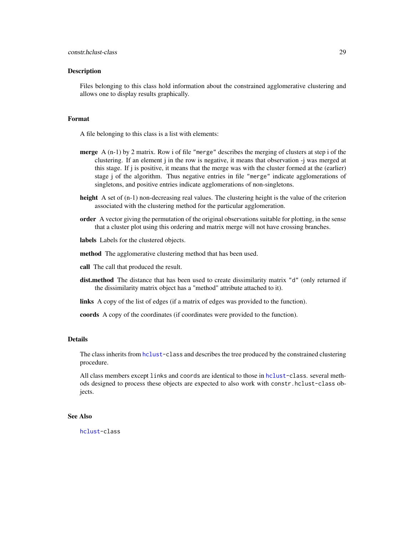#### Description

Files belonging to this class hold information about the constrained agglomerative clustering and allows one to display results graphically.

# Format

A file belonging to this class is a list with elements:

- merge A (n-1) by 2 matrix. Row i of file "merge" describes the merging of clusters at step i of the clustering. If an element j in the row is negative, it means that observation -j was merged at this stage. If j is positive, it means that the merge was with the cluster formed at the (earlier) stage j of the algorithm. Thus negative entries in file "merge" indicate agglomerations of singletons, and positive entries indicate agglomerations of non-singletons.
- height A set of  $(n-1)$  non-decreasing real values. The clustering height is the value of the criterion associated with the clustering method for the particular agglomeration.
- order A vector giving the permutation of the original observations suitable for plotting, in the sense that a cluster plot using this ordering and matrix merge will not have crossing branches.
- labels Labels for the clustered objects.
- method The agglomerative clustering method that has been used.
- call The call that produced the result.
- dist.method The distance that has been used to create dissimilarity matrix "d" (only returned if the dissimilarity matrix object has a "method" attribute attached to it).
- links A copy of the list of edges (if a matrix of edges was provided to the function).

coords A copy of the coordinates (if coordinates were provided to the function).

# Details

The class inherits from [hclust-](#page-0-0)class and describes the tree produced by the constrained clustering procedure.

All class members except links and coords are identical to those in [hclust-](#page-0-0)class. several methods designed to process these objects are expected to also work with constr.hclust-class objects.

# See Also

[hclust-](#page-0-0)class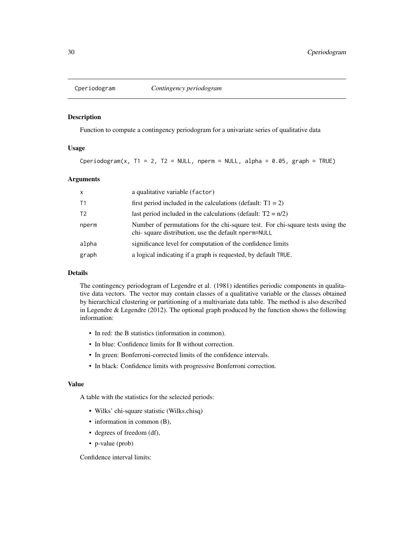<span id="page-29-0"></span>

#### Description

Function to compute a contingency periodogram for a univariate series of qualitative data

# Usage

Cperiodogram(x,  $T1 = 2$ ,  $T2 = NULL$ , nperm = NULL, alpha = 0.05, graph = TRUE)

# Arguments

| $\mathsf{x}$   | a qualitative variable (factor)                                                                                                       |
|----------------|---------------------------------------------------------------------------------------------------------------------------------------|
| T1             | first period included in the calculations (default: $T1 = 2$ )                                                                        |
| T <sub>2</sub> | last period included in the calculations (default: $T2 = n/2$ )                                                                       |
| nperm          | Number of permutations for the chi-square test. For chi-square tests using the<br>chi-square distribution, use the default nperm=NULL |
| alpha          | significance level for computation of the confidence limits                                                                           |
| graph          | a logical indicating if a graph is requested, by default TRUE.                                                                        |

#### Details

The contingency periodogram of Legendre et al. (1981) identifies periodic components in qualitative data vectors. The vector may contain classes of a qualitative variable or the classes obtained by hierarchical clustering or partitioning of a multivariate data table. The method is also described in Legendre & Legendre (2012). The optional graph produced by the function shows the following information:

- In red: the B statistics (information in common).
- In blue: Confidence limits for B without correction.
- In green: Bonferroni-corrected limits of the confidence intervals.
- In black: Confidence limits with progressive Bonferroni correction.

#### Value

A table with the statistics for the selected periods:

- Wilks' chi-square statistic (Wilks.chisq)
- information in common (B),
- degrees of freedom (df),
- p-value (prob)

Confidence interval limits: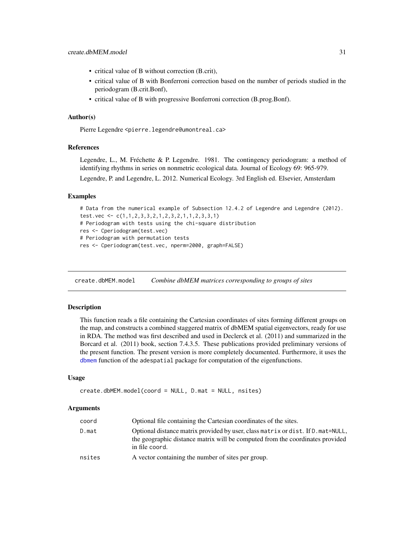- <span id="page-30-0"></span>• critical value of B without correction (B.crit),
- critical value of B with Bonferroni correction based on the number of periods studied in the periodogram (B.crit.Bonf),
- critical value of B with progressive Bonferroni correction (B.prog.Bonf).

#### Author(s)

Pierre Legendre <pierre.legendre@umontreal.ca>

#### References

Legendre, L., M. Fréchette & P. Legendre. 1981. The contingency periodogram: a method of identifying rhythms in series on nonmetric ecological data. Journal of Ecology 69: 965-979.

Legendre, P. and Legendre, L. 2012. Numerical Ecology. 3rd English ed. Elsevier, Amsterdam

#### Examples

```
# Data from the numerical example of Subsection 12.4.2 of Legendre and Legendre (2012).
test.vec <- c(1,1,2,3,3,2,1,2,3,2,1,1,2,3,3,1)
# Periodogram with tests using the chi-square distribution
res <- Cperiodogram(test.vec)
# Periodogram with permutation tests
res <- Cperiodogram(test.vec, nperm=2000, graph=FALSE)
```
create.dbMEM.model *Combine dbMEM matrices corresponding to groups of sites*

#### Description

This function reads a file containing the Cartesian coordinates of sites forming different groups on the map, and constructs a combined staggered matrix of dbMEM spatial eigenvectors, ready for use in RDA. The method was first described and used in Declerck et al. (2011) and summarized in the Borcard et al. (2011) book, section 7.4.3.5. These publications provided preliminary versions of the present function. The present version is more completely documented. Furthermore, it uses the [dbmem](#page-32-1) function of the adespatial package for computation of the eigenfunctions.

#### Usage

```
create.dbMEM.model(coord = NULL, D.mat = NULL, nsites)
```
#### Arguments

| coord  | Optional file containing the Cartesian coordinates of the sites.                                                                                                                    |
|--------|-------------------------------------------------------------------------------------------------------------------------------------------------------------------------------------|
| D.mat  | Optional distance matrix provided by user, class matrix or dist. If D. mat=NULL,<br>the geographic distance matrix will be computed from the coordinates provided<br>in file coord. |
| nsites | A vector containing the number of sites per group.                                                                                                                                  |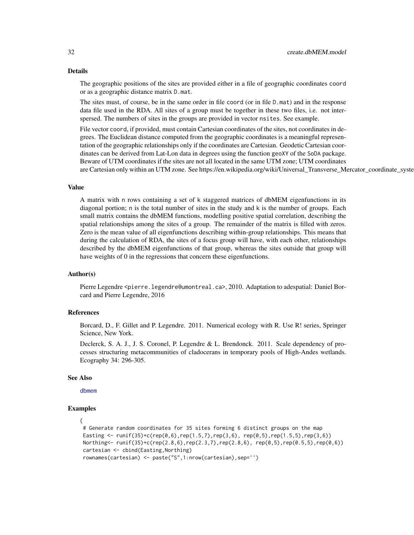#### Details

The geographic positions of the sites are provided either in a file of geographic coordinates coord or as a geographic distance matrix D.mat.

The sites must, of course, be in the same order in file coord (or in file D.mat) and in the response data file used in the RDA. All sites of a group must be together in these two files, i.e. not interspersed. The numbers of sites in the groups are provided in vector nsites. See example.

File vector coord, if provided, must contain Cartesian coordinates of the sites, not coordinates in degrees. The Euclidean distance computed from the geographic coordinates is a meaningful representation of the geographic relationships only if the coordinates are Cartesian. Geodetic Cartesian coordinates can be derived from Lat-Lon data in degrees using the function geoXY of the SoDA package. Beware of UTM coordinates if the sites are not all located in the same UTM zone; UTM coordinates are Cartesian only within an UTM zone. See https://en.wikipedia.org/wiki/Universal\_Transverse\_Mercator\_coordinate\_syste

#### Value

A matrix with n rows containing a set of k staggered matrices of dbMEM eigenfunctions in its diagonal portion; n is the total number of sites in the study and k is the number of groups. Each small matrix contains the dbMEM functions, modelling positive spatial correlation, describing the spatial relationships among the sites of a group. The remainder of the matrix is filled with zeros. Zero is the mean value of all eigenfunctions describing within-group relationships. This means that during the calculation of RDA, the sites of a focus group will have, with each other, relationships described by the dbMEM eigenfunctions of that group, whereas the sites outside that group will have weights of 0 in the regressions that concern these eigenfunctions.

#### Author(s)

Pierre Legendre <pierre.legendre@umontreal.ca>, 2010. Adaptation to adespatial: Daniel Borcard and Pierre Legendre, 2016

#### References

Borcard, D., F. Gillet and P. Legendre. 2011. Numerical ecology with R. Use R! series, Springer Science, New York.

Declerck, S. A. J., J. S. Coronel, P. Legendre & L. Brendonck. 2011. Scale dependency of processes structuring metacommunities of cladocerans in temporary pools of High-Andes wetlands. Ecography 34: 296-305.

#### See Also

[dbmem](#page-32-1)

#### Examples

```
{
 # Generate random coordinates for 35 sites forming 6 distinct groups on the map
 Easting \le runif(35)+c(rep(0,6),rep(1.5,7),rep(3,6), rep(0,5),rep(1.5,5),rep(3,6))
 Northing<- runif(35)+c(rep(2.8,6),rep(2.3,7),rep(2.8,6), rep(0,5),rep(0.5,5),rep(0,6))
 cartesian <- cbind(Easting,Northing)
 rownames(cartesian) <- paste("S",1:nrow(cartesian),sep='')
```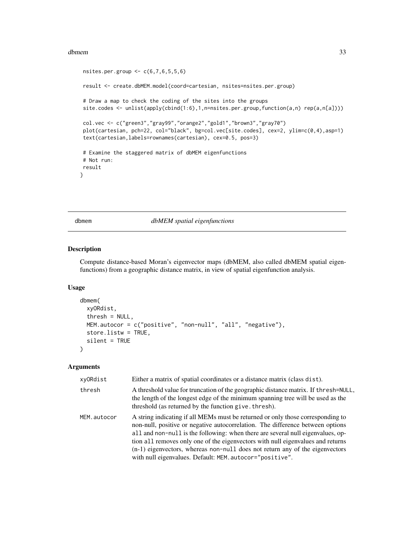#### <span id="page-32-0"></span>dbmem 33

```
nsites.per.group <-c(6,7,6,5,5,6)result <- create.dbMEM.model(coord=cartesian, nsites=nsites.per.group)
# Draw a map to check the coding of the sites into the groups
site.codes <- unlist(apply(cbind(1:6),1,n=nsites.per.group,function(a,n) rep(a,n[a])))
col.vec <- c("green3","gray99","orange2","gold1","brown3","gray70")
plot(cartesian, pch=22, col="black", bg=col.vec[site.codes], cex=2, ylim=c(0,4),asp=1)
text(cartesian,labels=rownames(cartesian), cex=0.5, pos=3)
# Examine the staggered matrix of dbMEM eigenfunctions
# Not run:
result
}
```
<span id="page-32-1"></span>dbmem *dbMEM spatial eigenfunctions*

# Description

Compute distance-based Moran's eigenvector maps (dbMEM, also called dbMEM spatial eigenfunctions) from a geographic distance matrix, in view of spatial eigenfunction analysis.

#### Usage

```
dbmem(
  xyORdist,
  thresh = NULL,MEM.autocor = c("positive", "non-null", "all", "negative"),
  store.listw = TRUE,
  silent = TRUE
)
```
### Arguments

| xyORdist    | Either a matrix of spatial coordinates or a distance matrix (class dist).                                                                                                                                                                                                                                                                                                                                                                                                           |
|-------------|-------------------------------------------------------------------------------------------------------------------------------------------------------------------------------------------------------------------------------------------------------------------------------------------------------------------------------------------------------------------------------------------------------------------------------------------------------------------------------------|
| thresh      | A threshold value for truncation of the geographic distance matrix. If thresh=NULL,<br>the length of the longest edge of the minimum spanning tree will be used as the<br>threshold (as returned by the function give. thresh).                                                                                                                                                                                                                                                     |
| MEM.autocor | A string indicating if all MEMs must be returned or only those corresponding to<br>non-null, positive or negative autocorrelation. The difference between options<br>all and non-null is the following: when there are several null eigenvalues, op-<br>tion all removes only one of the eigenvectors with null eigenvalues and returns<br>(n-1) eigenvectors, whereas non-null does not return any of the eigenvectors<br>with null eigenvalues. Default: MEM. autocor="positive". |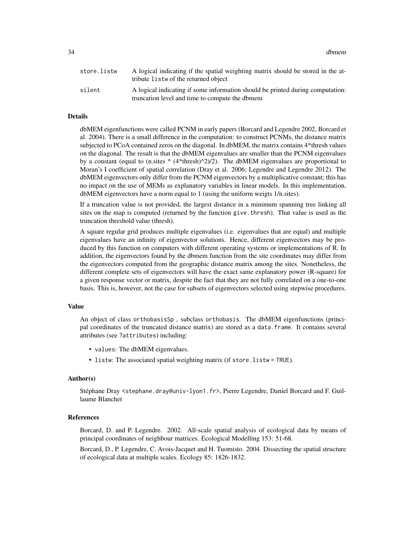34 dbmem

| store.listw | A logical indicating if the spatial weighting matrix should be stored in the at-<br>tribute listw of the returned object         |
|-------------|----------------------------------------------------------------------------------------------------------------------------------|
| silent      | A logical indicating if some information should be printed during computation:<br>truncation level and time to compute the dbmem |

## Details

dbMEM eigenfunctions were called PCNM in early papers (Borcard and Legendre 2002, Borcard et al. 2004). There is a small difference in the computation: to construct PCNMs, the distance matrix subjected to PCoA contained zeros on the diagonal. In dbMEM, the matrix contains 4\*thresh values on the diagonal. The result is that the dbMEM eigenvalues are smaller than the PCNM eigenvalues by a constant (equal to (n.sites  $*(4*thresh)^2/2)$ ). The dbMEM eigenvalues are proportional to Moran's I coefficient of spatial correlation (Dray et al. 2006; Legendre and Legendre 2012). The dbMEM eigenvectors only differ from the PCNM eigenvectors by a multiplicative constant; this has no impact on the use of MEMs as explanatory variables in linear models. In this implementation, dbMEM eigenvectors have a norm equal to 1 (using the uniform weigts 1/n.sites).

If a truncation value is not provided, the largest distance in a minimum spanning tree linking all sites on the map is computed (returned by the function give.thresh). That value is used as the truncation threshold value (thresh).

A square regular grid produces multiple eigenvalues (i.e. eigenvalues that are equal) and multiple eigenvalues have an infinity of eigenvector solutions. Hence, different eigenvectors may be produced by this function on computers with different operating systems or implementations of R. In addition, the eigenvectors found by the dbmem function from the site coordinates may differ from the eigenvectors computed from the geographic distance matrix among the sites. Nonetheless, the different complete sets of eigenvectors will have the exact same explanatory power (R-square) for a given response vector or matrix, despite the fact that they are not fully correlated on a one-to-one basis. This is, however, not the case for subsets of eigenvectors selected using stepwise procedures.

#### Value

An object of class orthobasisSp , subclass orthobasis. The dbMEM eigenfunctions (principal coordinates of the truncated distance matrix) are stored as a data.frame. It contains several attributes (see ?attributes) including:

- values: The dbMEM eigenvalues.
- listw: The associated spatial weighting matrix (if store.listw = TRUE).

#### Author(s)

Stéphane Dray <stephane.dray@univ-lyon1.fr>, Pierre Legendre, Daniel Borcard and F. Guillaume Blanchet

#### References

Borcard, D. and P. Legendre. 2002. All-scale spatial analysis of ecological data by means of principal coordinates of neighbour matrices. Ecological Modelling 153: 51-68.

Borcard, D., P. Legendre, C. Avois-Jacquet and H. Tuomisto. 2004. Dissecting the spatial structure of ecological data at multiple scales. Ecology 85: 1826-1832.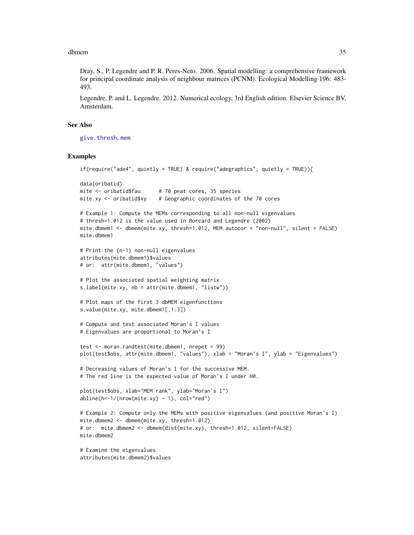#### dbmem 35

Dray, S., P. Legendre and P. R. Peres-Neto. 2006. Spatial modelling: a comprehensive framework for principal coordinate analysis of neighbour matrices (PCNM). Ecological Modelling 196: 483- 493.

Legendre, P. and L. Legendre. 2012. Numerical ecology, 3rd English edition. Elsevier Science BV, Amsterdam.

#### See Also

[give.thresh](#page-46-1), [mem](#page-99-1)

#### Examples

```
if(require("ade4", quietly = TRUE) & require("adegraphics", quietly = TRUE)){
data(oribatid)
mite \le oribatid$fau # 70 peat cores, 35 species
mite.xy <- oribatid$xy # Geographic coordinates of the 70 cores
# Example 1: Compute the MEMs corresponding to all non-null eigenvalues
# thresh=1.012 is the value used in Borcard and Legendre (2002)
mite.dbmem1 <- dbmem(mite.xy, thresh=1.012, MEM.autocor = "non-null", silent = FALSE)
mite.dbmem1
# Print the (n-1) non-null eigenvalues
attributes(mite.dbmem1)$values
# or: attr(mite.dbmem1, "values")
# Plot the associated spatial weighting matrix
s.label(mite.xy, nb = attr(mite.dbmem1, "listw"))
# Plot maps of the first 3 dbMEM eigenfunctions
s.value(mite.xy, mite.dbmem1[,1:3])
# Compute and test associated Moran's I values
# Eigenvalues are proportional to Moran's I
test <- moran.randtest(mite.dbmem1, nrepet = 99)
plot(test$obs, attr(mite.dbmem1, "values"), xlab = "Moran's I", ylab = "Eigenvalues")
# Decreasing values of Moran's I for the successive MEM.
# The red line is the expected value of Moran's I under H0.
plot(test$obs, xlab="MEM rank", ylab="Moran's I")
abline(h=-1/(nrow(mite.xy) - 1), col="red")# Example 2: Compute only the MEMs with positive eigenvalues (and positive Moran's I)
mite.dbmem2 <- dbmem(mite.xy, thresh=1.012)
# or: mite.dbmem2 <- dbmem(dist(mite.xy), thresh=1.012, silent=FALSE)
mite.dbmem2
# Examine the eigenvalues
attributes(mite.dbmem2)$values
```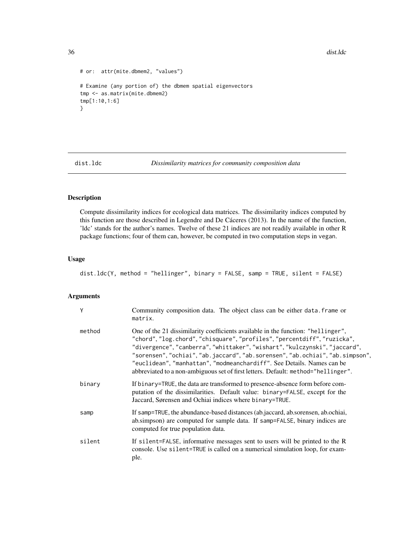36 dist.ldc

```
# or: attr(mite.dbmem2, "values")
# Examine (any portion of) the dbmem spatial eigenvectors
tmp <- as.matrix(mite.dbmem2)
tmp[1:10,1:6]
}
```
dist.ldc *Dissimilarity matrices for community composition data*

# Description

Compute dissimilarity indices for ecological data matrices. The dissimilarity indices computed by this function are those described in Legendre and De Cáceres (2013). In the name of the function, 'ldc' stands for the author's names. Twelve of these 21 indices are not readily available in other R package functions; four of them can, however, be computed in two computation steps in vegan.

#### Usage

```
dist.ldc(Y, method = "hellinger", binary = FALSE, samp = TRUE, silent = FALSE)
```
#### Arguments

| Y      | Community composition data. The object class can be either data. frame or<br>matrix.                                                                                                                                                                                                                                                                                                                                                                                                       |
|--------|--------------------------------------------------------------------------------------------------------------------------------------------------------------------------------------------------------------------------------------------------------------------------------------------------------------------------------------------------------------------------------------------------------------------------------------------------------------------------------------------|
| method | One of the 21 dissimilarity coefficients available in the function: "hellinger",<br>"chord", "log.chord", "chisquare", "profiles", "percentdiff", "ruzicka",<br>"divergence", "canberra", "whittaker", "wishart", "kulczynski", "jaccard",<br>"sorensen", "ochiai", "ab.jaccard", "ab.sorensen", "ab.ochiai", "ab.simpson",<br>"euclidean", "manhattan", "modmeanchardiff". See Details. Names can be<br>abbreviated to a non-ambiguous set of first letters. Default: method="hellinger". |
| binary | If binary=TRUE, the data are transformed to presence-absence form before com-<br>putation of the dissimilarities. Default value: binary=FALSE, except for the<br>Jaccard, Sørensen and Ochiai indices where binary=TRUE.                                                                                                                                                                                                                                                                   |
| samp   | If samp=TRUE, the abundance-based distances (ab.jaccard, ab.sorensen, ab.ochiai,<br>ab.simpson) are computed for sample data. If samp=FALSE, binary indices are<br>computed for true population data.                                                                                                                                                                                                                                                                                      |
| silent | If silent=FALSE, informative messages sent to users will be printed to the R<br>console. Use silent=TRUE is called on a numerical simulation loop, for exam-<br>ple.                                                                                                                                                                                                                                                                                                                       |

<span id="page-35-0"></span>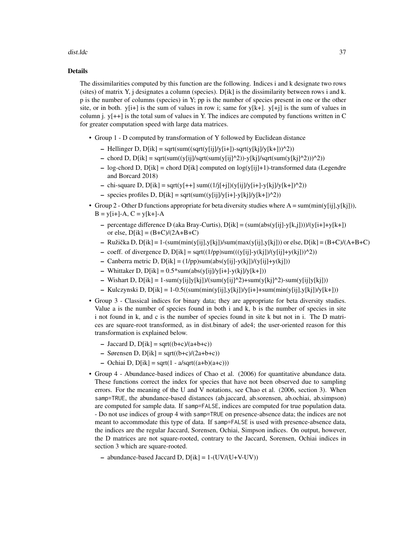#### dist.Idc 37

#### Details

The dissimilarities computed by this function are the following. Indices i and k designate two rows (sites) of matrix Y, j designates a column (species). D[ik] is the dissimilarity between rows i and k. p is the number of columns (species) in Y; pp is the number of species present in one or the other site, or in both.  $y[i+]$  is the sum of values in row i; same for  $y[k+]$ .  $y[i]$  is the sum of values in column i.  $y[++]$  is the total sum of values in Y. The indices are computed by functions written in C for greater computation speed with large data matrices.

- Group 1 D computed by transformation of Y followed by Euclidean distance
	- Hellinger D,  $D[ik]$  = sqrt(sum((sqrt(y[ij]/y[i+])-sqrt(y[kj]/y[k+]))^2))
	- chord D,  $D[ik]$  = sqrt(sum((y[ij]/sqrt(sum(y[ij]^2))-y[kj]/sqrt(sum(y[kj]^2)))^2))
	- log-chord D,  $D[ik]$  = chord  $D[ik]$  computed on  $log(y[i]+1)$ -transformed data (Legendre and Borcard 2018)
	- chi-square D,  $D[ik]$  = sqrt(y[++] sum((1/j[+j])(y[ij]/y[i+]-y[kj]/y[k+])^2))
	- species profiles D, D[ik] = sqrt(sum((y[ij]/y[i+]-y[kj]/y[k+])^2))
- Group 2 Other D functions appropriate for beta diversity studies where  $A = \text{sum}(\text{min}(y[i], y[k]])$ ,  $B = y[i+]-A, C = y[k+]-A$ 
	- percentage difference D (aka Bray-Curtis), D[ik] = (sum(abs(y[ij]-y[k,j])))/(y[i+]+y[k+]) or else,  $D[ik] = (B+C)/(2A+B+C)$
	- Ružička D, D[ik] = 1-(sum(min(y[ij],y[kj])/sum(max(y[ij],y[kj])) or else, D[ik] = (B+C)/(A+B+C)
	- coeff. of divergence D,  $D[ik]$  = sqrt( $(1/pp)$ sum( $((y[ij]-y(kj])/y[ij]+y(kj]))^2)$ )
	- Canberra metric D,  $D[ik] = (1/pp)sum(abs(y[ij]-y(kj])/(y[ij]+y(kj]))$
	- Whittaker D,  $D[ik] = 0.5*sum(abs(y[i]/y[i+] y(kj]/y[k+]))$
	- Wishart D,  $D[ik] = 1$ -sum(y[ij]y[kj])/(sum(y[ij]^2)+sum(y[kj]^2)-sum(y[ij]y[kj]))
	- Kulczynski D, D[ik] = 1-0.5((sum(min(y[ij],y[kj])/y[i+]+sum(min(y[ij],y[kj])/y[k+]))
- Group 3 Classical indices for binary data; they are appropriate for beta diversity studies. Value a is the number of species found in both i and k, b is the number of species in site i not found in k, and c is the number of species found in site k but not in i. The D matrices are square-root transformed, as in dist.binary of ade4; the user-oriented reason for this transformation is explained below.
	- $-$  Jaccard D, D[ik] = sqrt((b+c)/(a+b+c))
	- $-$  Sørensen D, D[ik] = sqrt((b+c)/(2a+b+c))
	- Ochiai D,  $D[ik]$  = sqrt(1 a/sqrt((a+b)(a+c)))
- Group 4 Abundance-based indices of Chao et al. (2006) for quantitative abundance data. These functions correct the index for species that have not been observed due to sampling errors. For the meaning of the U and V notations, see Chao et al. (2006, section 3). When samp=TRUE, the abundance-based distances (ab.jaccard, ab.sorensen, ab.ochiai, ab.simpson) are computed for sample data. If samp=FALSE, indices are computed for true population data. - Do not use indices of group 4 with samp=TRUE on presence-absence data; the indices are not meant to accommodate this type of data. If samp=FALSE is used with presence-absence data, the indices are the regular Jaccard, Sorensen, Ochiai, Simpson indices. On output, however, the D matrices are not square-rooted, contrary to the Jaccard, Sorensen, Ochiai indices in section 3 which are square-rooted.
	- abundance-based Jaccard D,  $D[ik] = 1-(UV/(U+V-UV))$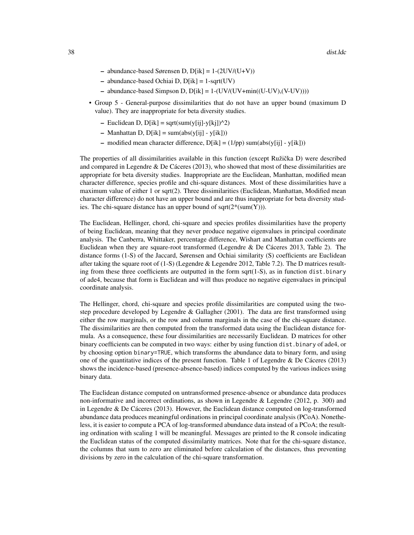- $-$  abundance-based Sørensen D, D[ik] = 1-(2UV/(U+V))
- $-$  abundance-based Ochiai D, D[ik] = 1-sqrt(UV)
- abundance-based Simpson D,  $D[ik] = 1-(UV/(UV+min((U-UV),(V-UV))))$
- Group 5 General-purpose dissimilarities that do not have an upper bound (maximum D value). They are inappropriate for beta diversity studies.
	- Euclidean D, D[ik] = sqrt(sum(y[ij]-y[kj])^2)
	- Manhattan D,  $D[ik]$  = sum( $abs(y[ij] y[ik]))$
	- modified mean character difference,  $D[ik] = (1/pp) \text{ sum}(abs(y[ij] y[ik]))$

The properties of all dissimilarities available in this function (except Ružička D) were described and compared in Legendre & De Cáceres (2013), who showed that most of these dissimilarities are appropriate for beta diversity studies. Inappropriate are the Euclidean, Manhattan, modified mean character difference, species profile and chi-square distances. Most of these dissimilarities have a maximum value of either 1 or sqrt(2). Three dissimilarities (Euclidean, Manhattan, Modified mean character difference) do not have an upper bound and are thus inappropriate for beta diversity studies. The chi-square distance has an upper bound of sqrt $(2^*(sum(Y)))$ .

The Euclidean, Hellinger, chord, chi-square and species profiles dissimilarities have the property of being Euclidean, meaning that they never produce negative eigenvalues in principal coordinate analysis. The Canberra, Whittaker, percentage difference, Wishart and Manhattan coefficients are Euclidean when they are square-root transformed (Legendre & De Cáceres 2013, Table 2). The distance forms (1-S) of the Jaccard, Sørensen and Ochiai similarity (S) coefficients are Euclidean after taking the square root of  $(1-S)$  (Legendre & Legendre 2012, Table 7.2). The D matrices resulting from these three coefficients are outputted in the form sqrt $(1-S)$ , as in function dist.binary of ade4, because that form is Euclidean and will thus produce no negative eigenvalues in principal coordinate analysis.

The Hellinger, chord, chi-square and species profile dissimilarities are computed using the twostep procedure developed by Legendre  $\&$  Gallagher (2001). The data are first transformed using either the row marginals, or the row and column marginals in the case of the chi-square distance. The dissimilarities are then computed from the transformed data using the Euclidean distance formula. As a consequence, these four dissimilarities are necessarily Euclidean. D matrices for other binary coefficients can be computed in two ways: either by using function dist.binary of ade4, or by choosing option binary=TRUE, which transforms the abundance data to binary form, and using one of the quantitative indices of the present function. Table 1 of Legendre & De Cáceres (2013) shows the incidence-based (presence-absence-based) indices computed by the various indices using binary data.

The Euclidean distance computed on untransformed presence-absence or abundance data produces non-informative and incorrect ordinations, as shown in Legendre & Legendre (2012, p. 300) and in Legendre & De Cáceres (2013). However, the Euclidean distance computed on log-transformed abundance data produces meaningful ordinations in principal coordinate analysis (PCoA). Nonetheless, it is easier to compute a PCA of log-transformed abundance data instead of a PCoA; the resulting ordination with scaling 1 will be meaningful. Messages are printed to the R console indicating the Euclidean status of the computed dissimilarity matrices. Note that for the chi-square distance, the columns that sum to zero are eliminated before calculation of the distances, thus preventing divisions by zero in the calculation of the chi-square transformation.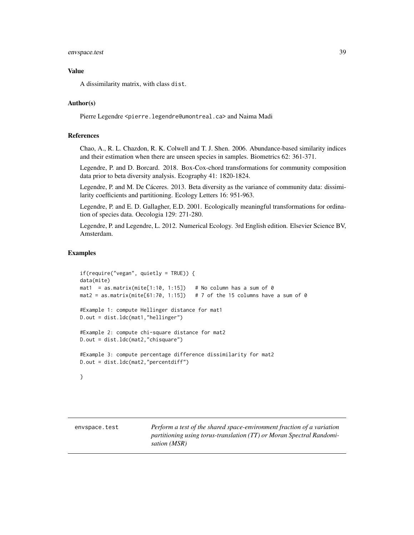## envspace.test 39

## Value

A dissimilarity matrix, with class dist.

## Author(s)

Pierre Legendre <pierre.legendre@umontreal.ca> and Naima Madi

## References

Chao, A., R. L. Chazdon, R. K. Colwell and T. J. Shen. 2006. Abundance-based similarity indices and their estimation when there are unseen species in samples. Biometrics 62: 361-371.

Legendre, P. and D. Borcard. 2018. Box-Cox-chord transformations for community composition data prior to beta diversity analysis. Ecography 41: 1820-1824.

Legendre, P. and M. De Cáceres. 2013. Beta diversity as the variance of community data: dissimilarity coefficients and partitioning. Ecology Letters 16: 951-963.

Legendre, P. and E. D. Gallagher, E.D. 2001. Ecologically meaningful transformations for ordination of species data. Oecologia 129: 271-280.

Legendre, P. and Legendre, L. 2012. Numerical Ecology. 3rd English edition. Elsevier Science BV, Amsterdam.

#### Examples

```
if(require("vegan", quietly = TRUE)) {
data(mite)
mat1 = as.matrix(mite[1:10, 1:15]) # No column has a sum of 0
mat2 = as.matrix(mite[61:70, 1:15]) # 7 of the 15 columns have a sum of 0
#Example 1: compute Hellinger distance for mat1
D.out = dist.ldc(mat1,"hellinger")
#Example 2: compute chi-square distance for mat2
D.out = dist.ldc(mat2,"chisquare")
#Example 3: compute percentage difference dissimilarity for mat2
D.out = dist.ldc(mat2,"percentdiff")
```

```
}
```
envspace.test *Perform a test of the shared space-environment fraction of a variation partitioning using torus-translation (TT) or Moran Spectral Randomisation (MSR)*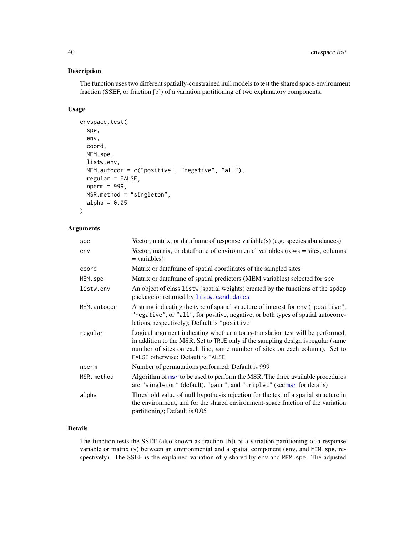# Description

The function uses two different spatially-constrained null models to test the shared space-environment fraction (SSEF, or fraction [b]) of a variation partitioning of two explanatory components.

## Usage

```
envspace.test(
  spe,
  env,
  coord,
 MEM.spe,
 listw.env,
 MEM.autocor = c("positive", "negative", "all"),
  regular = FALSE,
  nperm = 999,
 MSR.method = "singleton",
  alpha = 0.05)
```
#### Arguments

| spe         | Vector, matrix, or data frame of response variable(s) (e.g. species abundances)                                                                                                                                                                                                        |  |
|-------------|----------------------------------------------------------------------------------------------------------------------------------------------------------------------------------------------------------------------------------------------------------------------------------------|--|
| env         | Vector, matrix, or dataframe of environmental variables (rows $=$ sites, columns<br>$=$ variables)                                                                                                                                                                                     |  |
| coord       | Matrix or dataframe of spatial coordinates of the sampled sites                                                                                                                                                                                                                        |  |
| MEM.spe     | Matrix or dataframe of spatial predictors (MEM variables) selected for spe                                                                                                                                                                                                             |  |
| listw.env   | An object of class listw (spatial weights) created by the functions of the spdep<br>package or returned by listw.candidates                                                                                                                                                            |  |
| MEM.autocor | A string indicating the type of spatial structure of interest for env ("positive",<br>"negative", or "all", for positive, negative, or both types of spatial autocorre-<br>lations, respectively); Default is "positive"                                                               |  |
| regular     | Logical argument indicating whether a torus-translation test will be performed,<br>in addition to the MSR. Set to TRUE only if the sampling design is regular (same<br>number of sites on each line, same number of sites on each column). Set to<br>FALSE otherwise; Default is FALSE |  |
| nperm       | Number of permutations performed; Default is 999                                                                                                                                                                                                                                       |  |
| MSR.method  | Algorithm of msr to be used to perform the MSR. The three available procedures<br>are "singleton" (default), "pair", and "triplet" (see msr for details)                                                                                                                               |  |
| alpha       | Threshold value of null hypothesis rejection for the test of a spatial structure in<br>the environment, and for the shared environment-space fraction of the variation<br>partitioning; Default is 0.05                                                                                |  |

## Details

The function tests the SSEF (also known as fraction [b]) of a variation partitioning of a response variable or matrix (y) between an environmental and a spatial component (env, and MEM. spe, respectively). The SSEF is the explained variation of y shared by env and MEM.spe. The adjusted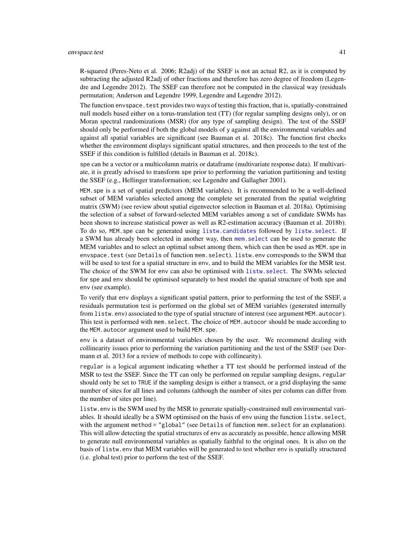R-squared (Peres-Neto et al. 2006; R2adj) of the SSEF is not an actual R2, as it is computed by subtracting the adjusted R2adj of other fractions and therefore has zero degree of freedom (Legendre and Legendre 2012). The SSEF can therefore not be computed in the classical way (residuals permutation; Anderson and Legendre 1999, Legendre and Legendre 2012).

The function envspace, test provides two ways of testing this fraction, that is, spatially-constrained null models based either on a torus-translation test (TT) (for regular sampling designs only), or on Moran spectral randomizations (MSR) (for any type of sampling design). The test of the SSEF should only be performed if both the global models of y against all the environmental variables and against all spatial variables are significant (see Bauman et al. 2018c). The function first checks whether the environment displays significant spatial structures, and then proceeds to the test of the SSEF if this condition is fulfilled (details in Bauman et al. 2018c).

spe can be a vector or a multicolumn matrix or dataframe (multivariate response data). If multivariate, it is greatly advised to transform spe prior to performing the variation partitioning and testing the SSEF (e.g., Hellinger transformation; see Legendre and Gallagher 2001).

MEM.spe is a set of spatial predictors (MEM variables). It is recommended to be a well-defined subset of MEM variables selected among the complete set generated from the spatial weighting matrix (SWM) (see review about spatial eigenvector selection in Bauman et al. 2018a). Optimising the selection of a subset of forward-selected MEM variables among a set of candidate SWMs has been shown to increase statistical power as well as R2-estimation accuracy (Bauman et al. 2018b). To do so, MEM.spe can be generated using [listw.candidates](#page-51-0) followed by [listw.select](#page-55-0). If a SWM has already been selected in another way, then [mem.select](#page-59-0) can be used to generate the MEM variables and to select an optimal subset among them, which can then be used as MEM, spe in envspace.test (see Details of function mem.select). listw.env corresponds to the SWM that will be used to test for a spatial structure in env, and to build the MEM variables for the MSR test. The choice of the SWM for env can also be optimised with [listw.select](#page-55-0). The SWMs selected for spe and env should be optimised separately to best model the spatial structure of both spe and env (see example).

To verify that env displays a significant spatial pattern, prior to performing the test of the SSEF, a residuals permutation test is performed on the global set of MEM variables (generated internally from listw.env) associated to the type of spatial structure of interest (see argument MEM. autocor). This test is performed with mem. select. The choice of MEM. autocor should be made according to the MEM.autocor argument used to build MEM.spe.

env is a dataset of environmental variables chosen by the user. We recommend dealing with collinearity issues prior to performing the variation partitioning and the test of the SSEF (see Dormann et al. 2013 for a review of methods to cope with collinearity).

regular is a logical argument indicating whether a TT test should be performed instead of the MSR to test the SSEF. Since the TT can only be performed on regular sampling designs, regular should only be set to TRUE if the sampling design is either a transect, or a grid displaying the same number of sites for all lines and columns (although the number of sites per column can differ from the number of sites per line).

listw.env is the SWM used by the MSR to generate spatially-constrained null environmental variables. It should ideally be a SWM optimised on the basis of env using the function listw.select, with the argument method = "global" (see Details of function mem. select for an explanation). This will allow detecting the spatial structures of env as accurately as possible, hence allowing MSR to generate null environmental variables as spatially faithful to the original ones. It is also on the basis of listw.env that MEM variables will be generated to test whether env is spatially structured (i.e. global test) prior to perform the test of the SSEF.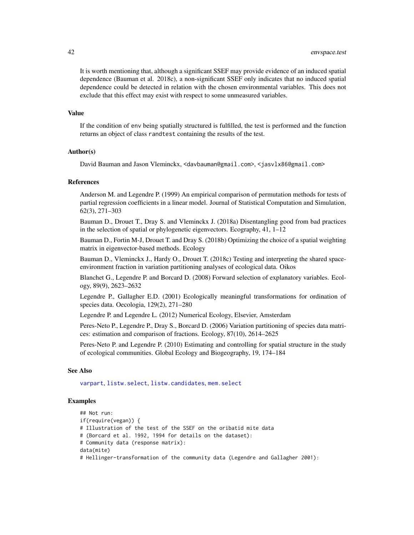It is worth mentioning that, although a significant SSEF may provide evidence of an induced spatial dependence (Bauman et al. 2018c), a non-significant SSEF only indicates that no induced spatial dependence could be detected in relation with the chosen environmental variables. This does not exclude that this effect may exist with respect to some unmeasured variables.

#### Value

If the condition of env being spatially structured is fulfilled, the test is performed and the function returns an object of class randtest containing the results of the test.

# Author(s)

David Bauman and Jason Vleminckx, <davbauman@gmail.com>, <jasvlx86@gmail.com>

#### References

Anderson M. and Legendre P. (1999) An empirical comparison of permutation methods for tests of partial regression coefficients in a linear model. Journal of Statistical Computation and Simulation, 62(3), 271–303

Bauman D., Drouet T., Dray S. and Vleminckx J. (2018a) Disentangling good from bad practices in the selection of spatial or phylogenetic eigenvectors. Ecography, 41, 1–12

Bauman D., Fortin M-J, Drouet T. and Dray S. (2018b) Optimizing the choice of a spatial weighting matrix in eigenvector-based methods. Ecology

Bauman D., Vleminckx J., Hardy O., Drouet T. (2018c) Testing and interpreting the shared spaceenvironment fraction in variation partitioning analyses of ecological data. Oikos

Blanchet G., Legendre P. and Borcard D. (2008) Forward selection of explanatory variables. Ecology, 89(9), 2623–2632

Legendre P., Gallagher E.D. (2001) Ecologically meaningful transformations for ordination of species data. Oecologia, 129(2), 271–280

Legendre P. and Legendre L. (2012) Numerical Ecology, Elsevier, Amsterdam

Peres-Neto P., Legendre P., Dray S., Borcard D. (2006) Variation partitioning of species data matrices: estimation and comparison of fractions. Ecology, 87(10), 2614–2625

Peres-Neto P. and Legendre P. (2010) Estimating and controlling for spatial structure in the study of ecological communities. Global Ecology and Biogeography, 19, 174–184

#### See Also

[varpart](#page-0-0), [listw.select](#page-55-0), [listw.candidates](#page-51-0), [mem.select](#page-59-0)

## Examples

```
## Not run:
if(require(vegan)) {
# Illustration of the test of the SSEF on the oribatid mite data
# (Borcard et al. 1992, 1994 for details on the dataset):
# Community data (response matrix):
data(mite)
# Hellinger-transformation of the community data (Legendre and Gallagher 2001):
```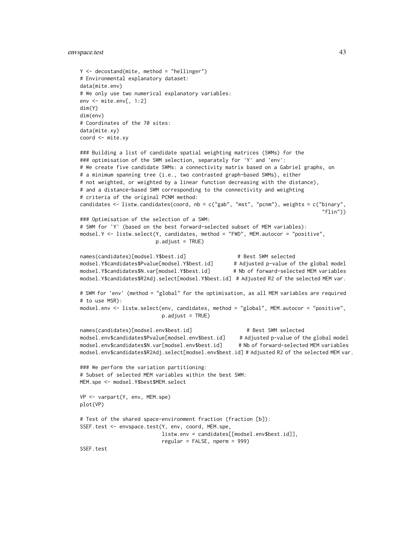## envspace.test 43

```
Y <- decostand(mite, method = "hellinger")
# Environmental explanatory dataset:
data(mite.env)
# We only use two numerical explanatory variables:
env <- mite.env[, 1:2]
dim(Y)
dim(env)
# Coordinates of the 70 sites:
data(mite.xy)
coord <- mite.xy
```

```
### Building a list of candidate spatial weighting matrices (SWMs) for the
### optimisation of the SWM selection, separately for 'Y' and 'env':
# We create five candidate SWMs: a connectivity matrix based on a Gabriel graphs, on
# a minimum spanning tree (i.e., two contrasted graph-based SWMs), either
# not weighted, or weighted by a linear function decreasing with the distance),
# and a distance-based SWM corresponding to the connectivity and weighting
# criteria of the original PCNM method:
candidates <- listw.candidates(coord, nb = c("gab", "mst", "pcnm"), weights = c("binary",
                                                                               "flin"))
### Optimisation of the selection of a SWM:
# SWM for 'Y' (based on the best forward-selected subset of MEM variables):
modsel.Y <- listw.select(Y, candidates, method = "FWD", MEM.autocor = "positive",
                        p.adjust = TRUE)
names(candidates)[modsel.Y$best.id] # Best SWM selected
modsel.Y$candidates$Pvalue[modsel.Y$best.id] # Adjusted p-value of the global model
modsel.Y$candidates$N.var[modsel.Y$best.id] # Nb of forward-selected MEM variables
modsel.Y$candidates$R2Adj.select[modsel.Y$best.id] # Adjusted R2 of the selected MEM var.
# SWM for 'env' (method = "global" for the optimisation, as all MEM variables are required
# to use MSR):
modsel.env <- listw.select(env, candidates, method = "global", MEM.autocor = "positive",
                          p.addjust = TRUE)names(candidates)[modsel.env$best.id] # Best SWM selected
modsel.env$candidates$Pvalue[modsel.env$best.id] # Adjusted p-value of the global model
modsel.env$candidates$N.var[modsel.env$best.id] # Nb of forward-selected MEM variables
modsel.env$candidates$R2Adj.select[modsel.env$best.id] # Adjusted R2 of the selected MEM var.
### We perform the variation partitioning:
# Subset of selected MEM variables within the best SWM:
MEM.spe <- modsel.Y$best$MEM.select
VP <- varpart(Y, env, MEM.spe)
plot(VP)
# Test of the shared space-environment fraction (fraction [b]):
SSEF.test <- envspace.test(Y, env, coord, MEM.spe,
                          listw.env = candidates[[modsel.env$best.id]],
                          regular = FALSE, nperm = 999)
```
SSEF.test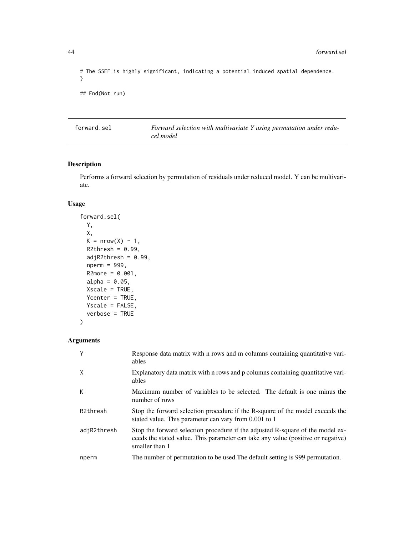```
# The SSEF is highly significant, indicating a potential induced spatial dependence.
}
## End(Not run)
```
forward.sel *Forward selection with multivariate Y using permutation under reducel model*

## Description

Performs a forward selection by permutation of residuals under reduced model. Y can be multivariate.

# Usage

```
forward.sel(
 Y,
 X,
 K = nrow(X) - 1,
 R2thresh = 0.99,
 adjR2thresh = 0.99,
 nperm = 999,
 R2more = 0.001,alpha = 0.05,
 Xscale = TRUE,
 Ycenter = TRUE,
 Yscale = FALSE,
  verbose = TRUE
```
# Arguments

)

|             | Response data matrix with n rows and m columns containing quantitative vari-<br>ables                                                                                                |
|-------------|--------------------------------------------------------------------------------------------------------------------------------------------------------------------------------------|
| X           | Explanatory data matrix with n rows and p columns containing quantitative vari-<br>ables                                                                                             |
| К           | Maximum number of variables to be selected. The default is one minus the<br>number of rows                                                                                           |
| R2thresh    | Stop the forward selection procedure if the R-square of the model exceeds the<br>stated value. This parameter can vary from 0.001 to 1                                               |
| adjR2thresh | Stop the forward selection procedure if the adjusted R-square of the model ex-<br>ceeds the stated value. This parameter can take any value (positive or negative)<br>smaller than 1 |
| nperm       | The number of permutation to be used. The default setting is 999 permutation.                                                                                                        |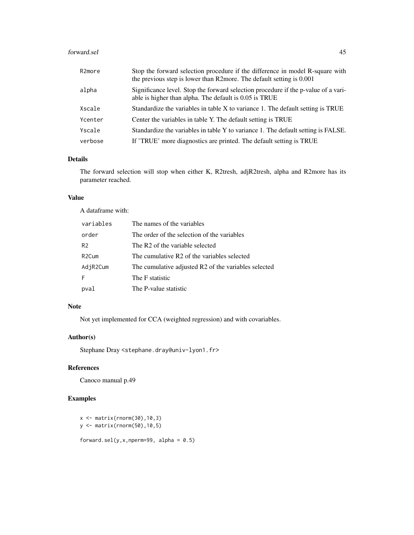#### forward.sel 45

| R <sub>2</sub> more | Stop the forward selection procedure if the difference in model R-square with<br>the previous step is lower than R2more. The default setting is 0.001 |
|---------------------|-------------------------------------------------------------------------------------------------------------------------------------------------------|
| alpha               | Significance level. Stop the forward selection procedure if the p-value of a vari-<br>able is higher than alpha. The default is 0.05 is TRUE          |
| Xscale              | Standardize the variables in table X to variance 1. The default setting is TRUE                                                                       |
| Ycenter             | Center the variables in table Y. The default setting is TRUE                                                                                          |
| Yscale              | Standardize the variables in table Y to variance 1. The default setting is FALSE.                                                                     |
| verbose             | If 'TRUE' more diagnostics are printed. The default setting is TRUE                                                                                   |

# Details

The forward selection will stop when either K, R2tresh, adjR2tresh, alpha and R2more has its parameter reached.

# Value

A dataframe with:

| variables          | The names of the variables                           |
|--------------------|------------------------------------------------------|
| order              | The order of the selection of the variables          |
| R <sub>2</sub>     | The R <sub>2</sub> of the variable selected          |
| R <sub>2</sub> Cum | The cumulative R2 of the variables selected          |
| AdjR2Cum           | The cumulative adjusted R2 of the variables selected |
| F                  | The F statistic                                      |
| pval               | The P-value statistic                                |

## Note

Not yet implemented for CCA (weighted regression) and with covariables.

# Author(s)

Stephane Dray <stephane.dray@univ-lyon1.fr>

# References

Canoco manual p.49

# Examples

```
x <- matrix(rnorm(30),10,3)
y <- matrix(rnorm(50),10,5)
```
forward.sel(y,x,nperm=99, alpha =  $0.5$ )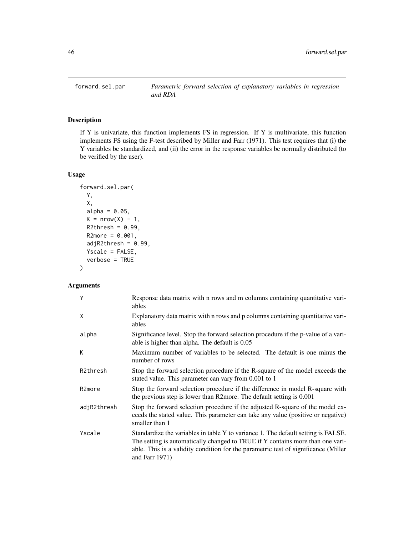## Description

If Y is univariate, this function implements FS in regression. If Y is multivariate, this function implements FS using the F-test described by Miller and Farr (1971). This test requires that (i) the Y variables be standardized, and (ii) the error in the response variables be normally distributed (to be verified by the user).

# Usage

```
forward.sel.par(
 Y,
 X,
 alpha = 0.05,
 K = nrow(X) - 1,
 R2thresh = 0.99,R2more = 0.001,adjR2thresh = 0.99,Yscale = FALSE,
  verbose = TRUE
\mathcal{L}
```
# Arguments

| Y                   | Response data matrix with n rows and m columns containing quantitative vari-<br>ables                                                                                                                                                                                          |
|---------------------|--------------------------------------------------------------------------------------------------------------------------------------------------------------------------------------------------------------------------------------------------------------------------------|
| X                   | Explanatory data matrix with n rows and p columns containing quantitative vari-<br>ables                                                                                                                                                                                       |
| alpha               | Significance level. Stop the forward selection procedure if the p-value of a vari-<br>able is higher than alpha. The default is 0.05                                                                                                                                           |
| K                   | Maximum number of variables to be selected. The default is one minus the<br>number of rows                                                                                                                                                                                     |
| R2thresh            | Stop the forward selection procedure if the R-square of the model exceeds the<br>stated value. This parameter can vary from 0.001 to 1                                                                                                                                         |
| R <sub>2</sub> more | Stop the forward selection procedure if the difference in model R-square with<br>the previous step is lower than R2more. The default setting is 0.001                                                                                                                          |
| adjR2thresh         | Stop the forward selection procedure if the adjusted R-square of the model ex-<br>ceeds the stated value. This parameter can take any value (positive or negative)<br>smaller than 1                                                                                           |
| Yscale              | Standardize the variables in table Y to variance 1. The default setting is FALSE.<br>The setting is automatically changed to TRUE if Y contains more than one vari-<br>able. This is a validity condition for the parametric test of significance (Miller<br>and Farr $1971$ ) |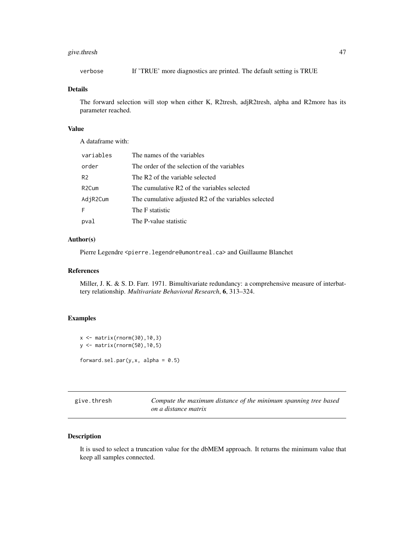# give.thresh 47

verbose If 'TRUE' more diagnostics are printed. The default setting is TRUE

#### Details

The forward selection will stop when either K, R2tresh, adjR2tresh, alpha and R2more has its parameter reached.

#### Value

A dataframe with:

| variables      | The names of the variables                           |
|----------------|------------------------------------------------------|
| order          | The order of the selection of the variables          |
| R <sub>2</sub> | The R <sub>2</sub> of the variable selected          |
| R2Cum          | The cumulative R2 of the variables selected          |
| AdjR2Cum       | The cumulative adjusted R2 of the variables selected |
| F              | The F statistic                                      |
| pval           | The P-value statistic                                |

## Author(s)

Pierre Legendre <pierre.legendre@umontreal.ca> and Guillaume Blanchet

## References

Miller, J. K. & S. D. Farr. 1971. Bimultivariate redundancy: a comprehensive measure of interbattery relationship. *Multivariate Behavioral Research*, 6, 313–324.

## Examples

```
x <- matrix(rnorm(30),10,3)
y <- matrix(rnorm(50),10,5)
forward.sel.par(y, x, alpha = 0.5)
```
give.thresh *Compute the maximum distance of the minimum spanning tree based on a distance matrix*

#### Description

It is used to select a truncation value for the dbMEM approach. It returns the minimum value that keep all samples connected.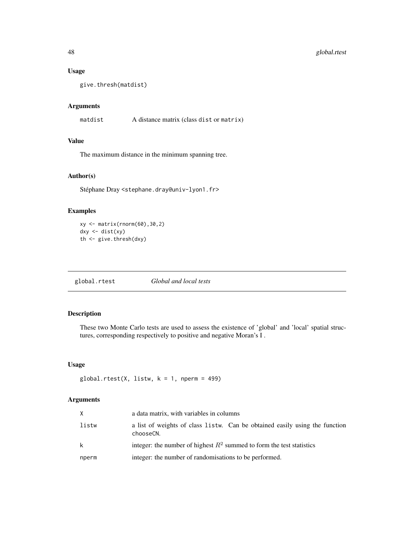## Usage

give.thresh(matdist)

## Arguments

matdist A distance matrix (class dist or matrix)

## Value

The maximum distance in the minimum spanning tree.

# Author(s)

Stéphane Dray <stephane.dray@univ-lyon1.fr>

## Examples

```
xy <- matrix(rnorm(60),30,2)
dxy <- dist(xy)
th <- give.thresh(dxy)
```
global.rtest *Global and local tests*

## Description

These two Monte Carlo tests are used to assess the existence of 'global' and 'local' spatial structures, corresponding respectively to positive and negative Moran's I .

# Usage

```
global.rtest(X, listw, k = 1, nperm = 499)
```
# Arguments

| X.    | a data matrix, with variables in columns                                                 |
|-------|------------------------------------------------------------------------------------------|
| listw | a list of weights of class listw. Can be obtained easily using the function<br>chooseCN. |
| k     | integer: the number of highest $R^2$ summed to form the test statistics                  |
| nperm | integer: the number of randomisations to be performed.                                   |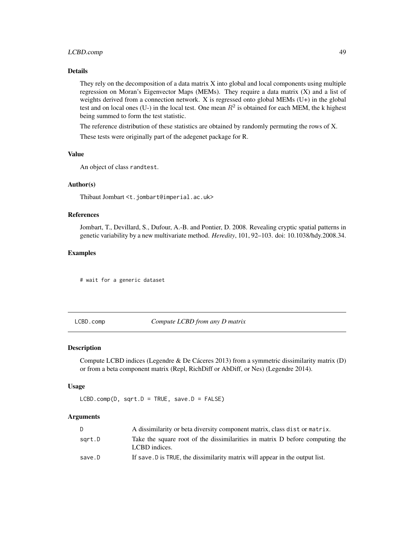## LCBD.comp 49

## Details

They rely on the decomposition of a data matrix X into global and local components using multiple regression on Moran's Eigenvector Maps (MEMs). They require a data matrix (X) and a list of weights derived from a connection network. X is regressed onto global MEMs (U+) in the global test and on local ones (U-) in the local test. One mean  $R^2$  is obtained for each MEM, the k highest being summed to form the test statistic.

The reference distribution of these statistics are obtained by randomly permuting the rows of X.

These tests were originally part of the adegenet package for R.

### Value

An object of class randtest.

## Author(s)

Thibaut Jombart <t.jombart@imperial.ac.uk>

## References

Jombart, T., Devillard, S., Dufour, A.-B. and Pontier, D. 2008. Revealing cryptic spatial patterns in genetic variability by a new multivariate method. *Heredity*, 101, 92–103. doi: 10.1038/hdy.2008.34.

## Examples

# wait for a generic dataset

LCBD.comp *Compute LCBD from any D matrix*

#### Description

Compute LCBD indices (Legendre & De Cáceres 2013) from a symmetric dissimilarity matrix (D) or from a beta component matrix (Repl, RichDiff or AbDiff, or Nes) (Legendre 2014).

#### Usage

 $LCBD.comp(D, sqrt.D = TRUE, save.D = FALSE)$ 

## Arguments

| D.     | A dissimilarity or beta diversity component matrix, class dist or matrix.                     |
|--------|-----------------------------------------------------------------------------------------------|
| sqrt.D | Take the square root of the dissimilarities in matrix D before computing the<br>LCBD indices. |
| save.D | If save D is TRUE, the dissimilarity matrix will appear in the output list.                   |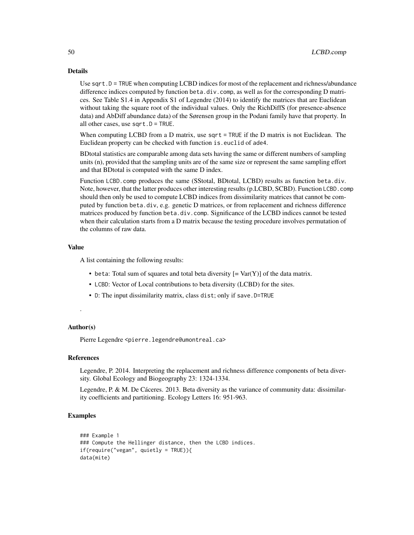#### Details

Use sqrt.D = TRUE when computing LCBD indices for most of the replacement and richness/abundance difference indices computed by function beta.div.comp, as well as for the corresponding D matrices. See Table S1.4 in Appendix S1 of Legendre (2014) to identify the matrices that are Euclidean without taking the square root of the individual values. Only the RichDiffS (for presence-absence data) and AbDiff abundance data) of the Sørensen group in the Podani family have that property. In all other cases, use sqrt.D = TRUE.

When computing LCBD from a D matrix, use sqrt = TRUE if the D matrix is not Euclidean. The Euclidean property can be checked with function is.euclid of ade4.

BDtotal statistics are comparable among data sets having the same or different numbers of sampling units (n), provided that the sampling units are of the same size or represent the same sampling effort and that BDtotal is computed with the same D index.

Function LCBD.comp produces the same (SStotal, BDtotal, LCBD) results as function beta.div. Note, however, that the latter produces other interesting results (p.LCBD, SCBD). Function LCBD.comp should then only be used to compute LCBD indices from dissimilarity matrices that cannot be computed by function beta.div, e.g. genetic D matrices, or from replacement and richness difference matrices produced by function beta.div.comp. Significance of the LCBD indices cannot be tested when their calculation starts from a D matrix because the testing procedure involves permutation of the columns of raw data.

#### Value

A list containing the following results:

- beta: Total sum of squares and total beta diversity  $[= Var(Y)]$  of the data matrix.
- LCBD: Vector of Local contributions to beta diversity (LCBD) for the sites.
- D: The input dissimilarity matrix, class dist; only if save.D=TRUE

## Author(s)

.

Pierre Legendre <pierre.legendre@umontreal.ca>

#### References

Legendre, P. 2014. Interpreting the replacement and richness difference components of beta diversity. Global Ecology and Biogeography 23: 1324-1334.

Legendre, P. & M. De Cáceres. 2013. Beta diversity as the variance of community data: dissimilarity coefficients and partitioning. Ecology Letters 16: 951-963.

#### Examples

```
### Example 1
### Compute the Hellinger distance, then the LCBD indices.
if(require("vegan", quietly = TRUE)){
data(mite)
```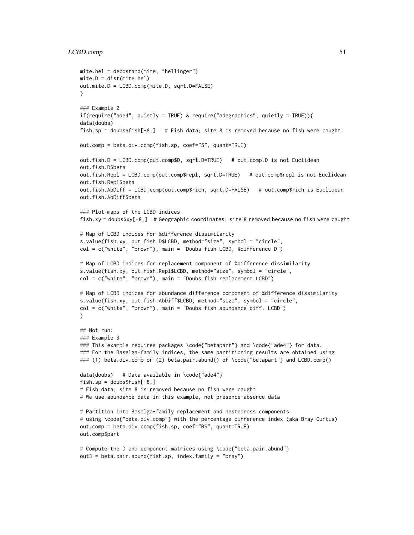#### $LCD, comp$  51

```
mite.hel = decostand(mite, "hellinger")
mite.D = dist(mite.hel)
out.mite.D = LCBD.comp(mite.D, sqrt.D=FALSE)
}
### Example 2
if(require("ade4", quietly = TRUE) & require("adegraphics", quietly = TRUE)){
data(doubs)
fish.sp = doubs$fish[-8,] # Fish data; site 8 is removed because no fish were caught
out.comp = beta.div.comp(fish.sp, coef="S", quant=TRUE)
out.fish.D = LCBD.comp(out.comp$D, sqrt.D=TRUE) # out.comp.D is not Euclidean
out.fish.D$beta
out.fish.Repl = LCBD.comp(out.comp$repl, sqrt.D=TRUE) # out.comp$repl is not Euclidean
out.fish.Repl$beta
out.fish.AbDiff = LCBD.comp(out.comp$rich, sqrt.D=FALSE) # out.comp$rich is Euclidean
out.fish.AbDiff$beta
### Plot maps of the LCBD indices
fish.xy = doubs$xy[-8,] # Geographic coordinates; site 8 removed because no fish were caught
# Map of LCBD indices for %difference dissimilarity
s.value(fish.xy, out.fish.D$LCBD, method="size", symbol = "circle",
col = c("white", "brown"), main = "Doubs fish LCBD, %difference D")
# Map of LCBD indices for replacement component of %difference dissimilarity
s.value(fish.xy, out.fish.Repl$LCBD, method="size", symbol = "circle",
col = c("white", "brown"), main = "Doubs fish replacement LCBD")
# Map of LCBD indices for abundance difference component of %difference dissimilarity
s.value(fish.xy, out.fish.AbDiff$LCBD, method="size", symbol = "circle",
col = c("white", "brown"), main = "Double fish abundance diff. LCBD")}
## Not run:
### Example 3
### This example requires packages \code{"betapart"} and \code{"ade4"} for data.
### For the Baselga-family indices, the same partitioning results are obtained using
### (1) beta.div.comp or (2) beta.pair.abund() of \code{"betapart"} and LCBD.comp()
data(doubs) # Data available in \code{"ade4"}
fish(sp = doubles$fish[-8, ]# Fish data; site 8 is removed because no fish were caught
# We use abundance data in this example, not presence-absence data
# Partition into Baselga-family replacement and nestedness components
# using \code{"beta.div.comp"} with the percentage difference index (aka Bray-Curtis)
out.comp = beta.div.comp(fish.sp, coef="BS", quant=TRUE)
out.comp$part
# Compute the D and component matrices using \code{"beta.pair.abund"}
out3 = beta.pair.abund(fish.sp, index.family = "bray")
```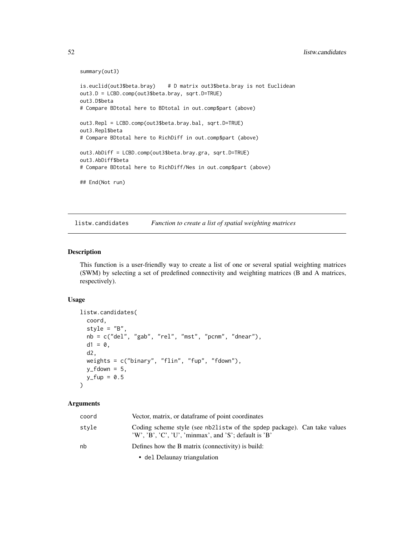```
summary(out3)
```

```
is.euclid(out3$beta.bray) # D matrix out3$beta.bray is not Euclidean
out3.D = LCBD.comp(out3$beta.bray, sqrt.D=TRUE)
out3.D$beta
# Compare BDtotal here to BDtotal in out.comp$part (above)
out3.Repl = LCBD.comp(out3$beta.bray.bal, sqrt.D=TRUE)
out3.Repl$beta
# Compare BDtotal here to RichDiff in out.comp$part (above)
out3.AbDiff = LCBD.comp(out3$beta.bray.gra, sqrt.D=TRUE)
out3.AbDiff$beta
# Compare BDtotal here to RichDiff/Nes in out.comp$part (above)
## End(Not run)
```
<span id="page-51-0"></span>listw.candidates *Function to create a list of spatial weighting matrices*

## Description

This function is a user-friendly way to create a list of one or several spatial weighting matrices (SWM) by selecting a set of predefined connectivity and weighting matrices (B and A matrices, respectively).

## Usage

```
listw.candidates(
  coord,
  style = "B",
  nb = c("del", "gab", "rel", "mst", "pcnm", "dnear"),d1 = 0,
  d2,
  weights = c("binary", "flin", "fup", "fdown"),
 y_f fdown = 5,
 y_fup = 0.5)
```
## Arguments

| coord | Vector, matrix, or dataframe of point coordinates                                                                                    |
|-------|--------------------------------------------------------------------------------------------------------------------------------------|
| stvle | Coding scheme style (see nb21 is two of the spdep package). Can take values<br>'W', 'B', 'C', 'U', 'minmax', and 'S'; default is 'B' |
| nh    | Defines how the B matrix (connectivity) is build:                                                                                    |
|       | • del Delaunay triangulation                                                                                                         |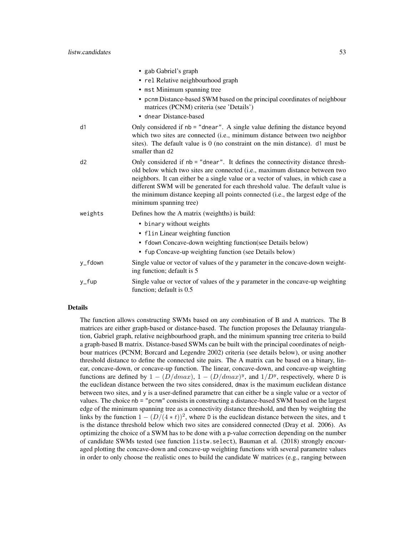|         | • gab Gabriel's graph                                                                                                                                                                                                                                                                                                                                                                                                                             |
|---------|---------------------------------------------------------------------------------------------------------------------------------------------------------------------------------------------------------------------------------------------------------------------------------------------------------------------------------------------------------------------------------------------------------------------------------------------------|
|         | • rel Relative neighbourhood graph                                                                                                                                                                                                                                                                                                                                                                                                                |
|         | • mst Minimum spanning tree                                                                                                                                                                                                                                                                                                                                                                                                                       |
|         | • pcnm Distance-based SWM based on the principal coordinates of neighbour<br>matrices (PCNM) criteria (see 'Details')                                                                                                                                                                                                                                                                                                                             |
|         | • dnear Distance-based                                                                                                                                                                                                                                                                                                                                                                                                                            |
| d1      | Only considered if $nb = "dhear".$ A single value defining the distance beyond<br>which two sites are connected (i.e., minimum distance between two neighbor<br>sites). The default value is $0$ (no constraint on the min distance). d1 must be<br>smaller than d2                                                                                                                                                                               |
| d2      | Only considered if nb = "dnear". It defines the connectivity distance thresh-<br>old below which two sites are connected (i.e., maximum distance between two<br>neighbors. It can either be a single value or a vector of values, in which case a<br>different SWM will be generated for each threshold value. The default value is<br>the minimum distance keeping all points connected (i.e., the largest edge of the<br>minimum spanning tree) |
| weights | Defines how the A matrix (weighths) is build:                                                                                                                                                                                                                                                                                                                                                                                                     |
|         | • binary without weights                                                                                                                                                                                                                                                                                                                                                                                                                          |
|         | • flin Linear weighting function                                                                                                                                                                                                                                                                                                                                                                                                                  |
|         | • fdown Concave-down weighting function(see Details below)                                                                                                                                                                                                                                                                                                                                                                                        |
|         | • fup Concave-up weighting function (see Details below)                                                                                                                                                                                                                                                                                                                                                                                           |
| y_fdown | Single value or vector of values of the y parameter in the concave-down weight-<br>ing function; default is 5                                                                                                                                                                                                                                                                                                                                     |
| y_fup   | Single value or vector of values of the y parameter in the concave-up weighting<br>function; default is 0.5                                                                                                                                                                                                                                                                                                                                       |

#### Details

The function allows constructing SWMs based on any combination of B and A matrices. The B matrices are either graph-based or distance-based. The function proposes the Delaunay triangulation, Gabriel graph, relative neighbourhood graph, and the minimum spanning tree criteria to build a graph-based B matrix. Distance-based SWMs can be built with the principal coordinates of neighbour matrices (PCNM; Borcard and Legendre 2002) criteria (see details below), or using another threshold distance to define the connected site pairs. The A matrix can be based on a binary, linear, concave-down, or concave-up function. The linear, concave-down, and concave-up weighting functions are defined by  $1 - (D/dmax)$ ,  $1 - (D/dmax)^y$ , and  $1/D^y$ , respectively, where D is the euclidean distance between the two sites considered, dmax is the maximum euclidean distance between two sites, and y is a user-defined parametre that can either be a single value or a vector of values. The choice nb = "pcnm" consists in constructing a distance-based SWM based on the largest edge of the minimum spanning tree as a connectivity distance threshold, and then by weighting the links by the function  $1 - (D/(4*t))^2$ , where D is the euclidean distance between the sites, and t is the distance threshold below which two sites are considered connected (Dray et al. 2006). As optimizing the choice of a SWM has to be done with a p-value correction depending on the number of candidate SWMs tested (see function listw.select), Bauman et al. (2018) strongly encouraged plotting the concave-down and concave-up weighting functions with several parametre values in order to only choose the realistic ones to build the candidate W matrices (e.g., ranging between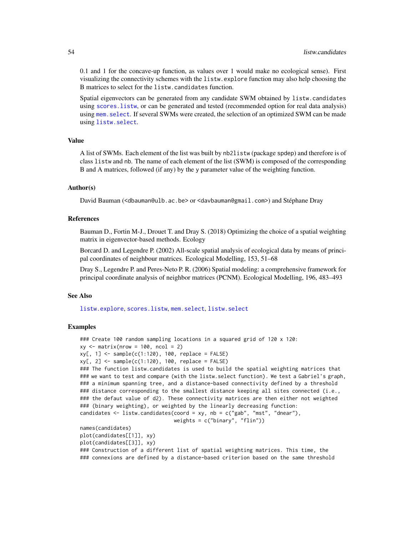0.1 and 1 for the concave-up function, as values over 1 would make no ecological sense). First visualizing the connectivity schemes with the listw.explore function may also help choosing the B matrices to select for the listw.candidates function.

Spatial eigenvectors can be generated from any candidate SWM obtained by listw.candidates using [scores.listw](#page-99-0), or can be generated and tested (recommended option for real data analysis) using [mem.select](#page-59-0). If several SWMs were created, the selection of an optimized SWM can be made using [listw.select](#page-55-0).

#### Value

A list of SWMs. Each element of the list was built by nb2listw (package spdep) and therefore is of class listw and nb. The name of each element of the list (SWM) is composed of the corresponding B and A matrices, followed (if any) by the y parameter value of the weighting function.

#### Author(s)

David Bauman (<dbauman@ulb.ac.be> or <davbauman@gmail.com>) and Stéphane Dray

#### References

Bauman D., Fortin M-J., Drouet T. and Dray S. (2018) Optimizing the choice of a spatial weighting matrix in eigenvector-based methods. Ecology

Borcard D. and Legendre P. (2002) All-scale spatial analysis of ecological data by means of principal coordinates of neighbour matrices. Ecological Modelling, 153, 51–68

Dray S., Legendre P. and Peres-Neto P. R. (2006) Spatial modeling: a comprehensive framework for principal coordinate analysis of neighbor matrices (PCNM). Ecological Modelling, 196, 483–493

#### See Also

[listw.explore](#page-54-0), [scores.listw](#page-99-0), [mem.select](#page-59-0), [listw.select](#page-55-0)

#### Examples

```
### Create 100 random sampling locations in a squared grid of 120 x 120:
xy \le - matrix(nrow = 100, ncol = 2)
xy[, 1] <- sample(c(1:120), 100, replace = FALSE)
xy[, 2] \leq - sample(c(1:120), 100, replace = FALSE)### The function listw.candidates is used to build the spatial weighting matrices that
### we want to test and compare (with the listw.select function). We test a Gabriel's graph,
### a minimum spanning tree, and a distance-based connectivity defined by a threshold
### distance corresponding to the smallest distance keeping all sites connected (i.e.,
### the defaut value of d2). These connectivity matrices are then either not weighted
### (binary weighting), or weighted by the linearly decreasing function:
candidates \leq 1istw.candidates(coord = xy, nb = c("gab", "mst", "dnear"),
                               weights = c("binary", "flin"))
names(candidates)
plot(candidates[[1]], xy)
plot(candidates[[3]], xy)
### Construction of a different list of spatial weighting matrices. This time, the
### connexions are defined by a distance-based criterion based on the same threshold
```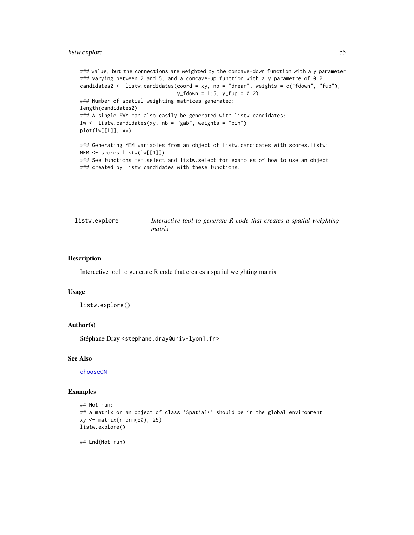# listw.explore 55

```
### value, but the connections are weighted by the concave-down function with a y parameter
### varying between 2 and 5, and a concave-up function with a y parametre of 0.2.
candidates2 \le listw.candidates(coord = xy, nb = "dnear", weights = c("fdown", "fup"),
                                y_f fdown = 1:5, y_f fup = 0.2)
### Number of spatial weighting matrices generated:
length(candidates2)
### A single SWM can also easily be generated with listw.candidates:
lw <- listw.candidates(xy, nb = "gab", weights = "bin")
plot(lw[[1]], xy)
### Generating MEM variables from an object of listw.candidates with scores.listw:
MEM <- scores.listw(lw[[1]])
### See functions mem.select and listw.select for examples of how to use an object
### created by listw.candidates with these functions.
```
<span id="page-54-0"></span>

| listw.explore | Interactive tool to generate R code that creates a spatial weighting |
|---------------|----------------------------------------------------------------------|
|               | matrix                                                               |

#### Description

Interactive tool to generate R code that creates a spatial weighting matrix

## Usage

```
listw.explore()
```
#### Author(s)

Stéphane Dray <stephane.dray@univ-lyon1.fr>

#### See Also

[chooseCN](#page-19-0)

#### Examples

```
## Not run:
## a matrix or an object of class 'Spatial*' should be in the global environment
xy <- matrix(rnorm(50), 25)
listw.explore()
```
## End(Not run)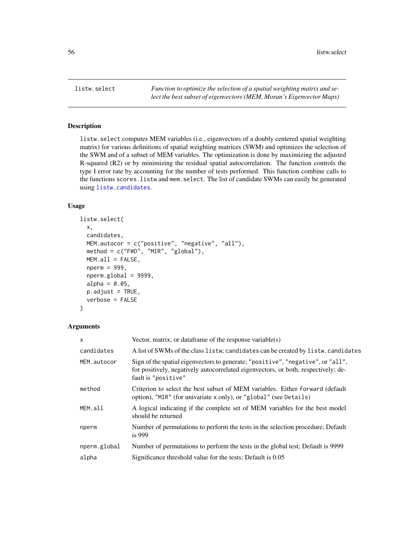<span id="page-55-0"></span>

# Description

listw.select computes MEM variables (i.e., eigenvectors of a doubly centered spatial weighting matrix) for various definitions of spatial weighting matrices (SWM) and optimizes the selection of the SWM and of a subset of MEM variables. The optimization is done by maximizing the adjusted R-squared (R2) or by minimizing the residual spatial autocorrelation. The function controls the type I error rate by accounting for the number of tests performed. This function combine calls to the functions scores.listw and mem.select. The list of candidate SWMs can easily be generated using [listw.candidates](#page-51-0).

## Usage

```
listw.select(
  x,
  candidates,
 MEM.autocor = c("positive", "negative", "all"),
 method = c("FWD", "MIR", "global"),
 MEM.all = FALSE,
  nperm = 999,
  nperm.global = 9999,
  alpha = 0.05,
  p.addjust = TRUE,verbose = FALSE
)
```
## Arguments

| $\times$     | Vector, matrix, or data frame of the response variable $(s)$                                                                                                                                 |
|--------------|----------------------------------------------------------------------------------------------------------------------------------------------------------------------------------------------|
| candidates   | A list of SWMs of the class listw; candidates can be created by listw.candidates                                                                                                             |
| MEM.autocor  | Sign of the spatial eigenvectors to generate; "positive", "negative", or "all",<br>for positively, negatively autocorrelated eigenvectors, or both, respectively; de-<br>fault is "positive" |
| method       | Criterion to select the best subset of MEM variables. Either forward (default<br>option), "MIR" (for univariate x only), or "global" (see Details)                                           |
| MEM.all      | A logical indicating if the complete set of MEM variables for the best model<br>should be returned                                                                                           |
| nperm        | Number of permutations to perform the tests in the selection procedure; Default<br>is $999$                                                                                                  |
| nperm.global | Number of permutations to perform the tests in the global test; Default is 9999                                                                                                              |
| alpha        | Significance threshold value for the tests; Default is 0.05                                                                                                                                  |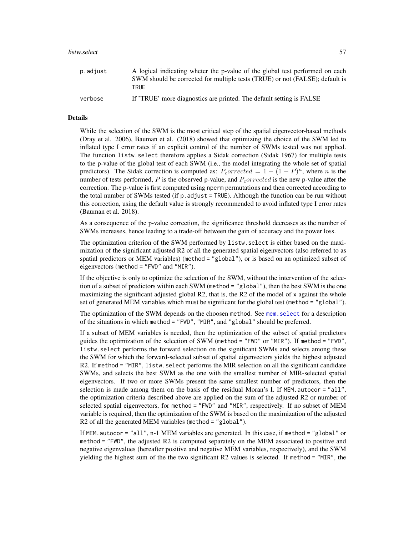#### listw.select 57

| p.adjust | A logical indicating wheter the p-value of the global test performed on each<br>SWM should be corrected for multiple tests (TRUE) or not (FALSE); default is<br>TRUF |
|----------|----------------------------------------------------------------------------------------------------------------------------------------------------------------------|
| verbose  | If 'TRUE' more diagnostics are printed. The default setting is FALSE                                                                                                 |

#### Details

While the selection of the SWM is the most critical step of the spatial eigenvector-based methods (Dray et al. 2006), Bauman et al. (2018) showed that optimizing the choice of the SWM led to inflated type I error rates if an explicit control of the number of SWMs tested was not applied. The function listw.select therefore applies a Sidak correction (Sidak 1967) for multiple tests to the p-value of the global test of each SWM (i.e., the model integrating the whole set of spatial predictors). The Sidak correction is computed as:  $P_{corrected} = 1 - (1 - P)^n$ , where *n* is the number of tests performed,  $P$  is the observed p-value, and  $P_{corrected}$  is the new p-value after the correction. The p-value is first computed using nperm permutations and then corrected according to the total number of SWMs tested (if  $p$ , adjust = TRUE). Although the function can be run without this correction, using the default value is strongly recommended to avoid inflated type I error rates (Bauman et al. 2018).

As a consequence of the p-value correction, the significance threshold decreases as the number of SWMs increases, hence leading to a trade-off between the gain of accuracy and the power loss.

The optimization criterion of the SWM performed by listw.select is either based on the maximization of the significant adjusted R2 of all the generated spatial eigenvectors (also referred to as spatial predictors or MEM variables) (method = "global"), or is based on an optimized subset of eigenvectors (method = "FWD" and "MIR").

If the objective is only to optimize the selection of the SWM, without the intervention of the selection of a subset of predictors within each SWM (method = "global"), then the best SWM is the one maximizing the significant adjusted global R2, that is, the R2 of the model of x against the whole set of generated MEM variables which must be significant for the global test (method = "global").

The optimization of the SWM depends on the choosen method. See mem. select for a description of the situations in which method = "FWD", "MIR", and "global" should be preferred.

If a subset of MEM variables is needed, then the optimization of the subset of spatial predictors guides the optimization of the selection of SWM (method = "FWD" or "MIR"). If method = "FWD", listw.select performs the forward selection on the significant SWMs and selects among these the SWM for which the forward-selected subset of spatial eigenvectors yields the highest adjusted R2. If method = "MIR", listw.select performs the MIR selection on all the significant candidate SWMs, and selects the best SWM as the one with the smallest number of MIR-selected spatial eigenvectors. If two or more SWMs present the same smallest number of predictors, then the selection is made among them on the basis of the residual Moran's I. If MEM.autocor = "all", the optimization criteria described above are applied on the sum of the adjusted R2 or number of selected spatial eigenvectors, for method = "FWD" and "MIR", respectively. If no subset of MEM variable is required, then the optimization of the SWM is based on the maximization of the adjusted R2 of all the generated MEM variables (method = "global").

If MEM.autocor = "all", n-1 MEM variables are generated. In this case, if method = "global" or method = "FWD", the adjusted R2 is computed separately on the MEM associated to positive and negative eigenvalues (hereafter positive and negative MEM variables, respectively), and the SWM yielding the highest sum of the the two significant R2 values is selected. If method = "MIR", the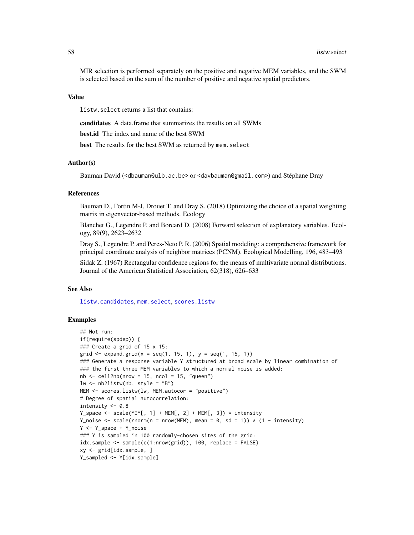MIR selection is performed separately on the positive and negative MEM variables, and the SWM is selected based on the sum of the number of positive and negative spatial predictors.

## Value

listw.select returns a list that contains:

candidates A data.frame that summarizes the results on all SWMs

best.id The index and name of the best SWM

best The results for the best SWM as returned by mem. select

# Author(s)

Bauman David (<dbauman@ulb.ac.be> or <davbauman@gmail.com>) and Stéphane Dray

## References

Bauman D., Fortin M-J, Drouet T. and Dray S. (2018) Optimizing the choice of a spatial weighting matrix in eigenvector-based methods. Ecology

Blanchet G., Legendre P. and Borcard D. (2008) Forward selection of explanatory variables. Ecology, 89(9), 2623–2632

Dray S., Legendre P. and Peres-Neto P. R. (2006) Spatial modeling: a comprehensive framework for principal coordinate analysis of neighbor matrices (PCNM). Ecological Modelling, 196, 483–493

Sidak Z. (1967) Rectangular confidence regions for the means of multivariate normal distributions. Journal of the American Statistical Association, 62(318), 626–633

## See Also

[listw.candidates](#page-51-0), [mem.select](#page-59-0), [scores.listw](#page-99-0)

## Examples

```
## Not run:
if(require(spdep)) {
### Create a grid of 15 x 15:
grid \leq expand.grid(x = seq(1, 15, 1), y = seq(1, 15, 1))
### Generate a response variable Y structured at broad scale by linear combination of
### the first three MEM variables to which a normal noise is added:
nb \le cell2nb(nrow = 15, ncol = 15, "queen")
lw \leftarrow nb2listw(nb, style = "B")MEM <- scores.listw(lw, MEM.autocor = "positive")
# Degree of spatial autocorrelation:
intensity <-0.8Y_space <- scale(MEM[, 1] + MEM[, 2] + MEM[, 3]) * intensity
Y_noise \le scale(rnorm(n = nrow(MEM), mean = 0, sd = 1)) \star (1 - intensity)
Y <- Y_space + Y_noise
### Y is sampled in 100 randomly-chosen sites of the grid:
idx.sample <- sample(c(1:nrow(grid)), 100, replace = FALSE)
xy <- grid[idx.sample, ]
Y_sampled <- Y[idx.sample]
```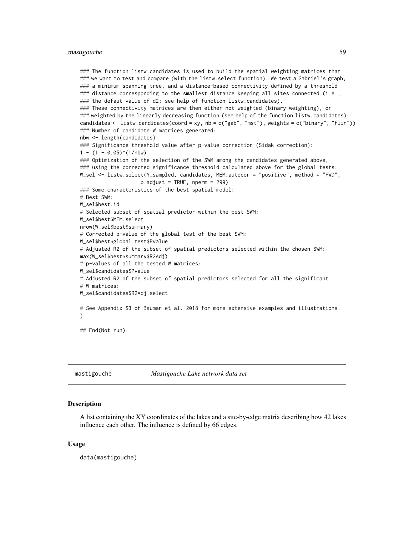#### mastigouche 59

```
### The function listw.candidates is used to build the spatial weighting matrices that
### we want to test and compare (with the listw.select function). We test a Gabriel's graph,
### a minimum spanning tree, and a distance-based connectivity defined by a threshold
### distance corresponding to the smallest distance keeping all sites connected (i.e.,
### the defaut value of d2; see help of function listw.candidates).
### These connectivity matrices are then either not weighted (binary weighting), or
### weighted by the linearly decreasing function (see help of the function listw.candidates):
candidates <- listw.candidates(coord = xy, nb = c("gab", "mst"), weights = c("binary", "flin"))
### Number of candidate W matrices generated:
nbw <- length(candidates)
### Significance threshold value after p-value correction (Sidak correction):
1 - (1 - 0.05)^{\wedge}(1/\text{nbw})### Optimization of the selection of the SWM among the candidates generated above,
### using the corrected significance threshold calculated above for the global tests:
W_sel <- listw.select(Y_sampled, candidates, MEM.autocor = "positive", method = "FWD",
                    p.adjust = TRUE, nperm = 299)
### Some characteristics of the best spatial model:
# Best SWM:
W_sel$best.id
# Selected subset of spatial predictor within the best SWM:
W_sel$best$MEM.select
nrow(W_sel$best$summary)
# Corrected p-value of the global test of the best SWM:
W_sel$best$global.test$Pvalue
# Adjusted R2 of the subset of spatial predictors selected within the chosen SWM:
max(W_sel$best$summary$R2Adj)
# p-values of all the tested W matrices:
W_sel$candidates$Pvalue
# Adjusted R2 of the subset of spatial predictors selected for all the significant
# W matrices:
W_sel$candidates$R2Adj.select
# See Appendix S3 of Bauman et al. 2018 for more extensive examples and illustrations.
}
## End(Not run)
```
mastigouche *Mastigouche Lake network data set*

#### Description

A list containing the XY coordinates of the lakes and a site-by-edge matrix describing how 42 lakes influence each other. The influence is defined by 66 edges.

#### Usage

data(mastigouche)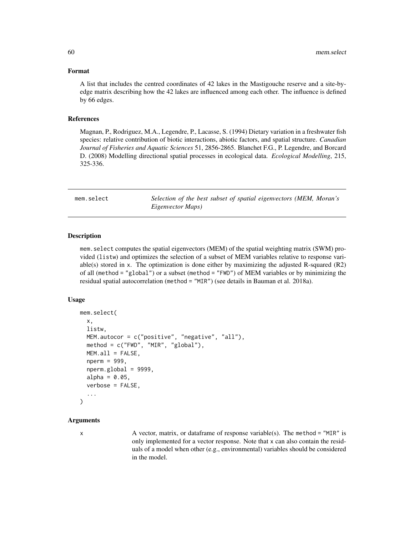#### Format

A list that includes the centred coordinates of 42 lakes in the Mastigouche reserve and a site-byedge matrix describing how the 42 lakes are influenced among each other. The influence is defined by 66 edges.

## References

Magnan, P., Rodriguez, M.A., Legendre, P., Lacasse, S. (1994) Dietary variation in a freshwater fish species: relative contribution of biotic interactions, abiotic factors, and spatial structure. *Canadian Journal of Fisheries and Aquatic Sciences* 51, 2856-2865. Blanchet F.G., P. Legendre, and Borcard D. (2008) Modelling directional spatial processes in ecological data. *Ecological Modelling*, 215, 325-336.

<span id="page-59-0"></span>mem.select *Selection of the best subset of spatial eigenvectors (MEM, Moran's Eigenvector Maps)*

## **Description**

mem.select computes the spatial eigenvectors (MEM) of the spatial weighting matrix (SWM) provided (listw) and optimizes the selection of a subset of MEM variables relative to response variable(s) stored in x. The optimization is done either by maximizing the adjusted R-squared (R2) of all (method = "global") or a subset (method = "FWD") of MEM variables or by minimizing the residual spatial autocorrelation (method = "MIR") (see details in Bauman et al. 2018a).

#### Usage

```
mem.select(
  x,
  listw,
 MEM.autocor = c("positive", "negative", "all"),
 method = c("FWD", "MIR", "global"),
 MEM.all = FALSE,nperm = 999,
  nperm.global = 9999,
  alpha = 0.05,
  verbose = FALSE,
  ...
)
```
#### Arguments

 $x \neq 0$  A vector, matrix, or dataframe of response variable(s). The method = "MIR" is only implemented for a vector response. Note that x can also contain the residuals of a model when other (e.g., environmental) variables should be considered in the model.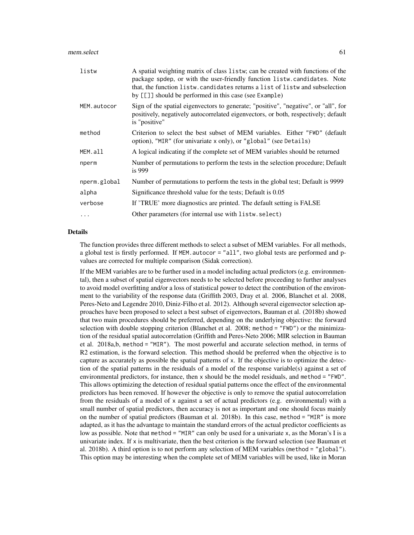| listw        | A spatial weighting matrix of class listw; can be created with functions of the<br>package spdep, or with the user-friendly function listw.candidates. Note<br>that, the function listw. candidates returns a list of listw and subselection<br>by [[]] should be performed in this case (see Example) |
|--------------|--------------------------------------------------------------------------------------------------------------------------------------------------------------------------------------------------------------------------------------------------------------------------------------------------------|
| MEM.autocor  | Sign of the spatial eigenvectors to generate; "positive", "negative", or "all", for<br>positively, negatively autocorrelated eigenvectors, or both, respectively; default<br>is "positive"                                                                                                             |
| method       | Criterion to select the best subset of MEM variables. Either "FWD" (default<br>option), "MIR" (for univariate x only), or "global" (see Details)                                                                                                                                                       |
| MEM.all      | A logical indicating if the complete set of MEM variables should be returned                                                                                                                                                                                                                           |
| nperm        | Number of permutations to perform the tests in the selection procedure; Default<br>is $999$                                                                                                                                                                                                            |
| nperm.global | Number of permutations to perform the tests in the global test; Default is 9999                                                                                                                                                                                                                        |
| alpha        | Significance threshold value for the tests; Default is 0.05                                                                                                                                                                                                                                            |
| verbose      | If 'TRUE' more diagnostics are printed. The default setting is FALSE                                                                                                                                                                                                                                   |
| $\cdots$     | Other parameters (for internal use with listw. select)                                                                                                                                                                                                                                                 |

#### Details

The function provides three different methods to select a subset of MEM variables. For all methods, a global test is firstly performed. If MEM.autocor = "all", two global tests are performed and pvalues are corrected for multiple comparison (Sidak correction).

If the MEM variables are to be further used in a model including actual predictors (e.g. environmental), then a subset of spatial eigenvectors needs to be selected before proceeding to further analyses to avoid model overfitting and/or a loss of statistical power to detect the contribution of the environment to the variability of the response data (Griffith 2003, Dray et al. 2006, Blanchet et al. 2008, Peres-Neto and Legendre 2010, Diniz-Filho et al. 2012). Although several eigenvector selection approaches have been proposed to select a best subset of eigenvectors, Bauman et al. (2018b) showed that two main procedures should be preferred, depending on the underlying objective: the forward selection with double stopping criterion (Blanchet et al. 2008; method = "FWD") or the minimization of the residual spatial autocorrelation (Griffith and Peres-Neto 2006; MIR selection in Bauman et al. 2018a,b, method = "MIR"). The most powerful and accurate selection method, in terms of R2 estimation, is the forward selection. This method should be preferred when the objective is to capture as accurately as possible the spatial patterns of x. If the objective is to optimize the detection of the spatial patterns in the residuals of a model of the response variable(s) against a set of environmental predictors, for instance, then x should be the model residuals, and method = "FWD". This allows optimizing the detection of residual spatial patterns once the effect of the environmental predictors has been removed. If however the objective is only to remove the spatial autocorrelation from the residuals of a model of x against a set of actual predictors (e.g. environmental) with a small number of spatial predictors, then accuracy is not as important and one should focus mainly on the number of spatial predictors (Bauman et al. 2018b). In this case, method = "MIR" is more adapted, as it has the advantage to maintain the standard errors of the actual predictor coefficients as low as possible. Note that method = "MIR" can only be used for a univariate x, as the Moran's I is a univariate index. If x is multivariate, then the best criterion is the forward selection (see Bauman et al. 2018b). A third option is to not perform any selection of MEM variables (method = "global"). This option may be interesting when the complete set of MEM variables will be used, like in Moran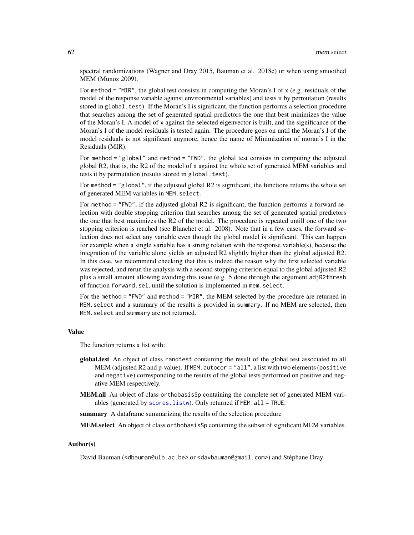spectral randomizations (Wagner and Dray 2015, Bauman et al. 2018c) or when using smoothed MEM (Munoz 2009).

For method = "MIR", the global test consists in computing the Moran's I of  $x$  (e.g. residuals of the model of the response variable against environmental variables) and tests it by permutation (results stored in global.test). If the Moran's I is significant, the function performs a selection procedure that searches among the set of generated spatial predictors the one that best minimizes the value of the Moran's I. A model of x against the selected eigenvector is built, and the significance of the Moran's I of the model residuals is tested again. The procedure goes on until the Moran's I of the model residuals is not significant anymore, hence the name of Minimization of moran's I in the Residuals (MIR).

For method = "global" and method = "FWD", the global test consists in computing the adjusted global R2, that is, the R2 of the model of x against the whole set of generated MEM variables and tests it by permutation (results stored in global.test).

For method = "global", if the adjusted global R2 is significant, the functions returns the whole set of generated MEM variables in MEM.select.

For method = "FWD", if the adjusted global R2 is significant, the function performs a forward selection with double stopping criterion that searches among the set of generated spatial predictors the one that best maximizes the R2 of the model. The procedure is repeated untill one of the two stopping criterion is reached (see Blanchet et al. 2008). Note that in a few cases, the forward selection does not select any variable even though the global model is significant. This can happen for example when a single variable has a strong relation with the response variable(s), because the integration of the variable alone yields an adjusted R2 slightly higher than the global adjusted R2. In this case, we recommend checking that this is indeed the reason why the first selected variable was rejected, and rerun the analysis with a second stopping criterion equal to the global adjusted R2 plus a small amount allowing avoiding this issue (e.g. 5 done through the argument adjR2thresh of function forward.sel, until the solution is implemented in mem.select.

For the method = "FWD" and method = "MIR", the MEM selected by the procedure are returned in MEM.select and a summary of the results is provided in summary. If no MEM are selected, then MEM.select and summary are not returned.

#### Value

The function returns a list with:

- global.test An object of class randtest containing the result of the global test associated to all MEM (adjusted R2 and p-value). If MEM. autocor  $=$  "all", a list with two elements (positive and negative) corresponding to the results of the global tests performed on positive and negative MEM respectively.
- MEM.all An object of class orthobasisSp containing the complete set of generated MEM variables (generated by [scores.listw](#page-99-0)). Only returned if MEM.all = TRUE.

summary A dataframe summarizing the results of the selection procedure

MEM.select An object of class orthobasisSp containing the subset of significant MEM variables.

## Author(s)

David Bauman (<dbauman@ulb.ac.be> or <davbauman@gmail.com>) and Stéphane Dray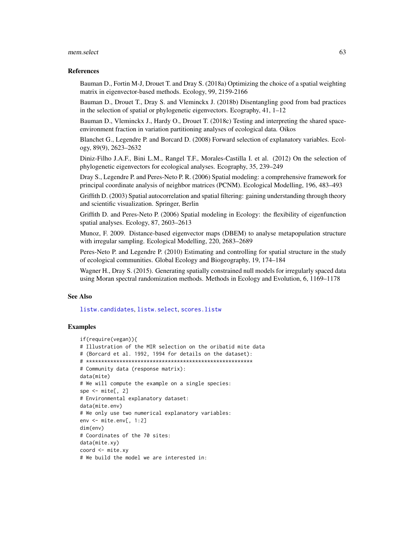#### mem.select 63

#### References

Bauman D., Fortin M-J, Drouet T. and Dray S. (2018a) Optimizing the choice of a spatial weighting matrix in eigenvector-based methods. Ecology, 99, 2159-2166

Bauman D., Drouet T., Dray S. and Vleminckx J. (2018b) Disentangling good from bad practices in the selection of spatial or phylogenetic eigenvectors. Ecography, 41, 1–12

Bauman D., Vleminckx J., Hardy O., Drouet T. (2018c) Testing and interpreting the shared spaceenvironment fraction in variation partitioning analyses of ecological data. Oikos

Blanchet G., Legendre P. and Borcard D. (2008) Forward selection of explanatory variables. Ecology, 89(9), 2623–2632

Diniz-Filho J.A.F., Bini L.M., Rangel T.F., Morales-Castilla I. et al. (2012) On the selection of phylogenetic eigenvectors for ecological analyses. Ecography, 35, 239–249

Dray S., Legendre P. and Peres-Neto P. R. (2006) Spatial modeling: a comprehensive framework for principal coordinate analysis of neighbor matrices (PCNM). Ecological Modelling, 196, 483–493

Griffith D. (2003) Spatial autocorrelation and spatial filtering: gaining understanding through theory and scientific visualization. Springer, Berlin

Griffith D. and Peres-Neto P. (2006) Spatial modeling in Ecology: the flexibility of eigenfunction spatial analyses. Ecology, 87, 2603–2613

Munoz, F. 2009. Distance-based eigenvector maps (DBEM) to analyse metapopulation structure with irregular sampling. Ecological Modelling, 220, 2683–2689

Peres-Neto P. and Legendre P. (2010) Estimating and controlling for spatial structure in the study of ecological communities. Global Ecology and Biogeography, 19, 174–184

Wagner H., Dray S. (2015). Generating spatially constrained null models for irregularly spaced data using Moran spectral randomization methods. Methods in Ecology and Evolution, 6, 1169–1178

### See Also

[listw.candidates](#page-51-0), [listw.select](#page-55-0), [scores.listw](#page-99-0)

#### Examples

```
if(require(vegan)){
# Illustration of the MIR selection on the oribatid mite data
# (Borcard et al. 1992, 1994 for details on the dataset):
# *******************************************************
# Community data (response matrix):
data(mite)
# We will compute the example on a single species:
spe \leq mite[, 2]
# Environmental explanatory dataset:
data(mite.env)
# We only use two numerical explanatory variables:
env <- mite.env[, 1:2]
dim(env)
# Coordinates of the 70 sites:
data(mite.xy)
coord <- mite.xy
# We build the model we are interested in:
```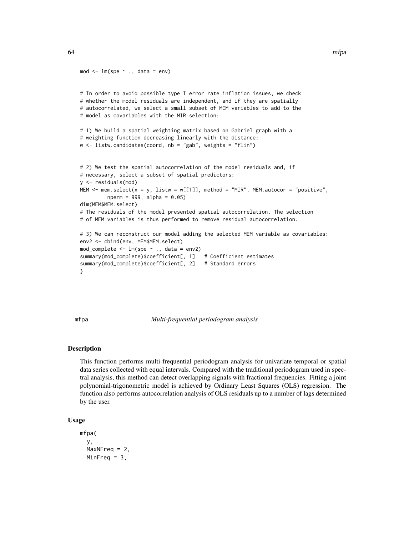```
mod \leq -\ln(\text{spe} \sim ., \text{ data} = \text{env})# In order to avoid possible type I error rate inflation issues, we check
# whether the model residuals are independent, and if they are spatially
# autocorrelated, we select a small subset of MEM variables to add to the
# model as covariables with the MIR selection:
# 1) We build a spatial weighting matrix based on Gabriel graph with a
# weighting function decreasing linearly with the distance:
w <- listw.candidates(coord, nb = "gab", weights = "flin")
# 2) We test the spatial autocorrelation of the model residuals and, if
# necessary, select a subset of spatial predictors:
y <- residuals(mod)
MEM \le mem.select(x = y, listw = w[[1]], method = "MIR", MEM.autocor = "positive",
         nperm = 999, alpha = 0.05)dim(MEM$MEM.select)
# The residuals of the model presented spatial autocorrelation. The selection
# of MEM variables is thus performed to remove residual autocorrelation.
# 3) We can reconstruct our model adding the selected MEM variable as covariables:
env2 <- cbind(env, MEM$MEM.select)
mod\_complete \le -lm(spe \sim ., data = env2)summary(mod_complete)$coefficient[, 1] # Coefficient estimates
summary(mod_complete)$coefficient[, 2] # Standard errors
}
```
mfpa *Multi-frequential periodogram analysis*

## Description

This function performs multi-frequential periodogram analysis for univariate temporal or spatial data series collected with equal intervals. Compared with the traditional periodogram used in spectral analysis, this method can detect overlapping signals with fractional frequencies. Fitting a joint polynomial-trigonometric model is achieved by Ordinary Least Squares (OLS) regression. The function also performs autocorrelation analysis of OLS residuals up to a number of lags determined by the user.

```
Usage
```

```
mfpa(
  y,
 MaxNFreq = 2,
 MinFreq = 3,
```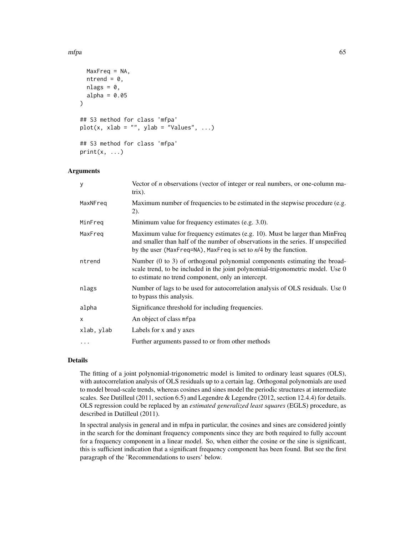```
MaxFreq = NA,
 ntrend = \theta,
 nlags = 0,alpha = 0.05)
## S3 method for class 'mfpa'
plot(x, xlab = "", ylab = "Values", ...)## S3 method for class 'mfpa'
print(x, \ldots)
```
## Arguments

| У          | Vector of $n$ observations (vector of integer or real numbers, or one-column ma-<br>$trix)$ .                                                                                                                                           |
|------------|-----------------------------------------------------------------------------------------------------------------------------------------------------------------------------------------------------------------------------------------|
| MaxNFreg   | Maximum number of frequencies to be estimated in the stepwise procedure (e.g.<br>(2).                                                                                                                                                   |
| MinFreq    | Minimum value for frequency estimates (e.g. 3.0).                                                                                                                                                                                       |
| MaxFreq    | Maximum value for frequency estimates (e.g. 10). Must be larger than MinFreq<br>and smaller than half of the number of observations in the series. If unspecified<br>by the user (MaxFreq=NA), MaxFreq is set to $n/4$ by the function. |
| ntrend     | Number (0 to 3) of orthogonal polynomial components estimating the broad-<br>scale trend, to be included in the joint polynomial-trigonometric model. Use 0<br>to estimate no trend component, only an intercept.                       |
| nlags      | Number of lags to be used for autocorrelation analysis of OLS residuals. Use 0<br>to bypass this analysis.                                                                                                                              |
| alpha      | Significance threshold for including frequencies.                                                                                                                                                                                       |
| $\times$   | An object of class mfpa                                                                                                                                                                                                                 |
| xlab, ylab | Labels for x and y axes                                                                                                                                                                                                                 |
| $\cdots$   | Further arguments passed to or from other methods                                                                                                                                                                                       |

## Details

The fitting of a joint polynomial-trigonometric model is limited to ordinary least squares (OLS), with autocorrelation analysis of OLS residuals up to a certain lag. Orthogonal polynomials are used to model broad-scale trends, whereas cosines and sines model the periodic structures at intermediate scales. See Dutilleul (2011, section 6.5) and Legendre & Legendre (2012, section 12.4.4) for details. OLS regression could be replaced by an *estimated generalized least squares* (EGLS) procedure, as described in Dutilleul (2011).

In spectral analysis in general and in mfpa in particular, the cosines and sines are considered jointly in the search for the dominant frequency components since they are both required to fully account for a frequency component in a linear model. So, when either the cosine or the sine is significant, this is sufficient indication that a significant frequency component has been found. But see the first paragraph of the 'Recommendations to users' below.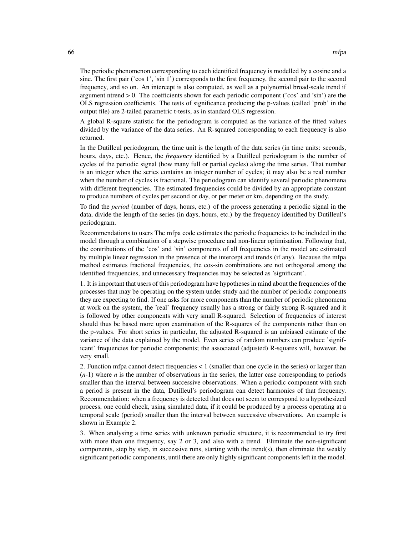The periodic phenomenon corresponding to each identified frequency is modelled by a cosine and a sine. The first pair ('cos 1', 'sin 1') corresponds to the first frequency, the second pair to the second frequency, and so on. An intercept is also computed, as well as a polynomial broad-scale trend if argument ntrend  $> 0$ . The coefficients shown for each periodic component ( $\cos$  and  $\sin$ ) are the OLS regression coefficients. The tests of significance producing the p-values (called 'prob' in the output file) are 2-tailed parametric t-tests, as in standard OLS regression.

A global R-square statistic for the periodogram is computed as the variance of the fitted values divided by the variance of the data series. An R-squared corresponding to each frequency is also returned.

In the Dutilleul periodogram, the time unit is the length of the data series (in time units: seconds, hours, days, etc.). Hence, the *frequency* identified by a Dutilleul periodogram is the number of cycles of the periodic signal (how many full or partial cycles) along the time series. That number is an integer when the series contains an integer number of cycles; it may also be a real number when the number of cycles is fractional. The periodogram can identify several periodic phenomena with different frequencies. The estimated frequencies could be divided by an appropriate constant to produce numbers of cycles per second or day, or per meter or km, depending on the study.

To find the *period* (number of days, hours, etc.) of the process generating a periodic signal in the data, divide the length of the series (in days, hours, etc.) by the frequency identified by Dutilleul's periodogram.

Recommendations to users The mfpa code estimates the periodic frequencies to be included in the model through a combination of a stepwise procedure and non-linear optimisation. Following that, the contributions of the 'cos' and 'sin' components of all frequencies in the model are estimated by multiple linear regression in the presence of the intercept and trends (if any). Because the mfpa method estimates fractional frequencies, the cos-sin combinations are not orthogonal among the identified frequencies, and unnecessary frequencies may be selected as 'significant'.

1. It is important that users of this periodogram have hypotheses in mind about the frequencies of the processes that may be operating on the system under study and the number of periodic components they are expecting to find. If one asks for more components than the number of periodic phenomena at work on the system, the 'real' frequency usually has a strong or fairly strong R-squared and it is followed by other components with very small R-squared. Selection of frequencies of interest should thus be based more upon examination of the R-squares of the components rather than on the p-values. For short series in particular, the adjusted R-squared is an unbiased estimate of the variance of the data explained by the model. Even series of random numbers can produce 'significant' frequencies for periodic components; the associated (adjusted) R-squares will, however, be very small.

2. Function mfpa cannot detect frequencies < 1 (smaller than one cycle in the series) or larger than  $(n-1)$  where *n* is the number of observations in the series, the latter case corresponding to periods smaller than the interval between successive observations. When a periodic component with such a period is present in the data, Dutilleul's periodogram can detect harmonics of that frequency. Recommendation: when a frequency is detected that does not seem to correspond to a hypothesized process, one could check, using simulated data, if it could be produced by a process operating at a temporal scale (period) smaller than the interval between successive observations. An example is shown in Example 2.

3. When analysing a time series with unknown periodic structure, it is recommended to try first with more than one frequency, say 2 or 3, and also with a trend. Eliminate the non-significant components, step by step, in successive runs, starting with the trend(s), then eliminate the weakly significant periodic components, until there are only highly significant components left in the model.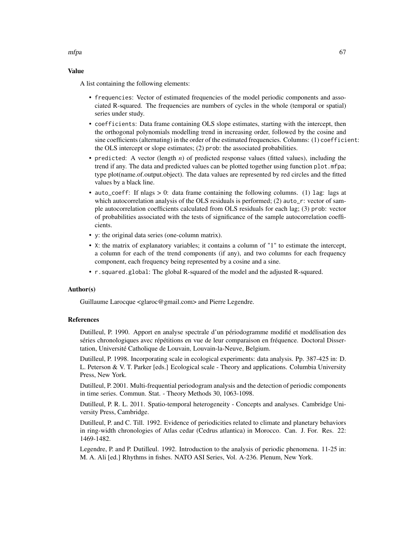mfpa 67

## Value

A list containing the following elements:

- frequencies: Vector of estimated frequencies of the model periodic components and associated R-squared. The frequencies are numbers of cycles in the whole (temporal or spatial) series under study.
- coefficients: Data frame containing OLS slope estimates, starting with the intercept, then the orthogonal polynomials modelling trend in increasing order, followed by the cosine and sine coefficients (alternating) in the order of the estimated frequencies. Columns: (1) coefficient: the OLS intercept or slope estimates; (2) prob: the associated probabilities.
- predicted: A vector (length *n*) of predicted response values (fitted values), including the trend if any. The data and predicted values can be plotted together using function plot.mfpa; type plot(name.of.output.object). The data values are represented by red circles and the fitted values by a black line.
- auto\_coeff: If nlags > 0: data frame containing the following columns. (1) lag: lags at which autocorrelation analysis of the OLS residuals is performed; (2) auto\_r: vector of sample autocorrelation coefficients calculated from OLS residuals for each lag; (3) prob: vector of probabilities associated with the tests of significance of the sample autocorrelation coefficients.
- y: the original data series (one-column matrix).
- X: the matrix of explanatory variables; it contains a column of "1" to estimate the intercept, a column for each of the trend components (if any), and two columns for each frequency component, each frequency being represented by a cosine and a sine.
- r.squared.global: The global R-squared of the model and the adjusted R-squared.

## Author(s)

Guillaume Larocque <glaroc@gmail.com> and Pierre Legendre.

## References

Dutilleul, P. 1990. Apport en analyse spectrale d'un périodogramme modifié et modélisation des séries chronologiques avec répétitions en vue de leur comparaison en fréquence. Doctoral Dissertation, Université Catholique de Louvain, Louvain-la-Neuve, Belgium.

Dutilleul, P. 1998. Incorporating scale in ecological experiments: data analysis. Pp. 387-425 in: D. L. Peterson & V. T. Parker [eds.] Ecological scale - Theory and applications. Columbia University Press, New York.

Dutilleul, P. 2001. Multi-frequential periodogram analysis and the detection of periodic components in time series. Commun. Stat. - Theory Methods 30, 1063-1098.

Dutilleul, P. R. L. 2011. Spatio-temporal heterogeneity - Concepts and analyses. Cambridge University Press, Cambridge.

Dutilleul, P. and C. Till. 1992. Evidence of periodicities related to climate and planetary behaviors in ring-width chronologies of Atlas cedar (Cedrus atlantica) in Morocco. Can. J. For. Res. 22: 1469-1482.

Legendre, P. and P. Dutilleul. 1992. Introduction to the analysis of periodic phenomena. 11-25 in: M. A. Ali [ed.] Rhythms in fishes. NATO ASI Series, Vol. A-236. Plenum, New York.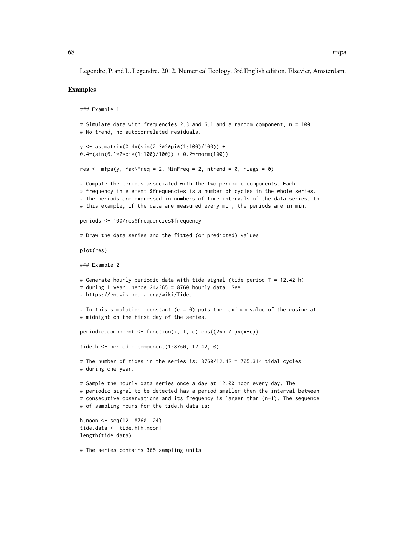Legendre, P. and L. Legendre. 2012. Numerical Ecology. 3rd English edition. Elsevier, Amsterdam.

#### Examples

```
### Example 1
# Simulate data with frequencies 2.3 and 6.1 and a random component, n = 100.
# No trend, no autocorrelated residuals.
y <- as.matrix(0.4*(sin(2.3*2*pi*(1:100)/100)) +
0.4*(sin(6.1*2*pi*(1:100)/100)) + 0.2*rnorm(100))
res \leq mfpa(y, MaxNFreq = 2, MinFreq = 2, ntrend = 0, nlags = 0)
# Compute the periods associated with the two periodic components. Each
# frequency in element $frequencies is a number of cycles in the whole series.
# The periods are expressed in numbers of time intervals of the data series. In
# this example, if the data are measured every min, the periods are in min.
periods <- 100/res$frequencies$frequency
# Draw the data series and the fitted (or predicted) values
plot(res)
### Example 2
# Generate hourly periodic data with tide signal (tide period T = 12.42 h)
# during 1 year, hence 24*365 = 8760 hourly data. See
# https://en.wikipedia.org/wiki/Tide.
# In this simulation, constant (c = 0) puts the maximum value of the cosine at
# midnight on the first day of the series.
periodic.component <- function(x, T, c) cos((2*pi/T)*(x+c))
tide.h <- periodic.component(1:8760, 12.42, 0)
# The number of tides in the series is: 8760/12.42 = 705.314 tidal cycles
# during one year.
# Sample the hourly data series once a day at 12:00 noon every day. The
# periodic signal to be detected has a period smaller then the interval between
# consecutive observations and its frequency is larger than (n-1). The sequence
# of sampling hours for the tide.h data is:
h.noon <- seq(12, 8760, 24)
tide.data <- tide.h[h.noon]
length(tide.data)
# The series contains 365 sampling units
```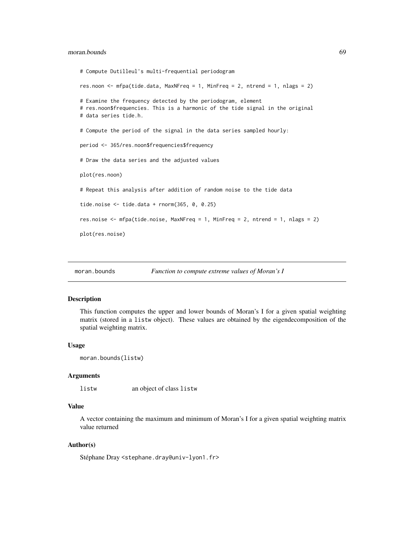## moran.bounds 69

```
# Compute Dutilleul's multi-frequential periodogram
res.noon <- mfpa(tide.data, MaxNFreq = 1, MinFreq = 2, ntrend = 1, nlags = 2)
# Examine the frequency detected by the periodogram, element
# res.noon$frequencies. This is a harmonic of the tide signal in the original
# data series tide.h.
# Compute the period of the signal in the data series sampled hourly:
period <- 365/res.noon$frequencies$frequency
# Draw the data series and the adjusted values
plot(res.noon)
# Repeat this analysis after addition of random noise to the tide data
tide.noise <- tide.data + rnorm(365, 0, 0.25)
res.noise <- mfpa(tide.noise, MaxNFreq = 1, MinFreq = 2, ntrend = 1, nlags = 2)
plot(res.noise)
```
moran.bounds *Function to compute extreme values of Moran's I*

## Description

This function computes the upper and lower bounds of Moran's I for a given spatial weighting matrix (stored in a listw object). These values are obtained by the eigendecomposition of the spatial weighting matrix.

#### Usage

```
moran.bounds(listw)
```
## Arguments

listw an object of class listw

#### Value

A vector containing the maximum and minimum of Moran's I for a given spatial weighting matrix value returned

## Author(s)

Stéphane Dray <stephane.dray@univ-lyon1.fr>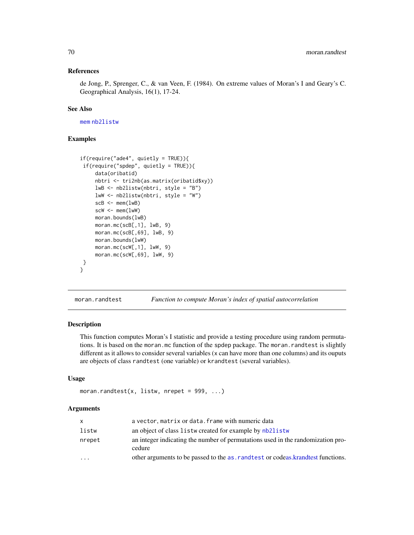### References

de Jong, P., Sprenger, C., & van Veen, F. (1984). On extreme values of Moran's I and Geary's C. Geographical Analysis, 16(1), 17-24.

#### See Also

[mem](#page-99-1) [nb2listw](#page-0-0)

## Examples

```
if(require("ade4", quick) = TRUE)if(require("spdep", quietly = TRUE)){
     data(oribatid)
    nbtri <- tri2nb(as.matrix(oribatid$xy))
    lwB <- nb2listw(nbtri, style = "B")
    lwW <- nb2listw(nbtri, style = "W")
     scB < - mem(lwB)scW < - mem(lwW)moran.bounds(lwB)
    moran.mc(scB[,1], lwB, 9)
    moran.mc(scB[,69], lwB, 9)
    moran.bounds(lwW)
    moran.mc(scW[,1], lwW, 9)
    moran.mc(scW[,69], lwW, 9)
}
}
```
<span id="page-69-0"></span>moran.randtest *Function to compute Moran's index of spatial autocorrelation*

#### **Description**

This function computes Moran's I statistic and provide a testing procedure using random permutations. It is based on the moran.mc function of the spdep package. The moran.randtest is slightly different as it allows to consider several variables (x can have more than one columns) and its ouputs are objects of class randtest (one variable) or krandtest (several variables).

## Usage

```
moran.randtest(x, listw, nrepet = 999, ...)
```
## Arguments

| <b>X</b> | a vector, matrix or data. frame with numeric data                                         |
|----------|-------------------------------------------------------------------------------------------|
| listw    | an object of class listw created for example by nb2listw                                  |
| nrepet   | an integer indicating the number of permutations used in the randomization pro-<br>cedure |
| $\cdot$  | other arguments to be passed to the as . rand test or codeas. krand test functions.       |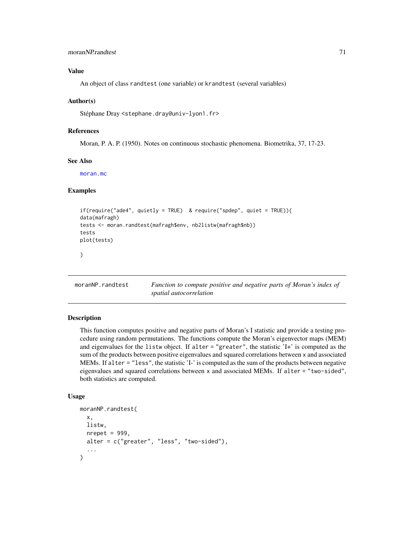## moranNP.randtest 71

## Value

An object of class randtest (one variable) or krandtest (several variables)

#### Author(s)

Stéphane Dray <stephane.dray@univ-lyon1.fr>

#### References

Moran, P. A. P. (1950). Notes on continuous stochastic phenomena. Biometrika, 37, 17-23.

## See Also

[moran.mc](#page-0-0)

#### Examples

```
if(require("ade4", quietly = TRUE) & require("spdep", quiet = TRUE)){
data(mafragh)
tests <- moran.randtest(mafragh$env, nb2listw(mafragh$nb))
tests
plot(tests)
}
```
moranNP.randtest *Function to compute positive and negative parts of Moran's index of spatial autocorrelation*

## Description

This function computes positive and negative parts of Moran's I statistic and provide a testing procedure using random permutations. The functions compute the Moran's eigenvector maps (MEM) and eigenvalues for the listw object. If alter = "greater", the statistic 'I+' is computed as the sum of the products between positive eigenvalues and squared correlations between x and associated MEMs. If alter = "less", the statistic 'I-' is computed as the sum of the products between negative eigenvalues and squared correlations between x and associated MEMs. If alter = "two-sided", both statistics are computed.

#### Usage

```
moranNP.randtest(
  x,
 listw,
 nrepet = 999,
 alter = c("greater", "less", "two-sided"),
  ...
)
```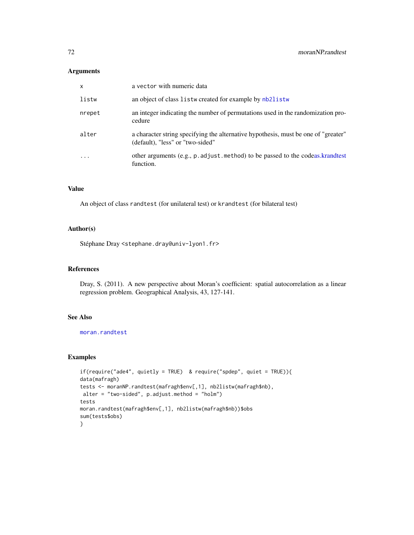# Arguments

| $\mathsf{x}$            | a vector with numeric data                                                                                             |
|-------------------------|------------------------------------------------------------------------------------------------------------------------|
| listw                   | an object of class listw created for example by nb2listw                                                               |
| nrepet                  | an integer indicating the number of permutations used in the randomization pro-<br>cedure                              |
| alter                   | a character string specifying the alternative hypothesis, must be one of "greater"<br>(default), "less" or "two-sided" |
| $\cdot$ $\cdot$ $\cdot$ | other arguments (e.g., p. adjust. method) to be passed to the codeas. krandtest<br>function.                           |

## Value

An object of class randtest (for unilateral test) or krandtest (for bilateral test)

## Author(s)

Stéphane Dray <stephane.dray@univ-lyon1.fr>

#### References

Dray, S. (2011). A new perspective about Moran's coefficient: spatial autocorrelation as a linear regression problem. Geographical Analysis, 43, 127-141.

# See Also

[moran.randtest](#page-69-0)

## Examples

```
if(require("ade4", quietly = TRUE) & require("spdep", quiet = TRUE)){
data(mafragh)
tests <- moranNP.randtest(mafragh$env[,1], nb2listw(mafragh$nb),
alter = "two-sided", p.adjust.method = "holm")
tests
moran.randtest(mafragh$env[,1], nb2listw(mafragh$nb))$obs
sum(tests$obs)
}
```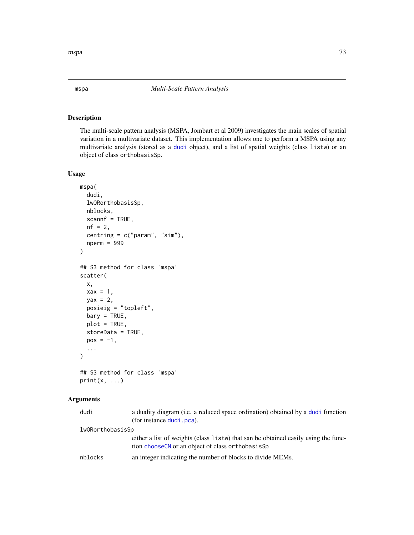## Description

The multi-scale pattern analysis (MSPA, Jombart et al 2009) investigates the main scales of spatial variation in a multivariate dataset. This implementation allows one to perform a MSPA using any multivariate analysis (stored as a [dudi](#page-0-0) object), and a list of spatial weights (class listw) or an object of class orthobasisSp.

#### Usage

```
mspa(
  dudi,
  lwORorthobasisSp,
 nblocks,
  scannf = TRUE,nf = 2,
  centring = c("param", "sim"),
  nperm = 999
)
## S3 method for class 'mspa'
scatter(
  x,
  \text{max} = 1,
 yax = 2,
  posieig = "topleft",
 bary = TRUE,plot = TRUE,
  storeData = TRUE,
 pos = -1,
  ...
\mathcal{L}## S3 method for class 'mspa'
```
 $print(x, \ldots)$ 

## Arguments

| dudi             | a duality diagram (i.e. a reduced space ordination) obtained by a dudi function<br>(for instance dudi . pca).                              |
|------------------|--------------------------------------------------------------------------------------------------------------------------------------------|
| lwORorthobasisSp |                                                                                                                                            |
|                  | either a list of weights (class 1 is tw) that san be obtained easily using the func-<br>tion chooseCN or an object of class or thobasis Sp |
| nblocks          | an integer indicating the number of blocks to divide MEMs.                                                                                 |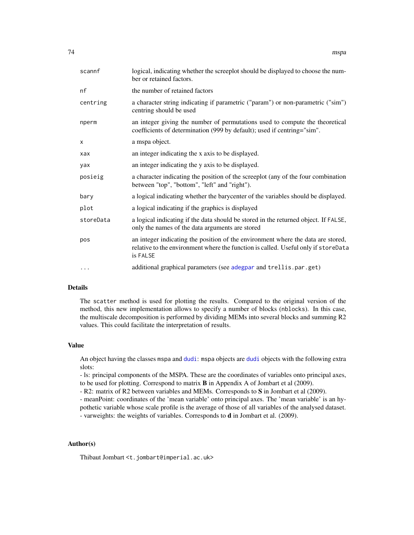| scannf    | logical, indicating whether the screeplot should be displayed to choose the num-<br>ber or retained factors.                                                                       |
|-----------|------------------------------------------------------------------------------------------------------------------------------------------------------------------------------------|
| nf        | the number of retained factors                                                                                                                                                     |
| centring  | a character string indicating if parametric ("param") or non-parametric ("sim")<br>centring should be used                                                                         |
| nperm     | an integer giving the number of permutations used to compute the theoretical<br>coefficients of determination (999 by default); used if centring="sim".                            |
| X         | a mspa object.                                                                                                                                                                     |
| xax       | an integer indicating the x axis to be displayed.                                                                                                                                  |
| yax       | an integer indicating the y axis to be displayed.                                                                                                                                  |
| posieig   | a character indicating the position of the screeplot (any of the four combination<br>between "top", "bottom", "left" and "right").                                                 |
| bary      | a logical indicating whether the barycenter of the variables should be displayed.                                                                                                  |
| plot      | a logical indicating if the graphics is displayed                                                                                                                                  |
| storeData | a logical indicating if the data should be stored in the returned object. If FALSE,<br>only the names of the data arguments are stored                                             |
| pos       | an integer indicating the position of the environment where the data are stored,<br>relative to the environment where the function is called. Useful only if storeData<br>is FALSE |
| .         | additional graphical parameters (see adegpar and trellis.par.get)                                                                                                                  |

## Details

The scatter method is used for plotting the results. Compared to the original version of the method, this new implementation allows to specify a number of blocks (nblocks). In this case, the multiscale decomposition is performed by dividing MEMs into several blocks and summing R2 values. This could facilitate the interpretation of results.

## Value

An object having the classes mspa and [dudi](#page-0-0): mspa objects are [dudi](#page-0-0) objects with the following extra slots:

- ls: principal components of the MSPA. These are the coordinates of variables onto principal axes, to be used for plotting. Correspond to matrix B in Appendix A of Jombart et al (2009).

- R2: matrix of R2 between variables and MEMs. Corresponds to S in Jombart et al (2009).

- meanPoint: coordinates of the 'mean variable' onto principal axes. The 'mean variable' is an hypothetic variable whose scale profile is the average of those of all variables of the analysed dataset. - varweights: the weights of variables. Corresponds to  $d$  in Jombart et al. (2009).

## Author(s)

Thibaut Jombart <t.jombart@imperial.ac.uk>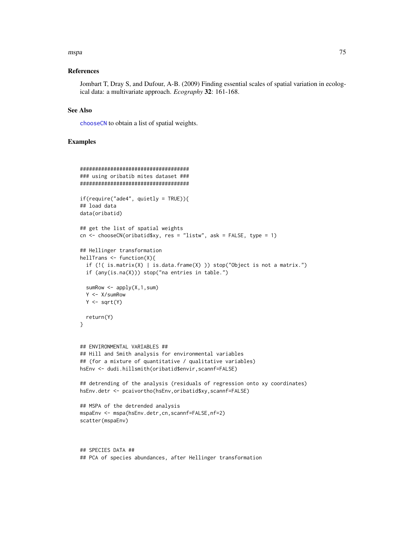#### mspa and the contract of the contract of the contract of the contract of the contract of the contract of the contract of the contract of the contract of the contract of the contract of the contract of the contract of the c

#### References

Jombart T, Dray S, and Dufour, A-B. (2009) Finding essential scales of spatial variation in ecological data: a multivariate approach. *Ecography* 32: 161-168.

#### See Also

[chooseCN](#page-19-0) to obtain a list of spatial weights.

## Examples

```
####################################
### using oribatib mites dataset ###
####################################
if(require("ade4", quietly = TRUE)){
## load data
data(oribatid)
## get the list of spatial weights
cn \le - chooseCN(oribatid$xy, res = "listw", ask = FALSE, type = 1)
## Hellinger transformation
hellTrans <- function(X){
  if (!( is.matrix(X) | is.data.frame(X) )) stop("Object is not a matrix.")
  if (any(is.na(X))) stop("na entries in table.")
  sumRow \leq apply(X, 1, sum)
  Y <- X/sumRow
  Y \leftarrow sqrt(Y)return(Y)
}
## ENVIRONMENTAL VARIABLES ##
## Hill and Smith analysis for environmental variables
## (for a mixture of quantitative / qualitative variables)
hsEnv <- dudi.hillsmith(oribatid$envir,scannf=FALSE)
## detrending of the analysis (residuals of regression onto xy coordinates)
hsEnv.detr <- pcaivortho(hsEnv,oribatid$xy,scannf=FALSE)
## MSPA of the detrended analysis
mspaEnv <- mspa(hsEnv.detr,cn,scannf=FALSE,nf=2)
scatter(mspaEnv)
## SPECIES DATA ##
```
## PCA of species abundances, after Hellinger transformation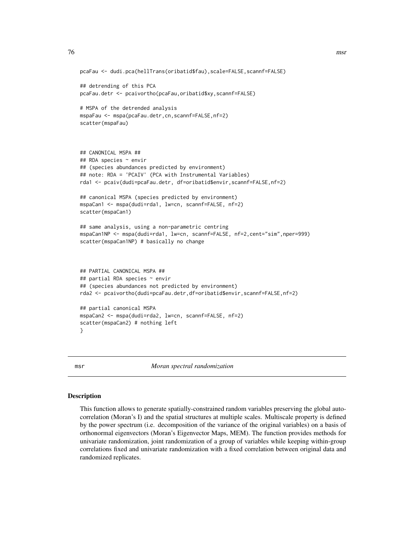```
pcaFau <- dudi.pca(hellTrans(oribatid$fau),scale=FALSE,scannf=FALSE)
## detrending of this PCA
pcaFau.detr <- pcaivortho(pcaFau,oribatid$xy,scannf=FALSE)
# MSPA of the detrended analysis
mspaFau <- mspa(pcaFau.detr,cn,scannf=FALSE,nf=2)
scatter(mspaFau)
## CANONICAL MSPA ##
## RDA species ~ envir
## (species abundances predicted by environment)
## note: RDA = 'PCAIV' (PCA with Instrumental Variables)
rda1 <- pcaiv(dudi=pcaFau.detr, df=oribatid$envir,scannf=FALSE,nf=2)
## canonical MSPA (species predicted by environment)
mspaCan1 <- mspa(dudi=rda1, lw=cn, scannf=FALSE, nf=2)
scatter(mspaCan1)
## same analysis, using a non-parametric centring
mspaCan1NP <- mspa(dudi=rda1, lw=cn, scannf=FALSE, nf=2,cent="sim",nper=999)
scatter(mspaCan1NP) # basically no change
## PARTIAL CANONICAL MSPA ##
## partial RDA species ~ envir
## (species abundances not predicted by environment)
rda2 <- pcaivortho(dudi=pcaFau.detr,df=oribatid$envir,scannf=FALSE,nf=2)
## partial canonical MSPA
mspaCan2 <- mspa(dudi=rda2, lw=cn, scannf=FALSE, nf=2)
scatter(mspaCan2) # nothing left
```

```
}
```
msr *Moran spectral randomization*

#### <span id="page-75-0"></span>Description

This function allows to generate spatially-constrained random variables preserving the global autocorrelation (Moran's I) and the spatial structures at multiple scales. Multiscale property is defined by the power spectrum (i.e. decomposition of the variance of the original variables) on a basis of orthonormal eigenvectors (Moran's Eigenvector Maps, MEM). The function provides methods for univariate randomization, joint randomization of a group of variables while keeping within-group correlations fixed and univariate randomization with a fixed correlation between original data and randomized replicates.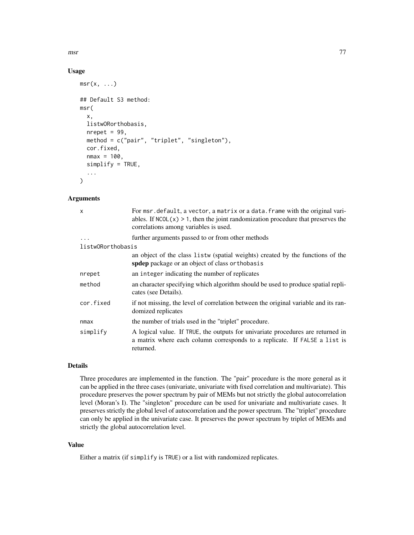## Usage

```
msr(x, \ldots)## Default S3 method:
msr(
  x,
  listwORorthobasis,
  nrepet = 99,
  method = c("pair", "triplet", "singleton"),
  cor.fixed,
  nmax = 100,
  simplify = TRUE,
  ...
\mathcal{L}
```
## Arguments

| x                 | For msr. default, a vector, a matrix or a data. frame with the original vari-<br>ables. If $NCOL(x) > 1$ , then the joint randomization procedure that preserves the<br>correlations among variables is used. |
|-------------------|---------------------------------------------------------------------------------------------------------------------------------------------------------------------------------------------------------------|
| $\ddots$          | further arguments passed to or from other methods                                                                                                                                                             |
| listwORorthobasis |                                                                                                                                                                                                               |
|                   | an object of the class listw (spatial weights) created by the functions of the<br>spdep package or an object of class orthobasis                                                                              |
| nrepet            | an integer indicating the number of replicates                                                                                                                                                                |
| method            | an character specifying which algorithm should be used to produce spatial repli-<br>cates (see Details).                                                                                                      |
| cor.fixed         | if not missing, the level of correlation between the original variable and its ran-<br>domized replicates                                                                                                     |
| nmax              | the number of trials used in the "triplet" procedure.                                                                                                                                                         |
| simplify          | A logical value. If TRUE, the outputs for univariate procedures are returned in<br>a matrix where each column corresponds to a replicate. If FALSE a list is<br>returned.                                     |
|                   |                                                                                                                                                                                                               |

# Details

Three procedures are implemented in the function. The "pair" procedure is the more general as it can be applied in the three cases (univariate, univariate with fixed correlation and multivariate). This procedure preserves the power spectrum by pair of MEMs but not strictly the global autocorrelation level (Moran's I). The "singleton" procedure can be used for univariate and multivariate cases. It preserves strictly the global level of autocorrelation and the power spectrum. The "triplet" procedure can only be applied in the univariate case. It preserves the power spectrum by triplet of MEMs and strictly the global autocorrelation level.

# Value

Either a matrix (if simplify is TRUE) or a list with randomized replicates.

msr 377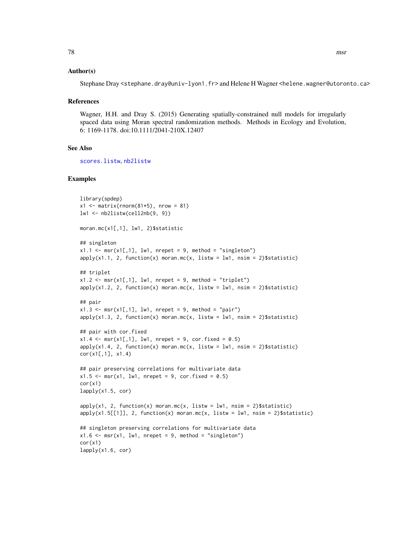## Author(s)

Stephane Dray <stephane.dray@univ-lyon1.fr> and Helene H Wagner <helene.wagner@utoronto.ca>

#### References

Wagner, H.H. and Dray S. (2015) Generating spatially-constrained null models for irregularly spaced data using Moran spectral randomization methods. Methods in Ecology and Evolution, 6: 1169-1178. doi:10.1111/2041-210X.12407

## See Also

[scores.listw](#page-99-0), [nb2listw](#page-0-0)

#### Examples

```
library(spdep)
x1 \leq - matrix(rnorm(81*5), nrow = 81)
lw1 <- nb2listw(cell2nb(9, 9))
moran.mc(x1[,1], lw1, 2)$statistic
## singleton
x1.1 \leftarrow msr(x1[,1], lw1, nrepeat = 9, method = "singleton")apply(x1.1, 2, function(x) moran.mc(x, listw = lw1, nsim = 2)$statistic)
## triplet
x1.2 \leq mx \leq x1[,1], lw1, nrepet = 9, method = "triplet")
apply(x1.2, 2, function(x) moran.mc(x, listw = lwl, nsim = 2)$statistic)
## pair
x1.3 \leq msr(x1[,1], lw1, nrepeat = 9, method = "pair")apply(x1.3, 2, function(x) moran.mc(x, listw = lw1, nsim = 2)$statistic)
## pair with cor.fixed
x1.4 \leq msr(x1[,1], \text{lw1, nrepeat} = 9, cor.fixed = 0.5)apply(x1.4, 2, function(x) moran.mc(x, listw = lwt, nsim = 2)$statistic)
cor(x1[,1], x1.4)## pair preserving correlations for multivariate data
x1.5 \leq mx(x1, lw1, nrepeat = 9, cor.fixed = 0.5)cor(x1)lapply(x1.5, cor)
apply(x1, 2, function(x) moran.mc(x, listw = lw1, nsim = 2)$statistic)
apply(x1.5[[1]], 2, function(x) moran.mc(x, listw = lwt, nsim = 2)$statistic)
## singleton preserving correlations for multivariate data
x1.6 \leq msr(x1, lw1, nrepeat = 9, method = "singleton")cor(x1)
lapply(x1.6, cor)
```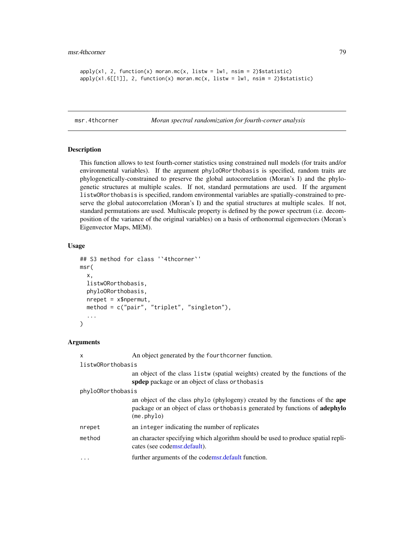```
apply(x1, 2, function(x) moran.mc(x, listw = lw1, nsim = 2)$statistic)
apply(x1.6[[1]], 2, function(x) moran.mc(x, listw = lw1, nsim = 2)$statistic)
```
msr.4thcorner *Moran spectral randomization for fourth-corner analysis*

## **Description**

This function allows to test fourth-corner statistics using constrained null models (for traits and/or environmental variables). If the argument phyloORorthobasis is specified, random traits are phylogenetically-constrained to preserve the global autocorrelation (Moran's I) and the phylogenetic structures at multiple scales. If not, standard permutations are used. If the argument listwORorthobasis is specified, random environmental variables are spatially-constrained to preserve the global autocorrelation (Moran's I) and the spatial structures at multiple scales. If not, standard permutations are used. Multiscale property is defined by the power spectrum (i.e. decomposition of the variance of the original variables) on a basis of orthonormal eigenvectors (Moran's Eigenvector Maps, MEM).

## Usage

```
## S3 method for class '`4thcorner`'
msr(
  x,
  listwORorthobasis,
  phyloORorthobasis,
  nrepet = x$npermut,
  method = c("pair", "triplet", "singleton"),
  ...
\mathcal{L}
```
# Arguments

x An object generated by the fourthcorner function.

listwORorthobasis

an object of the class listw (spatial weights) created by the functions of the spdep package or an object of class orthobasis

phyloORorthobasis

an object of the class phylo (phylogeny) created by the functions of the ape package or an object of class orthobasis generated by functions of adephylo (me.phylo)

- nrepet an integer indicating the number of replicates
- method an character specifying which algorithm should be used to produce spatial replicates (see cod[emsr.default\)](#page-75-0).
- ... **further arguments of the cod[emsr.default](#page-75-0) function.**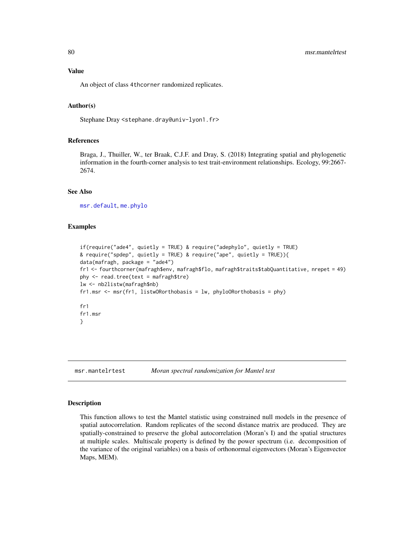# Value

An object of class 4thcorner randomized replicates.

## Author(s)

Stephane Dray <stephane.dray@univ-lyon1.fr>

## References

Braga, J., Thuiller, W., ter Braak, C.J.F. and Dray, S. (2018) Integrating spatial and phylogenetic information in the fourth-corner analysis to test trait-environment relationships. Ecology, 99:2667- 2674.

## See Also

[msr.default](#page-75-0), [me.phylo](#page-0-0)

## Examples

```
if(require("ade4", quietly = TRUE) & require("adephylo", quietly = TRUE)
& require("spdep", quietly = TRUE) & require("ape", quietly = TRUE)){
data(mafragh, package = "ade4")
fr1 <- fourthcorner(mafragh$env, mafragh$flo, mafragh$traits$tabQuantitative, nrepet = 49)
phy < - read-tree(text = mafragh$tre)lw <- nb2listw(mafragh$nb)
fr1.msr \leq msr(fr1, listwORorthobasis = lw, phyloORorthobasis = phy)
fr1
fr1.msr
}
```
msr.mantelrtest *Moran spectral randomization for Mantel test*

#### **Description**

This function allows to test the Mantel statistic using constrained null models in the presence of spatial autocorrelation. Random replicates of the second distance matrix are produced. They are spatially-constrained to preserve the global autocorrelation (Moran's I) and the spatial structures at multiple scales. Multiscale property is defined by the power spectrum (i.e. decomposition of the variance of the original variables) on a basis of orthonormal eigenvectors (Moran's Eigenvector Maps, MEM).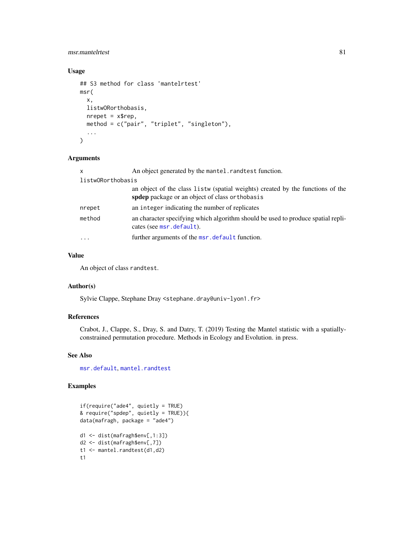# msr.mantelrtest 81

# Usage

```
## S3 method for class 'mantelrtest'
msr(
  x,
  listwORorthobasis,
  nrepet = x$rep,
  method = c("pair", "triplet", "singleton"),
  ...
\mathcal{L}
```
## Arguments

| $\times$                | An object generated by the mantel. rand test function.                                                                               |
|-------------------------|--------------------------------------------------------------------------------------------------------------------------------------|
| listwORorthobasis       |                                                                                                                                      |
|                         | an object of the class listw (spatial weights) created by the functions of the<br>spident package or an object of class or thobas is |
| nrepet                  | an integer indicating the number of replicates                                                                                       |
| method                  | an character specifying which algorithm should be used to produce spatial repli-<br>cates (see msr.default).                         |
| $\cdot$ $\cdot$ $\cdot$ | further arguments of the msr. default function.                                                                                      |

# Value

An object of class randtest.

# Author(s)

Sylvie Clappe, Stephane Dray <stephane.dray@univ-lyon1.fr>

# References

Crabot, J., Clappe, S., Dray, S. and Datry, T. (2019) Testing the Mantel statistic with a spatiallyconstrained permutation procedure. Methods in Ecology and Evolution. in press.

# See Also

[msr.default](#page-75-0), [mantel.randtest](#page-0-0)

# Examples

```
if(require("ade4", quietly = TRUE)
& require("spdep", quietly = TRUE)){
data(mafragh, package = "ade4")
d1 <- dist(mafragh$env[,1:3])
d2 <- dist(mafragh$env[,7])
t1 <- mantel.randtest(d1,d2)
t1
```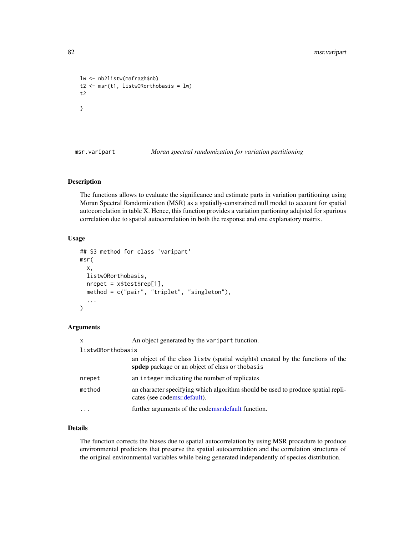```
lw <- nb2listw(mafragh$nb)
t2 <- msr(t1, listwORorthobasis = lw)
t2
}
```
msr.varipart *Moran spectral randomization for variation partitioning*

# **Description**

The functions allows to evaluate the significance and estimate parts in variation partitioning using Moran Spectral Randomization (MSR) as a spatially-constrained null model to account for spatial autocorrelation in table X. Hence, this function provides a variation partioning adujsted for spurious correlation due to spatial autocorrelation in both the response and one explanatory matrix.

#### Usage

```
## S3 method for class 'varipart'
msr(
  x,
 listwORorthobasis,
  nrepet = x$test$rep[1],
 method = c("pair", "triplet", "singleton"),
  ...
\mathcal{L}
```
# Arguments

| $\mathsf{x}$      | An object generated by the varipart function.                                                                                        |
|-------------------|--------------------------------------------------------------------------------------------------------------------------------------|
| listwORorthobasis |                                                                                                                                      |
|                   | an object of the class listw (spatial weights) created by the functions of the<br>spident package or an object of class or thobas is |
| nrepet            | an integer indicating the number of replicates                                                                                       |
| method            | an character specifying which algorithm should be used to produce spatial repli-<br>cates (see codemsr.default).                     |
|                   | further arguments of the codemsr. default function.                                                                                  |

# Details

The function corrects the biases due to spatial autocorrelation by using MSR procedure to produce environmental predictors that preserve the spatial autocorrelation and the correlation structures of the original environmental variables while being generated independently of species distribution.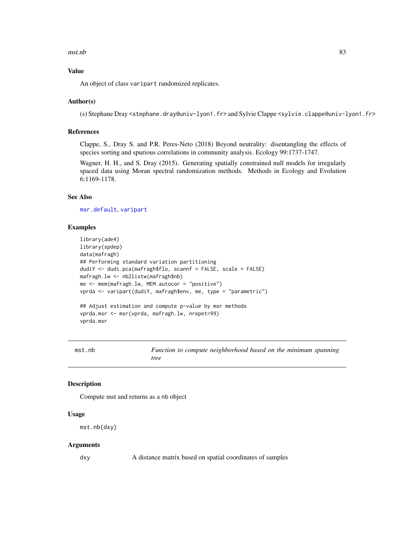#### mst.nb 83

# Value

An object of class varipart randomized replicates.

#### Author(s)

(s) Stephane Dray <stephane.dray@univ-lyon1.fr> and Sylvie Clappe <sylvie.clappe@univ-lyon1.fr>

## References

Clappe, S., Dray S. and P.R. Peres-Neto (2018) Beyond neutrality: disentangling the effects of species sorting and spurious correlations in community analysis. Ecology 99:1737-1747.

Wagner, H. H., and S. Dray (2015). Generating spatially constrained null models for irregularly spaced data using Moran spectral randomization methods. Methods in Ecology and Evolution 6:1169-1178.

# See Also

[msr.default](#page-75-0), [varipart](#page-0-0)

#### Examples

```
library(ade4)
library(spdep)
data(mafragh)
## Performing standard variation partitioning
dudiY <- dudi.pca(mafragh$flo, scannf = FALSE, scale = FALSE)
mafragh.lw <- nb2listw(mafragh$nb)
me <- mem(mafragh.lw, MEM.autocor = "positive")
vprda <- varipart(dudiY, mafragh$env, me, type = "parametric")
## Adjust estimation and compute p-value by msr methods
vprda.msr <- msr(vprda, mafragh.lw, nrepet=99)
vprda.msr
```
mst.nb *Function to compute neighborhood based on the minimum spanning tree*

#### Description

Compute mst and returns as a nb object

## Usage

mst.nb(dxy)

#### Arguments

dxy A distance matrix based on spatial coordinates of samples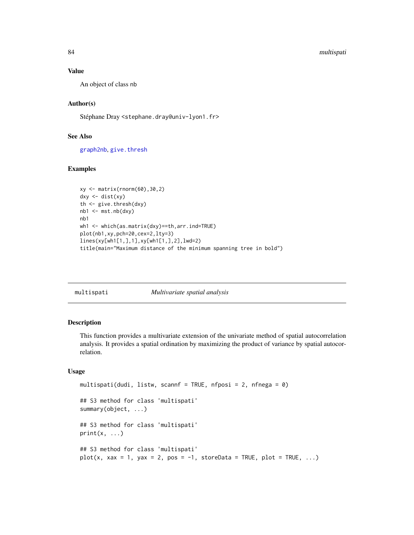## Value

An object of class nb

# Author(s)

Stéphane Dray <stephane.dray@univ-lyon1.fr>

#### See Also

[graph2nb](#page-0-0), [give.thresh](#page-46-0)

## Examples

```
xy <- matrix(rnorm(60),30,2)
dxy <- dist(xy)
th <- give.thresh(dxy)
nb1 <- mst.nb(dxy)
nb1
wh1 <- which(as.matrix(dxy)==th,arr.ind=TRUE)
plot(nb1,xy,pch=20,cex=2,lty=3)
lines(xy[wh1[1,],1],xy[wh1[1,],2],lwd=2)
title(main="Maximum distance of the minimum spanning tree in bold")
```

| multispati | <i>Multivariate spatial analysis</i> |  |
|------------|--------------------------------------|--|
|            |                                      |  |

# Description

This function provides a multivariate extension of the univariate method of spatial autocorrelation analysis. It provides a spatial ordination by maximizing the product of variance by spatial autocorrelation.

# Usage

```
multispati(dudi, listw, scannf = TRUE, nfposi = 2, nfnega = 0)
## S3 method for class 'multispati'
summary(object, ...)
## S3 method for class 'multispati'
print(x, \ldots)## S3 method for class 'multispati'
plot(x, xax = 1, yax = 2, pos = -1, storeData = TRUE, plot = TRUE, \dots)
```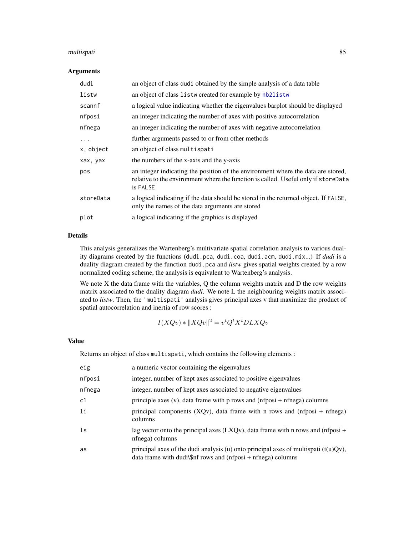#### multispati 85

#### Arguments

| dudi      | an object of class dudi obtained by the simple analysis of a data table                                                                                                            |
|-----------|------------------------------------------------------------------------------------------------------------------------------------------------------------------------------------|
| listw     | an object of class listw created for example by nb2listw                                                                                                                           |
| scannf    | a logical value indicating whether the eigenvalues barplot should be displayed                                                                                                     |
| nfposi    | an integer indicating the number of axes with positive autocorrelation                                                                                                             |
| nfnega    | an integer indicating the number of axes with negative autocorrelation                                                                                                             |
| $\ddots$  | further arguments passed to or from other methods                                                                                                                                  |
| x, object | an object of class multispati                                                                                                                                                      |
| xax, yax  | the numbers of the x-axis and the y-axis                                                                                                                                           |
| pos       | an integer indicating the position of the environment where the data are stored,<br>relative to the environment where the function is called. Useful only if storeData<br>is FALSE |
| storeData | a logical indicating if the data should be stored in the returned object. If FALSE,<br>only the names of the data arguments are stored                                             |
| plot      | a logical indicating if the graphics is displayed                                                                                                                                  |

# Details

This analysis generalizes the Wartenberg's multivariate spatial correlation analysis to various duality diagrams created by the functions (dudi.pca, dudi.coa, dudi.acm, dudi.mix...) If *dudi* is a duality diagram created by the function dudi.pca and *listw* gives spatial weights created by a row normalized coding scheme, the analysis is equivalent to Wartenberg's analysis.

We note X the data frame with the variables, Q the column weights matrix and D the row weights matrix associated to the duality diagram *dudi*. We note L the neighbouring weights matrix associated to *listw*. Then, the 'multispati' analysis gives principal axes v that maximize the product of spatial autocorrelation and inertia of row scores :

$$
I(XQv) * ||XQv||^2 = v^t Q^t X^t D L X Qv
$$

#### Value

Returns an object of class multispati, which contains the following elements :

| eig            | a numeric vector containing the eigenvalues                                                                                                             |
|----------------|---------------------------------------------------------------------------------------------------------------------------------------------------------|
| nfposi         | integer, number of kept axes associated to positive eigenvalues                                                                                         |
| nfnega         | integer, number of kept axes associated to negative eigenvalues                                                                                         |
| c <sub>1</sub> | principle axes $(v)$ , data frame with p rows and $(nfposi + nfnega)$ columns                                                                           |
| 1i             | principal components $(XQv)$ , data frame with n rows and $(nfposi + nfnega)$<br>columns                                                                |
| 1s             | lag vector onto the principal axes (LXQv), data frame with n rows and (nfposi $+$<br>nfnega) columns                                                    |
| as             | principal axes of the dudi analysis (u) onto principal axes of multispati $(t(u)Qv)$ ,<br>$data frame with dudi\$ frows and $(nfposi + nfnega) columns$ |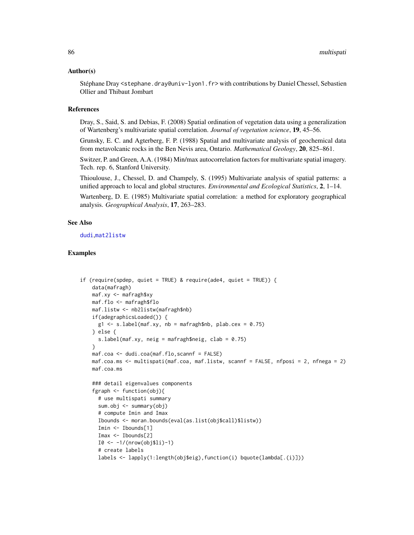#### Author(s)

Stéphane Dray <stephane.dray@univ-lyon1.fr> with contributions by Daniel Chessel, Sebastien Ollier and Thibaut Jombart

#### References

Dray, S., Said, S. and Debias, F. (2008) Spatial ordination of vegetation data using a generalization of Wartenberg's multivariate spatial correlation. *Journal of vegetation science*, 19, 45–56.

Grunsky, E. C. and Agterberg, F. P. (1988) Spatial and multivariate analysis of geochemical data from metavolcanic rocks in the Ben Nevis area, Ontario. *Mathematical Geology*, 20, 825–861.

Switzer, P. and Green, A.A. (1984) Min/max autocorrelation factors for multivariate spatial imagery. Tech. rep. 6, Stanford University.

Thioulouse, J., Chessel, D. and Champely, S. (1995) Multivariate analysis of spatial patterns: a unified approach to local and global structures. *Environmental and Ecological Statistics*, 2, 1–14.

Wartenberg, D. E. (1985) Multivariate spatial correlation: a method for exploratory geographical analysis. *Geographical Analysis*, 17, 263–283.

## See Also

[dudi](#page-0-0),[mat2listw](#page-0-0)

## Examples

```
if (require(spdep, quiet = TRUE) & require(ade4, quiet = TRUE)) {
   data(mafragh)
   maf.xy <- mafragh$xy
   maf.flo <- mafragh$flo
   maf.listw <- nb2listw(mafragh$nb)
   if(adegraphicsLoaded()) {
     g1 \leq -s.label(maf.xy, nb = mafragh$nb, plab.cex = 0.75)} else {
     s.label(maf.xy, neig = mafragh$neig, clab = 0.75)
   }
   maf.coa <- dudi.coa(maf.flo,scannf = FALSE)
   maf.coa.ms <- multispati(maf.coa, maf.listw, scannf = FALSE, nfposi = 2, nfnega = 2)
   maf.coa.ms
   ### detail eigenvalues components
   fgraph <- function(obj){
     # use multispati summary
     sum.obj <- summary(obj)
     # compute Imin and Imax
     Ibounds <- moran.bounds(eval(as.list(obj$call)$listw))
     Imin <- Ibounds[1]
     Imax <- Ibounds[2]
     I0 <- -1/(nrow(obj$li)-1)
     # create labels
     labels <- lapply(1:length(obj$eig),function(i) bquote(lambda[.(i)]))
```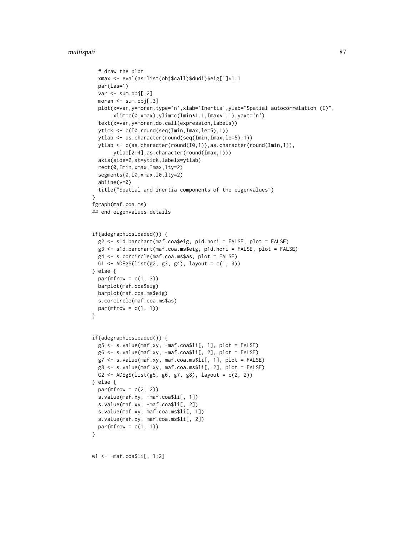#### multispati 87

```
# draw the plot
  xmax <- eval(as.list(obj$call)$dudi)$eig[1]*1.1
  par(las=1)
  var <- sum.obj[,2]
  moran <- sum.obj[,3]
  plot(x=var,y=moran,type='n',xlab='Inertia',ylab="Spatial autocorrelation (I)",
       xlim=c(0,xmax),ylim=c(Imin*1.1,Imax*1.1),yaxt='n')
  text(x=var,y=moran,do.call(expression,labels))
  ytick <- c(I0,round(seq(Imin,Imax,le=5),1))
  ytlab <- as.character(round(seq(Imin,Imax,le=5),1))
  ytlab <- c(as.character(round(I0,1)),as.character(round(Imin,1)),
       ytlab[2:4],as.character(round(Imax,1)))
  axis(side=2,at=ytick,labels=ytlab)
  rect(0,Imin,xmax,Imax,lty=2)
  segments(0,I0,xmax,I0,lty=2)
  abline(v=0)
  title("Spatial and inertia components of the eigenvalues")
}
fgraph(maf.coa.ms)
## end eigenvalues details
if(adegraphicsLoaded()) {
  g2 <- s1d.barchart(maf.coa$eig, p1d.hori = FALSE, plot = FALSE)
  g3 <- s1d.barchart(maf.coa.ms$eig, p1d.hori = FALSE, plot = FALSE)
  g4 <- s.corcircle(maf.coa.ms$as, plot = FALSE)
  G1 <- ADEgS(list(g2, g3, g4), layout = c(1, 3))
} else {
  par(mfrow = c(1, 3))barplot(maf.coa$eig)
  barplot(maf.coa.ms$eig)
  s.corcircle(maf.coa.ms$as)
  par(mfrow = c(1, 1))}
if(adegraphicsLoaded()) {
  g5 \leq s.\text{value}(\text{maf}.xy, -\text{maf}.\text{coa$li[, 1], plot = FALSE})g6 <- s.value(maf.xy, -maf.coa$li[, 2], plot = FALSE)
  g7 <- s.value(maf.xy, maf.coa.ms$li[, 1], plot = FALSE)
  g8 <- s.value(maf.xy, maf.coa.ms$li[, 2], plot = FALSE)
  G2 <- ADEgS(list(g5, g6, g7, g8), layout = c(2, 2))
} else {
  par(mfrow = c(2, 2))s.value(maf.xy, -maf.coa$li[, 1])
  s.value(maf.xy, -maf.coa$li[, 2])
  s.value(maf.xy, maf.coa.ms$li[, 1])
  s.value(maf.xy, maf.coa.ms$li[, 2])
  par(mfrow = c(1, 1))}
w1 <- -maf.coa$li[, 1:2]
```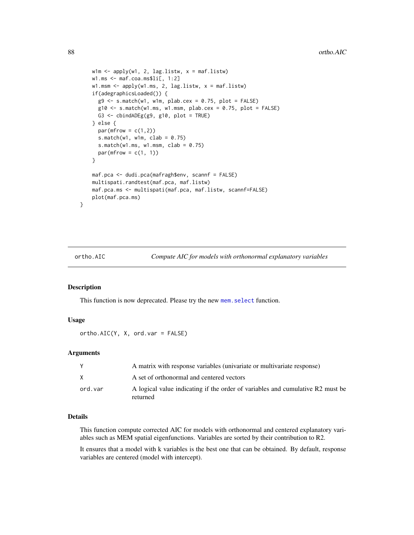```
w1m \leftarrow apply(w1, 2, lag. listw, x = maf. listw)w1.ms \leftarrow maf.coa.ms$li[, 1:2]w1.msm \leftarrow apply(w1.ms, 2, lag.listw, x = maf.listw)if(adegraphicsLoaded()) {
  g9 \leq -s.\text{match}(w1, w1m, plab.cex = 0.75, plot = FALSE)g10 \leq s.match(w1.ms, w1.msm, plab.cex = 0.75, plot = FALSE)
  G3 \leftarrow cbindADEg(g9, g10, plot = TRUE)
} else {
  par(mfrow = c(1,2))s.match(w1, w1m, clab = 0.75)
  s.match(w1.ms, w1.msm, clab = 0.75)
  par(mfrow = c(1, 1))}
maf.pca <- dudi.pca(mafragh$env, scannf = FALSE)
multispati.randtest(maf.pca, maf.listw)
maf.pca.ms <- multispati(maf.pca, maf.listw, scannf=FALSE)
plot(maf.pca.ms)
```
}

ortho.AIC *Compute AIC for models with orthonormal explanatory variables*

#### Description

This function is now deprecated. Please try the new [mem.select](#page-59-0) function.

# Usage

ortho.AIC(Y, X, ord.var = FALSE)

#### Arguments

|         | A matrix with response variables (univariate or multivariate response)                     |
|---------|--------------------------------------------------------------------------------------------|
|         | A set of orthonormal and centered vectors                                                  |
| ord.var | A logical value indicating if the order of variables and cumulative R2 must be<br>returned |

# Details

This function compute corrected AIC for models with orthonormal and centered explanatory variables such as MEM spatial eigenfunctions. Variables are sorted by their contribution to R2.

It ensures that a model with k variables is the best one that can be obtained. By default, response variables are centered (model with intercept).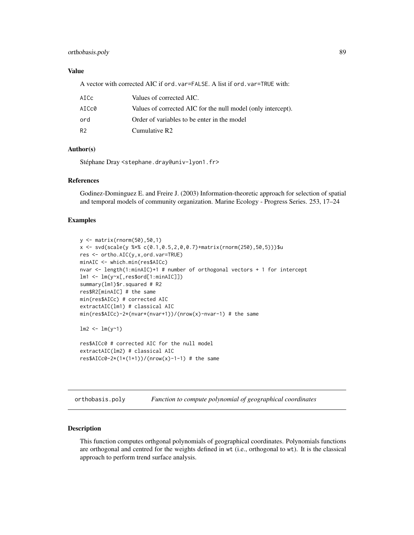## orthobasis.poly 89

# Value

A vector with corrected AIC if ord.var=FALSE. A list if ord.var=TRUE with:

| AICc  | Values of corrected AIC.                                     |
|-------|--------------------------------------------------------------|
| AICc0 | Values of corrected AIC for the null model (only intercept). |
| ord   | Order of variables to be enter in the model                  |
| R2    | Cumulative R2                                                |

# Author(s)

Stéphane Dray <stephane.dray@univ-lyon1.fr>

#### References

Godinez-Dominguez E. and Freire J. (2003) Information-theoretic approach for selection of spatial and temporal models of community organization. Marine Ecology - Progress Series. 253, 17–24

## Examples

```
y <- matrix(rnorm(50),50,1)
x \le - svd(scale(y %*% c(0.1,0.5,2,0,0.7)+matrix(rnorm(250),50,5)))$u
res <- ortho.AIC(y,x,ord.var=TRUE)
minAIC <- which.min(res$AICc)
nvar <- length(1:minAIC)+1 # number of orthogonal vectors + 1 for intercept
lm1 <- lm(y~x[,res$ord[1:minAIC]])
summary(lm1)$r.squared # R2
res$R2[minAIC] # the same
min(res$AICc) # corrected AIC
extractAIC(lm1) # classical AIC
min(res$AICc)-2*(nvar*(nvar+1))/(nrow(x)-nvar-1) # the same
lm2 < - lm(y<sup>1</sup>)res$AICc0 # corrected AIC for the null model
extractAIC(lm2) # classical AIC
res$AICc0-2*(1*(1+1))/(nrow(x)-1-1) # the same
```
orthobasis.poly *Function to compute polynomial of geographical coordinates*

#### Description

This function computes orthgonal polynomials of geographical coordinates. Polynomials functions are orthogonal and centred for the weights defined in wt (i.e., orthogonal to wt). It is the classical approach to perform trend surface analysis.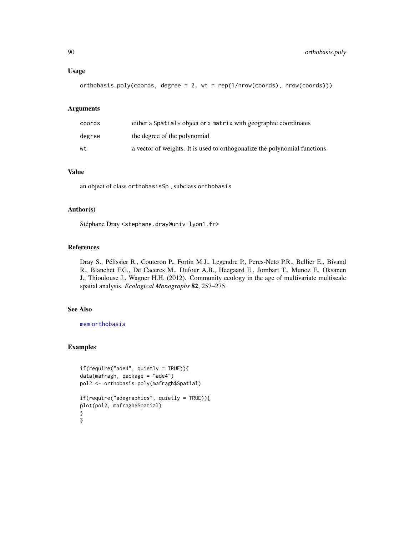#### Usage

```
orthobasis.poly(coords, degree = 2, wt = rep(1/nrow(coords), nrow(coords)))
```
## Arguments

| coords | either a Spatial* object or a matrix with geographic coordinates          |
|--------|---------------------------------------------------------------------------|
| degree | the degree of the polynomial                                              |
| wt     | a vector of weights. It is used to orthogonalize the polynomial functions |

# Value

an object of class orthobasisSp , subclass orthobasis

# Author(s)

Stéphane Dray <stephane.dray@univ-lyon1.fr>

#### References

Dray S., Pélissier R., Couteron P., Fortin M.J., Legendre P., Peres-Neto P.R., Bellier E., Bivand R., Blanchet F.G., De Caceres M., Dufour A.B., Heegaard E., Jombart T., Munoz F., Oksanen J., Thioulouse J., Wagner H.H. (2012). Community ecology in the age of multivariate multiscale spatial analysis. *Ecological Monographs* 82, 257–275.

# See Also

[mem](#page-99-1) [orthobasis](#page-0-0)

# Examples

```
if(require("ade4", quietly = TRUE)){
data(mafragh, package = "ade4")
pol2 <- orthobasis.poly(mafragh$Spatial)
if(require("adegraphics", quietly = TRUE)){
plot(pol2, mafragh$Spatial)
}
}
```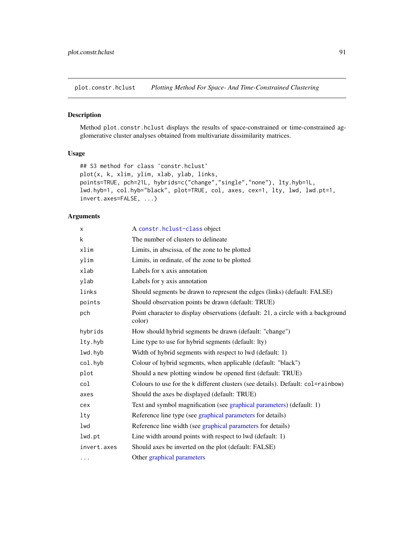plot.constr.hclust *Plotting Method For Space- And Time-Constrained Clustering*

# Description

Method plot.constr.hclust displays the results of space-constrained or time-constrained agglomerative cluster analyses obtained from multivariate dissimilarity matrices.

#### Usage

```
## S3 method for class 'constr.hclust'
plot(x, k, xlim, ylim, xlab, ylab, links,
points=TRUE, pch=21L, hybrids=c("change","single","none"), lty.hyb=1L,
lwd.hyb=1, col.hyb="black", plot=TRUE, col, axes, cex=1, lty, lwd, lwd.pt=1,
invert.axes=FALSE, ...)
```
# Arguments

| X           | A constr.hclust-class object                                                               |
|-------------|--------------------------------------------------------------------------------------------|
| k           | The number of clusters to delineate                                                        |
| xlim        | Limits, in abscissa, of the zone to be plotted                                             |
| ylim        | Limits, in ordinate, of the zone to be plotted                                             |
| xlab        | Labels for x axis annotation                                                               |
| ylab        | Labels for y axis annotation                                                               |
| links       | Should segments be drawn to represent the edges (links) (default: FALSE)                   |
| points      | Should observation points be drawn (default: TRUE)                                         |
| pch         | Point character to display observations (default: 21, a circle with a background<br>color) |
| hybrids     | How should hybrid segments be drawn (default: "change")                                    |
| lty.hyb     | Line type to use for hybrid segments (default: lty)                                        |
| lwd.hyb     | Width of hybrid segments with respect to lwd (default: 1)                                  |
| col.hyb     | Colour of hybrid segments, when applicable (default: "black")                              |
| plot        | Should a new plotting window be opened first (default: TRUE)                               |
| col         | Colours to use for the k different clusters (see details). Default: col=rainbow)           |
| axes        | Should the axes be displayed (default: TRUE)                                               |
| cex         | Text and symbol magnification (see graphical parameters) (default: 1)                      |
| lty         | Reference line type (see graphical parameters for details)                                 |
| lwd         | Reference line width (see graphical parameters for details)                                |
| lwd.pt      | Line width around points with respect to lwd (default: 1)                                  |
| invert.axes | Should axes be inverted on the plot (default: FALSE)                                       |
| $\cdots$    | Other graphical parameters                                                                 |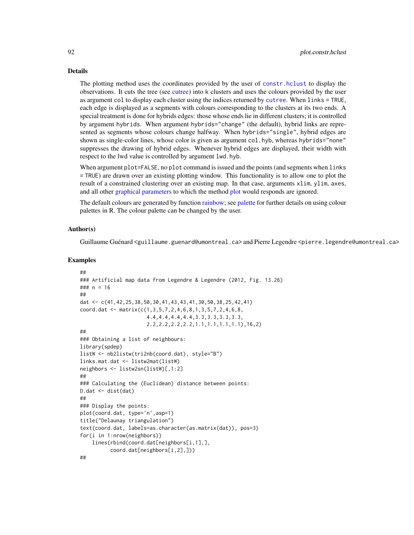#### Details

The plotting method uses the coordinates provided by the user of [constr.hclust](#page-21-0) to display the observations. It cuts the tree (see [cutree\)](#page-0-0) into k clusters and uses the colours provided by the user as argument col to display each cluster using the indices returned by [cutree](#page-0-0). When links = TRUE, each edge is displayed as a segments with colours corresponding to the clusters at its two ends. A special treatment is done for hybrids edges: those whose ends lie in different clusters; it is controlled by argument hybrids. When argument hybrids="change" (the default), hybrid links are represented as segments whose colours change halfway. When hybrids="single", hybrid edges are shown as single-color lines, whose color is given as argument col.hyb, whereas hybrids="none" suppresses the drawing of hybrid edges. Whenever hybrid edges are displayed, their width with respect to the lwd value is controlled by argument lwd.hyb.

When argument plot=FALSE, no plot command is issued and the points (and segments when links = TRUE) are drawn over an existing plotting window. This functionality is to allow one to plot the result of a constrained clustering over an existing map. In that case, arguments xlim, ylim, axes, and all other [graphical parameters](#page-0-0) to which the method [plot](#page-0-0) would responds are ignored.

The default colours are generated by function [rainbow;](#page-0-0) see [palette](#page-0-0) for further details on using colour palettes in R. The colour palette can be changed by the user.

#### Author(s)

Guillaume Guénard <guillaume.guenard@umontreal.ca> and Pierre Legendre <pierre.legendre@umontreal.ca>

## Examples

```
##
### Artificial map data from Legendre & Legendre (2012, Fig. 13.26)
### n = 16
##
dat <- c(41,42,25,38,50,30,41,43,43,41,30,50,38,25,42,41)
coord.dat <- matrix(c(1,3,5,7,2,4,6,8,1,3,5,7,2,4,6,8,
                      4.4,4.4,4.4,4.4,3.3,3.3,3.3,3.3,
                      2.2,2.2,2.2,2.2,1.1,1.1,1.1,1.1),16,2)
##
### Obtaining a list of neighbours:
library(spdep)
listW <- nb2listw(tri2nb(coord.dat), style="B")
links.mat.dat <- listw2mat(listW)
neighbors <- listw2sn(listW)[,1:2]
##
### Calculating the (Euclidean) distance between points:
D.dat <- dist(dat)
##
### Display the points:
plot(coord.dat, type='n',asp=1)
title("Delaunay triangulation")
text(coord.dat, labels=as.character(as.matrix(dat)), pos=3)
for(i in 1:nrow(neighbors))
    lines(rbind(coord.dat[neighbors[i,1],],
          coord.dat[neighbors[i,2],]))
```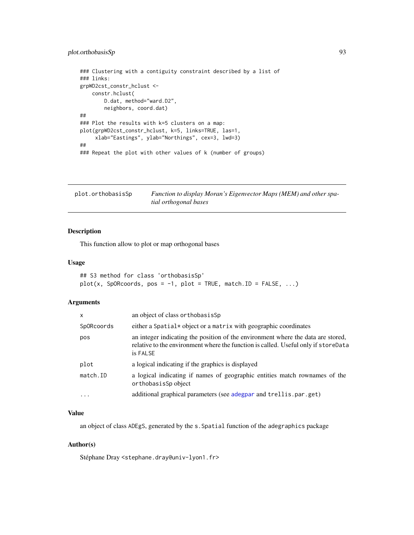# plot.orthobasisSp 93

```
### Clustering with a contiguity constraint described by a list of
### links:
grpWD2cst_constr_hclust <-
   constr.hclust(
       D.dat, method="ward.D2",
       neighbors, coord.dat)
##
### Plot the results with k=5 clusters on a map:
plot(grpWD2cst_constr_hclust, k=5, links=TRUE, las=1,
     xlab="Eastings", ylab="Northings", cex=3, lwd=3)
##
### Repeat the plot with other values of k (number of groups)
```
plot.orthobasisSp *Function to display Moran's Eigenvector Maps (MEM) and other spatial orthogonal bases*

# Description

This function allow to plot or map orthogonal bases

#### Usage

```
## S3 method for class 'orthobasisSp'
plot(x, Sp0Rcoords, pos = -1, plot = TRUE, match.ID = FALSE, ...)
```
#### Arguments

| $\mathsf{x}$ | an object of class or thobasis Sp                                                                                                                                                  |
|--------------|------------------------------------------------------------------------------------------------------------------------------------------------------------------------------------|
| SpORcoords   | either a Spatial* object or a matrix with geographic coordinates                                                                                                                   |
| pos          | an integer indicating the position of the environment where the data are stored,<br>relative to the environment where the function is called. Useful only if storeData<br>is FALSE |
| plot         | a logical indicating if the graphics is displayed                                                                                                                                  |
| match.ID     | a logical indicating if names of geographic entities match rownames of the<br>orthobasisSp object                                                                                  |
| $\ddotsc$    | additional graphical parameters (see adegpar and trellis.par.get)                                                                                                                  |

# Value

an object of class ADEgS, generated by the s.Spatial function of the adegraphics package

#### Author(s)

Stéphane Dray <stephane.dray@univ-lyon1.fr>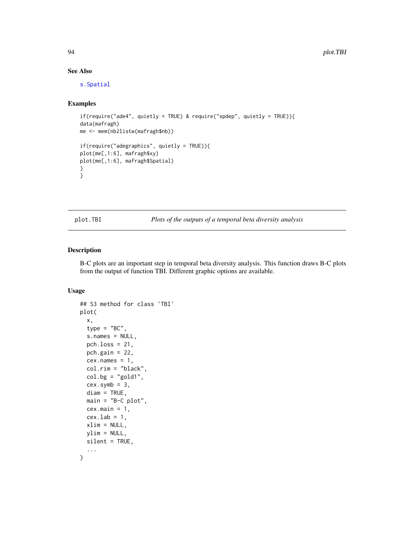# See Also

[s.Spatial](#page-0-0)

# Examples

```
if(require("ade4", quietly = TRUE) & require("spdep", quietly = TRUE)){
data(mafragh)
me <- mem(nb2listw(mafragh$nb))
if(require("adegraphics", quietly = TRUE)){
plot(me[,1:6], mafragh$xy)
plot(me[,1:6], mafragh$Spatial)
}
}
```
plot.TBI *Plots of the outputs of a temporal beta diversity analysis*

# Description

B-C plots are an important step in temporal beta diversity analysis. This function draws B-C plots from the output of function TBI. Different graphic options are available.

# Usage

```
## S3 method for class 'TBI'
plot(
  x,
  type = "BC",
  s.names = NULL,
 pch.loss = 21,
 pch.gain = 22,
  cex.name = 1,
  col.rim = "black",
  col.bg = "gold1",
  cex.symb = 3,
  diam = TRUE,
  main = "B-C plot",cex.main = 1,
  cex.1ab = 1,
  xlim = NULL,ylim = NULL,
  silent = TRUE,
  ...
)
```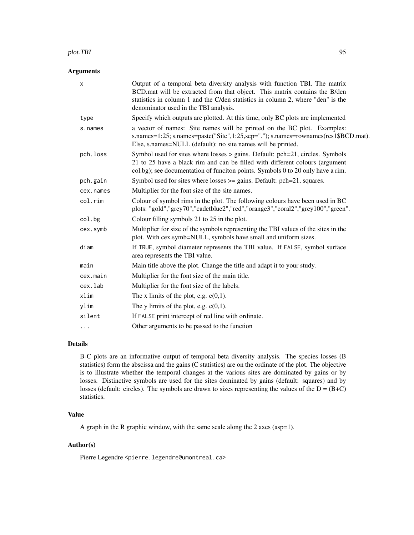#### plot.TBI 95

# Arguments

| X         | Output of a temporal beta diversity analysis with function TBI. The matrix<br>BCD mat will be extracted from that object. This matrix contains the B/den<br>statistics in column 1 and the C/den statistics in column 2, where "den" is the<br>denominator used in the TBI analysis. |
|-----------|--------------------------------------------------------------------------------------------------------------------------------------------------------------------------------------------------------------------------------------------------------------------------------------|
| type      | Specify which outputs are plotted. At this time, only BC plots are implemented                                                                                                                                                                                                       |
| s.names   | a vector of names: Site names will be printed on the BC plot. Examples:<br>s.names=1:25; s.names=paste("Site",1:25,sep="."); s.names=rownames(res1\$BCD.mat).<br>Else, s.names=NULL (default): no site names will be printed.                                                        |
| pch.loss  | Symbol used for sites where losses $>$ gains. Default: pch=21, circles. Symbols<br>21 to 25 have a black rim and can be filled with different colours (argument<br>col.bg); see documentation of funciton points. Symbols 0 to 20 only have a rim.                                   |
| pch.gain  | Symbol used for sites where losses $\ge$ gains. Default: pch=21, squares.                                                                                                                                                                                                            |
| cex.names | Multiplier for the font size of the site names.                                                                                                                                                                                                                                      |
| col.rim   | Colour of symbol rims in the plot. The following colours have been used in BC<br>plots: "gold","grey70","cadetblue2","red","orange3","coral2","grey100","green".                                                                                                                     |
| col.bg    | Colour filling symbols 21 to 25 in the plot.                                                                                                                                                                                                                                         |
| cex.symb  | Multiplier for size of the symbols representing the TBI values of the sites in the<br>plot. With cex.symb=NULL, symbols have small and uniform sizes.                                                                                                                                |
| diam      | If TRUE, symbol diameter represents the TBI value. If FALSE, symbol surface<br>area represents the TBI value.                                                                                                                                                                        |
| main      | Main title above the plot. Change the title and adapt it to your study.                                                                                                                                                                                                              |
| cex.main  | Multiplier for the font size of the main title.                                                                                                                                                                                                                                      |
| cex.lab   | Multiplier for the font size of the labels.                                                                                                                                                                                                                                          |
| xlim      | The x limits of the plot, e.g. $c(0,1)$ .                                                                                                                                                                                                                                            |
| ylim      | The y limits of the plot, e.g. $c(0,1)$ .                                                                                                                                                                                                                                            |
| silent    | If FALSE print intercept of red line with ordinate.                                                                                                                                                                                                                                  |
| $\cdots$  | Other arguments to be passed to the function                                                                                                                                                                                                                                         |

# Details

B-C plots are an informative output of temporal beta diversity analysis. The species losses (B statistics) form the abscissa and the gains (C statistics) are on the ordinate of the plot. The objective is to illustrate whether the temporal changes at the various sites are dominated by gains or by losses. Distinctive symbols are used for the sites dominated by gains (default: squares) and by losses (default: circles). The symbols are drawn to sizes representing the values of the  $D = (B+C)$ statistics.

# Value

A graph in the R graphic window, with the same scale along the 2 axes (asp=1).

# Author(s)

Pierre Legendre <pierre.legendre@umontreal.ca>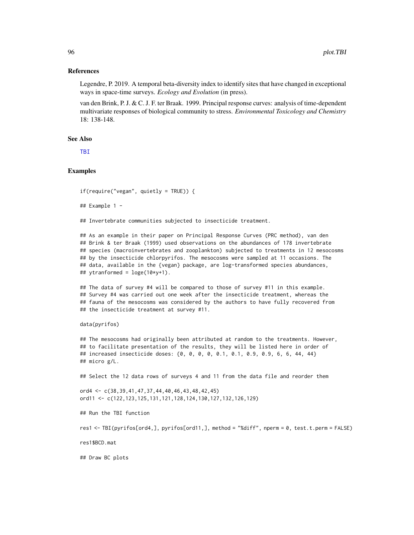#### References

Legendre, P. 2019. A temporal beta-diversity index to identify sites that have changed in exceptional ways in space-time surveys. *Ecology and Evolution* (in press).

van den Brink, P. J. & C. J. F. ter Braak. 1999. Principal response curves: analysis of time-dependent multivariate responses of biological community to stress. *Environmental Toxicology and Chemistry* 18: 138-148.

#### See Also

[TBI](#page-107-0)

## Examples

```
if(require("vegan", quietly = TRUE)) {
```

```
## Example 1 -
```
## Invertebrate communities subjected to insecticide treatment.

## As an example in their paper on Principal Response Curves (PRC method), van den ## Brink & ter Braak (1999) used observations on the abundances of 178 invertebrate ## species (macroinvertebrates and zooplankton) subjected to treatments in 12 mesocosms ## by the insecticide chlorpyrifos. The mesocosms were sampled at 11 occasions. The ## data, available in the {vegan} package, are log-transformed species abundances, ## ytranformed =  $\log(e(10*y+1))$ .

## The data of survey #4 will be compared to those of survey #11 in this example. ## Survey #4 was carried out one week after the insecticide treatment, whereas the ## fauna of the mesocosms was considered by the authors to have fully recovered from ## the insecticide treatment at survey #11.

#### data(pyrifos)

```
## The mesocosms had originally been attributed at random to the treatments. However,
## to facilitate presentation of the results, they will be listed here in order of
## increased insecticide doses: {0, 0, 0, 0, 0.1, 0.1, 0.9, 0.9, 6, 6, 44, 44}
## micro g/L.
```
## Select the 12 data rows of surveys 4 and 11 from the data file and reorder them

ord4 <- c(38,39,41,47,37,44,40,46,43,48,42,45) ord11 <- c(122,123,125,131,121,128,124,130,127,132,126,129)

## Run the TBI function

res1 <- TBI(pyrifos[ord4,], pyrifos[ord11,], method = "%diff", nperm = 0, test.t.perm = FALSE)

res1\$BCD.mat

## Draw BC plots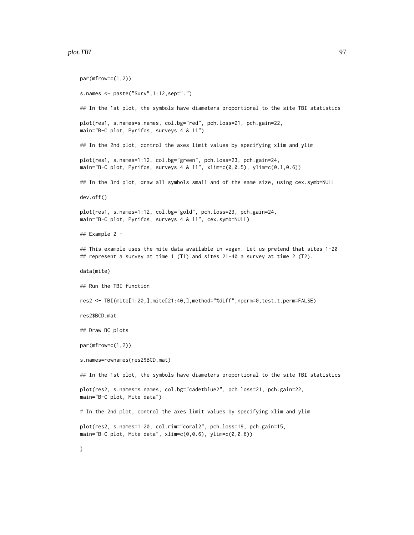#### plot.TBI 97

par(mfrow=c(1,2)) s.names <- paste("Surv",1:12,sep=".") ## In the 1st plot, the symbols have diameters proportional to the site TBI statistics plot(res1, s.names=s.names, col.bg="red", pch.loss=21, pch.gain=22, main="B-C plot, Pyrifos, surveys 4 & 11") ## In the 2nd plot, control the axes limit values by specifying xlim and ylim plot(res1, s.names=1:12, col.bg="green", pch.loss=23, pch.gain=24, main="B-C plot, Pyrifos, surveys 4 & 11", xlim=c(0,0.5), ylim=c(0.1,0.6)) ## In the 3rd plot, draw all symbols small and of the same size, using cex.symb=NULL dev.off() plot(res1, s.names=1:12, col.bg="gold", pch.loss=23, pch.gain=24, main="B-C plot, Pyrifos, surveys 4 & 11", cex.symb=NULL) ## Example 2 - ## This example uses the mite data available in vegan. Let us pretend that sites 1-20 ## represent a survey at time 1 (T1) and sites 21-40 a survey at time 2 (T2). data(mite) ## Run the TBI function res2 <- TBI(mite[1:20,],mite[21:40,],method="%diff",nperm=0,test.t.perm=FALSE) res2\$BCD.mat ## Draw BC plots par(mfrow=c(1,2)) s.names=rownames(res2\$BCD.mat) ## In the 1st plot, the symbols have diameters proportional to the site TBI statistics plot(res2, s.names=s.names, col.bg="cadetblue2", pch.loss=21, pch.gain=22, main="B-C plot, Mite data") # In the 2nd plot, control the axes limit values by specifying xlim and ylim plot(res2, s.names=1:20, col.rim="coral2", pch.loss=19, pch.gain=15, main="B-C plot, Mite data", xlim=c(0,0.6), ylim=c(0,0.6)) }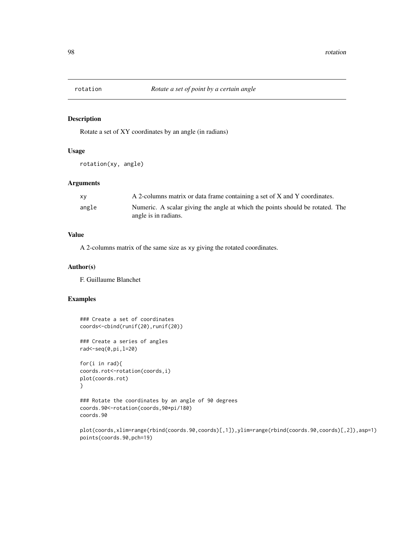# Description

Rotate a set of XY coordinates by an angle (in radians)

# Usage

rotation(xy, angle)

# Arguments

| xy    | A 2-columns matrix or data frame containing a set of X and Y coordinates.                             |
|-------|-------------------------------------------------------------------------------------------------------|
| angle | Numeric. A scalar giving the angle at which the points should be rotated. The<br>angle is in radians. |

# Value

A 2-columns matrix of the same size as xy giving the rotated coordinates.

# Author(s)

F. Guillaume Blanchet

## Examples

```
### Create a set of coordinates
coords<-cbind(runif(20),runif(20))
```
### Create a series of angles rad<-seq(0,pi,l=20)

```
for(i in rad){
coords.rot<-rotation(coords,i)
plot(coords.rot)
}
```

```
### Rotate the coordinates by an angle of 90 degrees
coords.90<-rotation(coords,90*pi/180)
coords.90
```

```
plot(coords,xlim=range(rbind(coords.90,coords)[,1]),ylim=range(rbind(coords.90,coords)[,2]),asp=1)
points(coords.90,pch=19)
```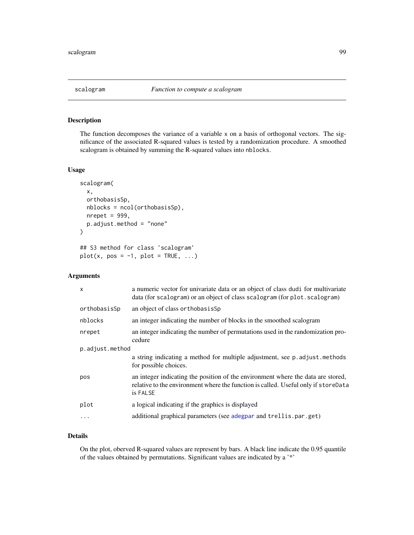# Description

The function decomposes the variance of a variable x on a basis of orthogonal vectors. The significance of the associated R-squared values is tested by a randomization procedure. A smoothed scalogram is obtained by summing the R-squared values into nblocks.

## Usage

```
scalogram(
  x,
  orthobasisSp,
  nblocks = ncol(orthobasisSp),
  nrepet = 999,
  p.adjust.method = "none"
)
## S3 method for class 'scalogram'
plot(x, pos = -1, plot = TRUE, ...)
```
# Arguments

| $\boldsymbol{\mathsf{x}}$ | a numeric vector for univariate data or an object of class dudi for multivariate<br>data (for scalogram) or an object of class scalogram (for plot. scalogram)                     |
|---------------------------|------------------------------------------------------------------------------------------------------------------------------------------------------------------------------------|
| orthobasisSp              | an object of class or thobasis Sp                                                                                                                                                  |
| nblocks                   | an integer indicating the number of blocks in the smoothed scalogram                                                                                                               |
| nrepet                    | an integer indicating the number of permutations used in the randomization pro-<br>cedure                                                                                          |
| p.adjust.method           |                                                                                                                                                                                    |
|                           | a string indicating a method for multiple adjustment, see p. adjust. methods<br>for possible choices.                                                                              |
| pos                       | an integer indicating the position of the environment where the data are stored,<br>relative to the environment where the function is called. Useful only if storeData<br>is FALSE |
| plot                      | a logical indicating if the graphics is displayed                                                                                                                                  |
| .                         | additional graphical parameters (see adegpar and trellis.par.get)                                                                                                                  |
|                           |                                                                                                                                                                                    |

# Details

On the plot, oberved R-squared values are represent by bars. A black line indicate the 0.95 quantile of the values obtained by permutations. Significant values are indicated by a '\*'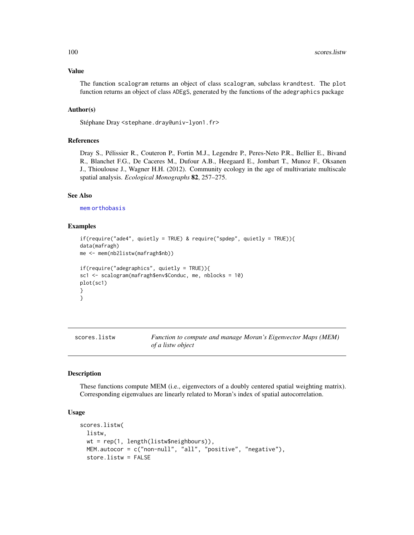#### Value

The function scalogram returns an object of class scalogram, subclass krandtest. The plot function returns an object of class ADEgS, generated by the functions of the adegraphics package

## Author(s)

Stéphane Dray <stephane.dray@univ-lyon1.fr>

#### References

Dray S., Pélissier R., Couteron P., Fortin M.J., Legendre P., Peres-Neto P.R., Bellier E., Bivand R., Blanchet F.G., De Caceres M., Dufour A.B., Heegaard E., Jombart T., Munoz F., Oksanen J., Thioulouse J., Wagner H.H. (2012). Community ecology in the age of multivariate multiscale spatial analysis. *Ecological Monographs* 82, 257–275.

#### See Also

[mem](#page-99-1) [orthobasis](#page-0-0)

## Examples

```
if(require("ade4", quietly = TRUE) & require("spdep", quietly = TRUE)){
data(mafragh)
me <- mem(nb2listw(mafragh$nb))
if(require("adegraphics", quietly = TRUE)){
sc1 <- scalogram(mafragh$env$Conduc, me, nblocks = 10)
plot(sc1)
}
}
```
<span id="page-99-0"></span>

| scores.listw | Function to compute and manage Moran's Eigenvector Maps (MEM) |
|--------------|---------------------------------------------------------------|
|              | of a listw object                                             |

## <span id="page-99-1"></span>Description

These functions compute MEM (i.e., eigenvectors of a doubly centered spatial weighting matrix). Corresponding eigenvalues are linearly related to Moran's index of spatial autocorrelation.

#### Usage

```
scores.listw(
 listw,
 wt = rep(1, length(listw$neighbours)),
 MEM.autocor = c("non-null", "all", "positive", "negative"),
  store.listw = FALSE
```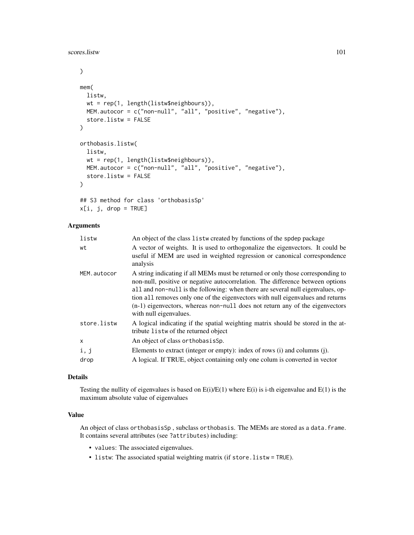scores.listw 101

```
\mathcal{L}mem(
  listw,
 wt = rep(1, length(listw$neighbours)),
 MEM.autocor = c("non-null", "all", "positive", "negative"),
  store.listw = FALSE
)
orthobasis.listw(
  listw,
  wt = rep(1, length(listw$neighbours)),
 MEM.autocor = c("non-null", "all", "positive", "negative"),
  store.listw = FALSE
)
## S3 method for class 'orthobasisSp'
```

```
x[i, j, drop = TRUE]
```
# Arguments

| listw       | An object of the class listw created by functions of the spdep package                                                                                                                                                                                                                                                                                                                                                                            |
|-------------|---------------------------------------------------------------------------------------------------------------------------------------------------------------------------------------------------------------------------------------------------------------------------------------------------------------------------------------------------------------------------------------------------------------------------------------------------|
| wt          | A vector of weights. It is used to orthogonalize the eigenvectors. It could be<br>useful if MEM are used in weighted regression or canonical correspondence<br>analysis                                                                                                                                                                                                                                                                           |
| MEM.autocor | A string indicating if all MEMs must be returned or only those corresponding to<br>non-null, positive or negative autocorrelation. The difference between options<br>all and non-null is the following: when there are several null eigenvalues, op-<br>tion all removes only one of the eigenvectors with null eigenvalues and returns<br>(n-1) eigenvectors, whereas non-null does not return any of the eigenvectors<br>with null eigenvalues. |
| store.listw | A logical indicating if the spatial weighting matrix should be stored in the at-<br>tribute listw of the returned object                                                                                                                                                                                                                                                                                                                          |
| X           | An object of class or thobasis Sp.                                                                                                                                                                                                                                                                                                                                                                                                                |
| i, j        | Elements to extract (integer or empty): index of rows (i) and columns (j).                                                                                                                                                                                                                                                                                                                                                                        |
| drop        | A logical. If TRUE, object containing only one colum is converted in vector                                                                                                                                                                                                                                                                                                                                                                       |
|             |                                                                                                                                                                                                                                                                                                                                                                                                                                                   |

# Details

Testing the nullity of eigenvalues is based on  $E(i)/E(1)$  where  $E(i)$  is i-th eigenvalue and  $E(1)$  is the maximum absolute value of eigenvalues

## Value

An object of class orthobasisSp, subclass orthobasis. The MEMs are stored as a data.frame. It contains several attributes (see ?attributes) including:

- values: The associated eigenvalues.
- listw: The associated spatial weighting matrix (if store.listw = TRUE).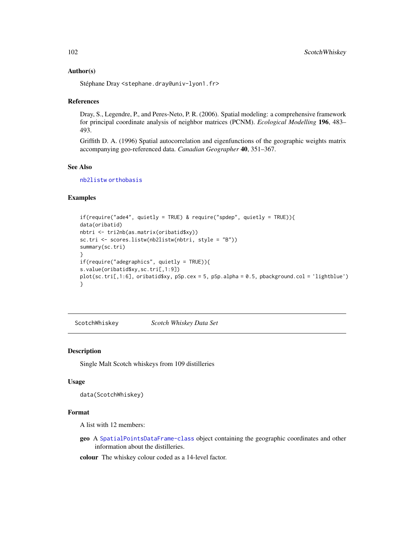## Author(s)

Stéphane Dray <stephane.dray@univ-lyon1.fr>

#### References

Dray, S., Legendre, P., and Peres-Neto, P. R. (2006). Spatial modeling: a comprehensive framework for principal coordinate analysis of neighbor matrices (PCNM). *Ecological Modelling* 196, 483– 493.

Griffith D. A. (1996) Spatial autocorrelation and eigenfunctions of the geographic weights matrix accompanying geo-referenced data. *Canadian Geographer* 40, 351–367.

# See Also

[nb2listw](#page-0-0) [orthobasis](#page-0-0)

## Examples

```
if(require("ade4", quietly = TRUE) & require("spdep", quietly = TRUE)){
data(oribatid)
nbtri <- tri2nb(as.matrix(oribatid$xy))
sc.tri <- scores.listw(nb2listw(nbtri, style = "B"))
summary(sc.tri)
}
if(require("adegraphics", quietly = TRUE)){
s.value(oribatid$xy,sc.tri[,1:9])
plot(sc.tri[,1:6], oribatid$xy, pSp.cex = 5, pSp.alpha = 0.5, pbackground.col = 'lightblue')
}
```
ScotchWhiskey *Scotch Whiskey Data Set*

#### Description

Single Malt Scotch whiskeys from 109 distilleries

## Usage

```
data(ScotchWhiskey)
```
## Format

A list with 12 members:

geo A [SpatialPointsDataFrame-class](#page-0-0) object containing the geographic coordinates and other information about the distilleries.

colour The whiskey colour coded as a 14-level factor.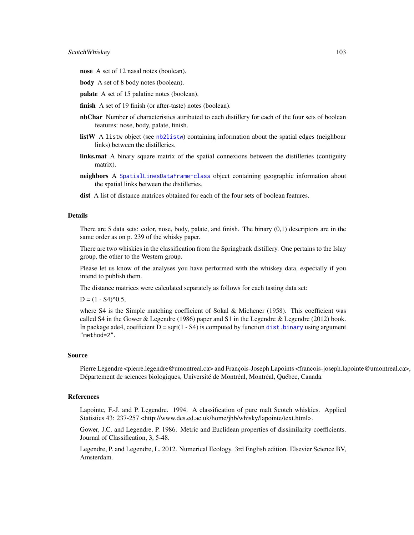- nose A set of 12 nasal notes (boolean).
- body A set of 8 body notes (boolean).
- palate A set of 15 palatine notes (boolean).
- finish A set of 19 finish (or after-taste) notes (boolean).
- **nbChar** Number of characteristics attributed to each distillery for each of the four sets of boolean features: nose, body, palate, finish.
- listW A listw object (see [nb2listw](#page-0-0)) containing information about the spatial edges (neighbour links) between the distilleries.
- links.mat A binary square matrix of the spatial connexions between the distilleries (contiguity matrix).
- neighbors A [SpatialLinesDataFrame-class](#page-0-0) object containing geographic information about the spatial links between the distilleries.
- dist A list of distance matrices obtained for each of the four sets of boolean features.

#### Details

There are 5 data sets: color, nose, body, palate, and finish. The binary  $(0,1)$  descriptors are in the same order as on p. 239 of the whisky paper.

There are two whiskies in the classification from the Springbank distillery. One pertains to the Islay group, the other to the Western group.

Please let us know of the analyses you have performed with the whiskey data, especially if you intend to publish them.

The distance matrices were calculated separately as follows for each tasting data set:

 $D = (1 - S4)^{0.5}$ ,

where S4 is the Simple matching coefficient of Sokal & Michener (1958). This coefficient was called S4 in the Gower & Legendre (1986) paper and S1 in the Legendre & Legendre (2012) book. In package ade4, coefficient  $D = sqrt(1 - S4)$  is computed by function dist. binary using argument "method=2".

#### Source

Pierre Legendre <pierre.legendre@umontreal.ca> and François-Joseph Lapoints <francois-joseph.lapointe@umontreal.ca>, Département de sciences biologiques, Université de Montréal, Montréal, Québec, Canada.

#### References

Lapointe, F.-J. and P. Legendre. 1994. A classification of pure malt Scotch whiskies. Applied Statistics 43: 237-257 <http://www.dcs.ed.ac.uk/home/jhb/whisky/lapointe/text.html>.

Gower, J.C. and Legendre, P. 1986. Metric and Euclidean properties of dissimilarity coefficients. Journal of Classification, 3, 5-48.

Legendre, P. and Legendre, L. 2012. Numerical Ecology. 3rd English edition. Elsevier Science BV, Amsterdam.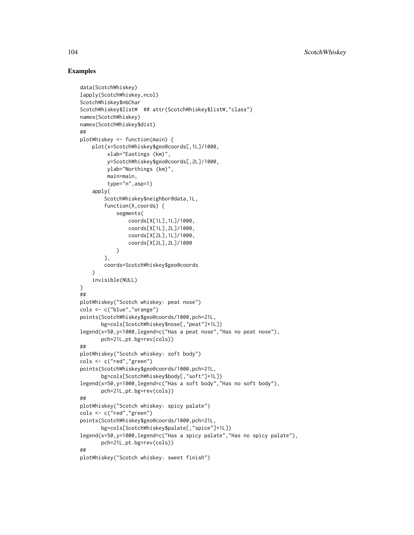## Examples

```
data(ScotchWhiskey)
lapply(ScotchWhiskey,ncol)
ScotchWhiskey$nbChar
ScotchWhiskey$listW ## attr(ScotchWhiskey$listW,"class")
names(ScotchWhiskey)
names(ScotchWhiskey$dist)
##
plotWhiskey <- function(main) {
    plot(x=ScotchWhiskey$geo@coords[,1L]/1000,
         xlab="Eastings (km)",
         y=ScotchWhiskey$geo@coords[,2L]/1000,
        ylab="Northings (km)",
         main=main,
         type="n",asp=1)
   apply(
        ScotchWhiskey$neighbor@data,1L,
        function(X,coords) {
            segments(
                coords[X[1L],1L]/1000,
                coords[X[1L],2L]/1000,
                coords[X[2L],1L]/1000,
                coords[X[2L],2L]/1000
            )
        },
        coords=ScotchWhiskey$geo@coords
    )
    invisible(NULL)
}
##
plotWhiskey("Scotch whiskey: peat nose")
cols <- c("blue","orange")
points(ScotchWhiskey$geo@coords/1000,pch=21L,
       bg=cols[ScotchWhiskey$nose[,"peat"]+1L])
legend(x=50,y=1000,legend=c("Has a peat nose","Has no peat nose"),
       pch=21L,pt.bg=rev(cols))
##
plotWhiskey("Scotch whiskey: soft body")
cols <- c("red","green")
points(ScotchWhiskey$geo@coords/1000,pch=21L,
       bg=cols[ScotchWhiskey$body[,"soft"]+1L])
legend(x=50,y=1000,legend=c("Has a soft body","Has no soft body"),
       pch=21L,pt.bg=rev(cols))
##
plotWhiskey("Scotch whiskey: spicy palate")
cols <- c("red","green")
points(ScotchWhiskey$geo@coords/1000,pch=21L,
       bg=cols[ScotchWhiskey$palate[,"spice"]+1L])
legend(x=50,y=1000,legend=c("Has a spicy palate","Has no spicy palate"),
       pch=21L,pt.bg=rev(cols))
##
plotWhiskey("Scotch whiskey: sweet finish")
```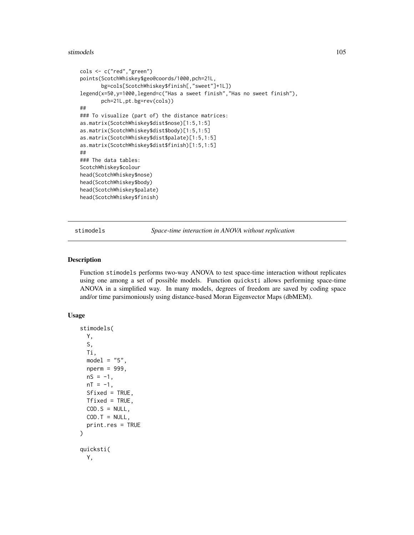#### stimodels and the state of the state of the state of the state of the state of the state of the state of the state of the state of the state of the state of the state of the state of the state of the state of the state of

```
cols <- c("red","green")
points(ScotchWhiskey$geo@coords/1000,pch=21L,
      bg=cols[ScotchWhiskey$finish[,"sweet"]+1L])
legend(x=50,y=1000,legend=c("Has a sweet finish","Has no sweet finish"),
      pch=21L,pt.bg=rev(cols))
##
### To visualize (part of) the distance matrices:
as.matrix(ScotchWhiskey$dist$nose)[1:5,1:5]
as.matrix(ScotchWhiskey$dist$body)[1:5,1:5]
as.matrix(ScotchWhiskey$dist$palate)[1:5,1:5]
as.matrix(ScotchWhiskey$dist$finish)[1:5,1:5]
##
### The data tables:
ScotchWhiskey$colour
head(ScotchWhiskey$nose)
head(ScotchWhiskey$body)
head(ScotchWhiskey$palate)
head(ScotchWhiskey$finish)
```
stimodels *Space-time interaction in ANOVA without replication*

# **Description**

Function stimodels performs two-way ANOVA to test space-time interaction without replicates using one among a set of possible models. Function quicksti allows performing space-time ANOVA in a simplified way. In many models, degrees of freedom are saved by coding space and/or time parsimoniously using distance-based Moran Eigenvector Maps (dbMEM).

## Usage

```
stimodels(
  Y,
  S,
  Ti,
 model = "5",nperm = 999,
 nS = -1,
 nT = -1,
 Sfixed = TRUE,
 Tfixed = TRUE,
 COD.S = NULL,COD.T = NULL,print.res = TRUE
)
quicksti(
 Y,
```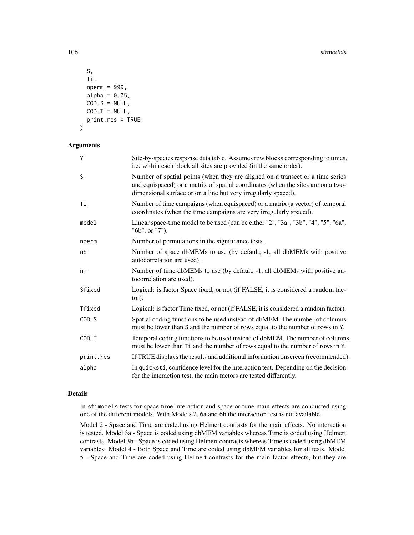#### 106 stimodels and the state of the state of the state of the state of the state of the state of the state of the state of the state of the state of the state of the state of the state of the state of the state of the state

```
S,
  Ti,
  nperm = 999,
  alpha = 0.05,
 COD.S = NULL,COD.T = NULL,print.res = TRUE
)
```
# Arguments

| Y         | Site-by-species response data table. Assumes row blocks corresponding to times,<br>i.e. within each block all sites are provided (in the same order).                                                                                |
|-----------|--------------------------------------------------------------------------------------------------------------------------------------------------------------------------------------------------------------------------------------|
| S         | Number of spatial points (when they are aligned on a transect or a time series<br>and equispaced) or a matrix of spatial coordinates (when the sites are on a two-<br>dimensional surface or on a line but very irregularly spaced). |
| Ti        | Number of time campaigns (when equispaced) or a matrix (a vector) of temporal<br>coordinates (when the time campaigns are very irregularly spaced).                                                                                  |
| model     | Linear space-time model to be used (can be either "2", "3a", "3b", "4", "5", "6a",<br>"6b", or "7").                                                                                                                                 |
| nperm     | Number of permutations in the significance tests.                                                                                                                                                                                    |
| nS        | Number of space dbMEMs to use (by default, -1, all dbMEMs with positive<br>autocorrelation are used).                                                                                                                                |
| nT        | Number of time dbMEMs to use (by default, -1, all dbMEMs with positive au-<br>tocorrelation are used).                                                                                                                               |
| Sfixed    | Logical: is factor Space fixed, or not (if FALSE, it is considered a random fac-<br>tor).                                                                                                                                            |
| Tfixed    | Logical: is factor Time fixed, or not (if FALSE, it is considered a random factor).                                                                                                                                                  |
| COD.S     | Spatial coding functions to be used instead of dbMEM. The number of columns<br>must be lower than S and the number of rows equal to the number of rows in Y.                                                                         |
| COD.T     | Temporal coding functions to be used instead of dbMEM. The number of columns<br>must be lower than Ti and the number of rows equal to the number of rows in Y.                                                                       |
| print.res | If TRUE displays the results and additional information onscreen (recommended).                                                                                                                                                      |
| alpha     | In quicksti, confidence level for the interaction test. Depending on the decision<br>for the interaction test, the main factors are tested differently.                                                                              |

# Details

In stimodels tests for space-time interaction and space or time main effects are conducted using one of the different models. With Models 2, 6a and 6b the interaction test is not available.

Model 2 - Space and Time are coded using Helmert contrasts for the main effects. No interaction is tested. Model 3a - Space is coded using dbMEM variables whereas Time is coded using Helmert contrasts. Model 3b - Space is coded using Helmert contrasts whereas Time is coded using dbMEM variables. Model 4 - Both Space and Time are coded using dbMEM variables for all tests. Model 5 - Space and Time are coded using Helmert contrasts for the main factor effects, but they are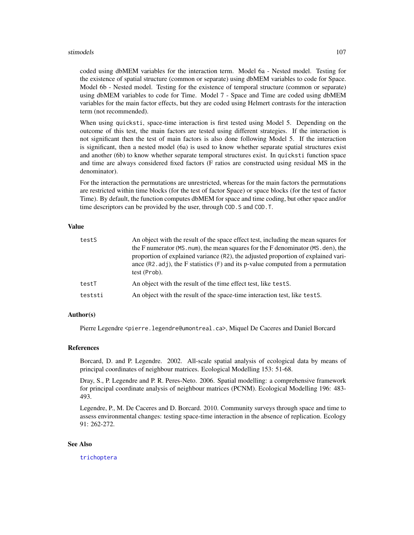#### stimodels and the state of the state of the state of the state of the state of the state of the state of the state of the state of the state of the state of the state of the state of the state of the state of the state of

coded using dbMEM variables for the interaction term. Model 6a - Nested model. Testing for the existence of spatial structure (common or separate) using dbMEM variables to code for Space. Model 6b - Nested model. Testing for the existence of temporal structure (common or separate) using dbMEM variables to code for Time. Model 7 - Space and Time are coded using dbMEM variables for the main factor effects, but they are coded using Helmert contrasts for the interaction term (not recommended).

When using quicksti, space-time interaction is first tested using Model 5. Depending on the outcome of this test, the main factors are tested using different strategies. If the interaction is not significant then the test of main factors is also done following Model 5. If the interaction is significant, then a nested model (6a) is used to know whether separate spatial structures exist and another (6b) to know whether separate temporal structures exist. In quicksti function space and time are always considered fixed factors (F ratios are constructed using residual MS in the denominator).

For the interaction the permutations are unrestricted, whereas for the main factors the permutations are restricted within time blocks (for the test of factor Space) or space blocks (for the test of factor Time). By default, the function computes dbMEM for space and time coding, but other space and/or time descriptors can be provided by the user, through COD.S and COD.T.

# Value

| testS   | An object with the result of the space effect test, including the mean squares for<br>the F numerator (MS. num), the mean squares for the F denominator (MS. den), the<br>proportion of explained variance (R2), the adjusted proportion of explained vari-<br>ance $(R2.add)$ , the F statistics $(F)$ and its p-value computed from a permutation<br>test (Prob). |
|---------|---------------------------------------------------------------------------------------------------------------------------------------------------------------------------------------------------------------------------------------------------------------------------------------------------------------------------------------------------------------------|
| testT   | An object with the result of the time effect test, like tests.                                                                                                                                                                                                                                                                                                      |
| teststi | An object with the result of the space-time interaction test, like tests.                                                                                                                                                                                                                                                                                           |

## Author(s)

Pierre Legendre <pierre.legendre@umontreal.ca>, Miquel De Caceres and Daniel Borcard

#### References

Borcard, D. and P. Legendre. 2002. All-scale spatial analysis of ecological data by means of principal coordinates of neighbour matrices. Ecological Modelling 153: 51-68.

Dray, S., P. Legendre and P. R. Peres-Neto. 2006. Spatial modelling: a comprehensive framework for principal coordinate analysis of neighbour matrices (PCNM). Ecological Modelling 196: 483- 493.

Legendre, P., M. De Caceres and D. Borcard. 2010. Community surveys through space and time to assess environmental changes: testing space-time interaction in the absence of replication. Ecology 91: 262-272.

#### See Also

[trichoptera](#page-121-0)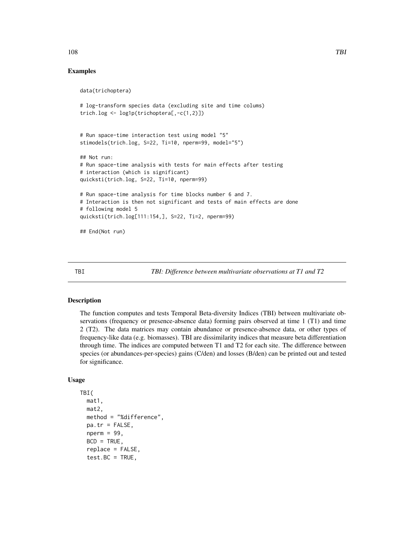## Examples

```
data(trichoptera)
# log-transform species data (excluding site and time colums)
trich.log <- log1p(trichoptera[,-c(1,2)])
# Run space-time interaction test using model "5"
stimodels(trich.log, S=22, Ti=10, nperm=99, model="5")
## Not run:
# Run space-time analysis with tests for main effects after testing
# interaction (which is significant)
quicksti(trich.log, S=22, Ti=10, nperm=99)
# Run space-time analysis for time blocks number 6 and 7.
# Interaction is then not significant and tests of main effects are done
# following model 5
quicksti(trich.log[111:154,], S=22, Ti=2, nperm=99)
## End(Not run)
```
<span id="page-107-0"></span>TBI *TBI: Difference between multivariate observations at T1 and T2*

# Description

The function computes and tests Temporal Beta-diversity Indices (TBI) between multivariate observations (frequency or presence-absence data) forming pairs observed at time 1 (T1) and time 2 (T2). The data matrices may contain abundance or presence-absence data, or other types of frequency-like data (e.g. biomasses). TBI are dissimilarity indices that measure beta differentiation through time. The indices are computed between T1 and T2 for each site. The difference between species (or abundances-per-species) gains (C/den) and losses (B/den) can be printed out and tested for significance.

## Usage

```
TBI(
  mat1,
  mat2,
  method = "%difference",
  pa.tr = FALSE,
  nperm = 99,
  BCD = TRUE,replace = FALSE,
  test.BC = TRUE,
```
108 TBI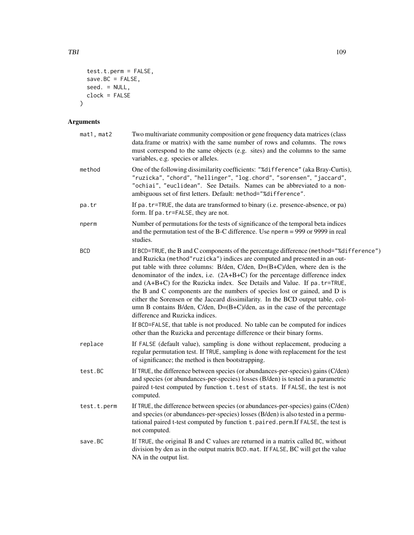```
test.t.perm = FALSE,
 save.BC = FALSE,seed. = NULL,
  clock = FALSE
\mathcal{L}
```
# Arguments

| mat1, mat2  | Two multivariate community composition or gene frequency data matrices (class<br>data.frame or matrix) with the same number of rows and columns. The rows<br>must correspond to the same objects (e.g. sites) and the columns to the same<br>variables, e.g. species or alleles.                                                                                                                                                                                                                                                                                                                                                                                                                                                                                                                                                                                     |
|-------------|----------------------------------------------------------------------------------------------------------------------------------------------------------------------------------------------------------------------------------------------------------------------------------------------------------------------------------------------------------------------------------------------------------------------------------------------------------------------------------------------------------------------------------------------------------------------------------------------------------------------------------------------------------------------------------------------------------------------------------------------------------------------------------------------------------------------------------------------------------------------|
| method      | One of the following dissimilarity coefficients: "%difference" (aka Bray-Curtis),<br>"ruzicka", "chord", "hellinger", "log.chord", "sorensen", "jaccard",<br>"ochiai", "euclidean". See Details. Names can be abbreviated to a non-<br>ambiguous set of first letters. Default: method="%difference".                                                                                                                                                                                                                                                                                                                                                                                                                                                                                                                                                                |
| pa.tr       | If pa. tr=TRUE, the data are transformed to binary (i.e. presence-absence, or pa)<br>form. If pa. tr=FALSE, they are not.                                                                                                                                                                                                                                                                                                                                                                                                                                                                                                                                                                                                                                                                                                                                            |
| nperm       | Number of permutations for the tests of significance of the temporal beta indices<br>and the permutation test of the B-C difference. Use nperm = 999 or 9999 in real<br>studies.                                                                                                                                                                                                                                                                                                                                                                                                                                                                                                                                                                                                                                                                                     |
| <b>BCD</b>  | If BCD=TRUE, the B and C components of the percentage difference (method="%difference")<br>and Ruzicka (method" ruzicka") indices are computed and presented in an out-<br>put table with three columns: B/den, C/den, D=(B+C)/den, where den is the<br>denominator of the index, i.e. $(2A+B+C)$ for the percentage difference index<br>and (A+B+C) for the Ruzicka index. See Details and Value. If pa. tr=TRUE,<br>the B and C components are the numbers of species lost or gained, and D is<br>either the Sorensen or the Jaccard dissimilarity. In the BCD output table, col-<br>umn B contains B/den, C/den, $D=(B+C)/den$ , as in the case of the percentage<br>difference and Ruzicka indices.<br>If BCD=FALSE, that table is not produced. No table can be computed for indices<br>other than the Ruzicka and percentage difference or their binary forms. |
| replace     | If FALSE (default value), sampling is done without replacement, producing a<br>regular permutation test. If TRUE, sampling is done with replacement for the test<br>of significance; the method is then bootstrapping.                                                                                                                                                                                                                                                                                                                                                                                                                                                                                                                                                                                                                                               |
| test.BC     | If TRUE, the difference between species (or abundances-per-species) gains (C/den)<br>and species (or abundances-per-species) losses (B/den) is tested in a parametric<br>paired t-test computed by function t. test of stats. If FALSE, the test is not<br>computed.                                                                                                                                                                                                                                                                                                                                                                                                                                                                                                                                                                                                 |
| test.t.perm | If TRUE, the difference between species (or abundances-per-species) gains (C/den)<br>and species (or abundances-per-species) losses (B/den) is also tested in a permu-<br>tational paired t-test computed by function t.paired.perm.If FALSE, the test is<br>not computed.                                                                                                                                                                                                                                                                                                                                                                                                                                                                                                                                                                                           |
| save.BC     | If TRUE, the original B and C values are returned in a matrix called BC, without<br>division by den as in the output matrix BCD.mat. If FALSE, BC will get the value<br>NA in the output list.                                                                                                                                                                                                                                                                                                                                                                                                                                                                                                                                                                                                                                                                       |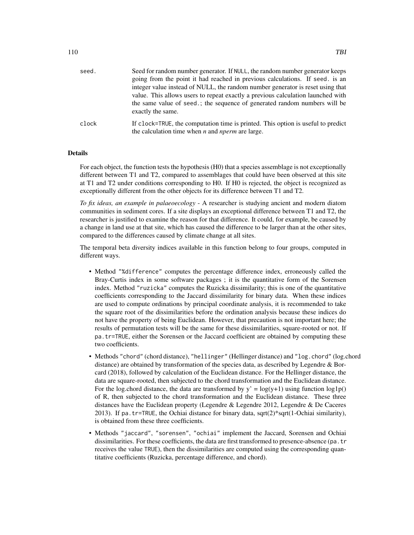| seed. | Seed for random number generator. If NULL, the random number generator keeps<br>going from the point it had reached in previous calculations. If seed, is an<br>integer value instead of NULL, the random number generator is reset using that<br>value. This allows users to repeat exactly a previous calculation launched with<br>the same value of seed.; the sequence of generated random numbers will be<br>exactly the same. |
|-------|-------------------------------------------------------------------------------------------------------------------------------------------------------------------------------------------------------------------------------------------------------------------------------------------------------------------------------------------------------------------------------------------------------------------------------------|
| clock | If clock=TRUE, the computation time is printed. This option is useful to predict<br>the calculation time when $n$ and <i>nperm</i> are large.                                                                                                                                                                                                                                                                                       |

#### Details

For each object, the function tests the hypothesis (H0) that a species assemblage is not exceptionally different between T1 and T2, compared to assemblages that could have been observed at this site at T1 and T2 under conditions corresponding to H0. If H0 is rejected, the object is recognized as exceptionally different from the other objects for its difference between T1 and T2.

*To fix ideas, an example in palaeoecology* - A researcher is studying ancient and modern diatom communities in sediment cores. If a site displays an exceptional difference between T1 and T2, the researcher is justified to examine the reason for that difference. It could, for example, be caused by a change in land use at that site, which has caused the difference to be larger than at the other sites, compared to the differences caused by climate change at all sites.

The temporal beta diversity indices available in this function belong to four groups, computed in different ways.

- Method "%difference" computes the percentage difference index, erroneously called the Bray-Curtis index in some software packages ; it is the quantitative form of the Sorensen index. Method "ruzicka" computes the Ruzicka dissimilarity; this is one of the quantitative coefficients corresponding to the Jaccard dissimilarity for binary data. When these indices are used to compute ordinations by principal coordinate analysis, it is recommended to take the square root of the dissimilarities before the ordination analysis because these indices do not have the property of being Euclidean. However, that precaution is not important here; the results of permutation tests will be the same for these dissimilarities, square-rooted or not. If pa.tr=TRUE, either the Sorensen or the Jaccard coefficient are obtained by computing these two coefficients.
- Methods "chord" (chord distance), "hellinger" (Hellinger distance) and "log.chord" (log.chord distance) are obtained by transformation of the species data, as described by Legendre & Borcard (2018), followed by calculation of the Euclidean distance. For the Hellinger distance, the data are square-rooted, then subjected to the chord transformation and the Euclidean distance. For the log.chord distance, the data are transformed by  $y' = log(y+1)$  using function  $log1p()$ of R, then subjected to the chord transformation and the Euclidean distance. These three distances have the Euclidean property (Legendre & Legendre 2012, Legendre & De Caceres 2013). If pa. tr=TRUE, the Ochiai distance for binary data, sqrt $(2)$ \*sqrt $(1$ -Ochiai similarity), is obtained from these three coefficients.
- Methods "jaccard", "sorensen", "ochiai" implement the Jaccard, Sorensen and Ochiai dissimilarities. For these coefficients, the data are first transformed to presence-absence (pa.tr receives the value TRUE), then the dissimilarities are computed using the corresponding quantitative coefficients (Ruzicka, percentage difference, and chord).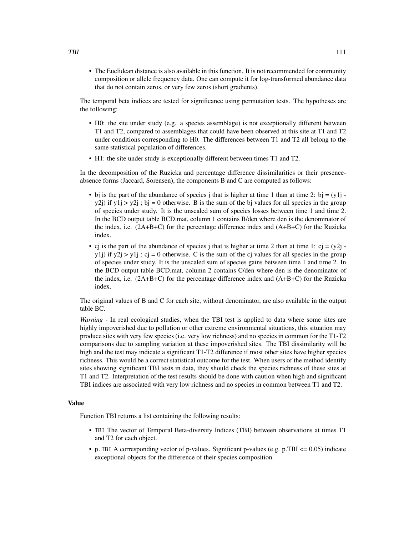• The Euclidean distance is also available in this function. It is not recommended for community composition or allele frequency data. One can compute it for log-transformed abundance data that do not contain zeros, or very few zeros (short gradients).

The temporal beta indices are tested for significance using permutation tests. The hypotheses are the following:

- H0: the site under study (e.g. a species assemblage) is not exceptionally different between T1 and T2, compared to assemblages that could have been observed at this site at T1 and T2 under conditions corresponding to H0. The differences between T1 and T2 all belong to the same statistical population of differences.
- H1: the site under study is exceptionally different between times T1 and T2.

In the decomposition of the Ruzicka and percentage difference dissimilarities or their presenceabsence forms (Jaccard, Sorensen), the components B and C are computed as follows:

- bj is the part of the abundance of species j that is higher at time 1 than at time 2: bj =  $(y1j$ y2j) if y1j > y2j; bj = 0 otherwise. B is the sum of the bj values for all species in the group of species under study. It is the unscaled sum of species losses between time 1 and time 2. In the BCD output table BCD.mat, column 1 contains B/den where den is the denominator of the index, i.e.  $(2A+B+C)$  for the percentage difference index and  $(A+B+C)$  for the Ruzicka index.
- cj is the part of the abundance of species j that is higher at time 2 than at time 1: cj =  $(y2j$ y1j) if y2j > y1j ; cj = 0 otherwise. C is the sum of the cj values for all species in the group of species under study. It is the unscaled sum of species gains between time 1 and time 2. In the BCD output table BCD.mat, column 2 contains C/den where den is the denominator of the index, i.e. (2A+B+C) for the percentage difference index and (A+B+C) for the Ruzicka index.

The original values of B and C for each site, without denominator, are also available in the output table BC.

*Warning* - In real ecological studies, when the TBI test is applied to data where some sites are highly impoverished due to pollution or other extreme environmental situations, this situation may produce sites with very few species (i.e. very low richness) and no species in common for the T1-T2 comparisons due to sampling variation at these impoverished sites. The TBI dissimilarity will be high and the test may indicate a significant T1-T2 difference if most other sites have higher species richness. This would be a correct statistical outcome for the test. When users of the method identify sites showing significant TBI tests in data, they should check the species richness of these sites at T1 and T2. Interpretation of the test results should be done with caution when high and significant TBI indices are associated with very low richness and no species in common between T1 and T2.

# Value

Function TBI returns a list containing the following results:

- TBI The vector of Temporal Beta-diversity Indices (TBI) between observations at times T1 and T2 for each object.
- p.TBI A corresponding vector of p-values. Significant p-values (e.g. p.TBI <= 0.05) indicate exceptional objects for the difference of their species composition.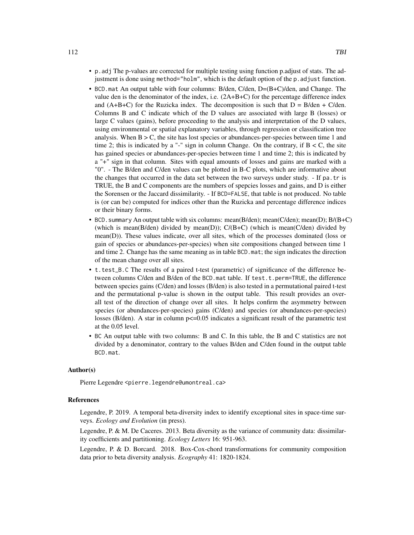- p.adj The p-values are corrected for multiple testing using function p.adjust of stats. The adjustment is done using method="holm", which is the default option of the p.adjust function.
- BCD.mat An output table with four columns: B/den, C/den, D=(B+C)/den, and Change. The value den is the denominator of the index, i.e. (2A+B+C) for the percentage difference index and  $(A+B+C)$  for the Ruzicka index. The decomposition is such that  $D = B/den + C/den$ . Columns B and C indicate which of the D values are associated with large B (losses) or large C values (gains), before proceeding to the analysis and interpretation of the D values, using environmental or spatial explanatory variables, through regression or classification tree analysis. When  $B > C$ , the site has lost species or abundances-per-species between time 1 and time 2; this is indicated by a "-" sign in column Change. On the contrary, if  $B < C$ , the site has gained species or abundances-per-species between time 1 and time 2; this is indicated by a "+" sign in that column. Sites with equal amounts of losses and gains are marked with a "0". - The B/den and C/den values can be plotted in B-C plots, which are informative about the changes that occurred in the data set between the two surveys under study. - If pa.tr is TRUE, the B and C components are the numbers of spepcies losses and gains, and D is either the Sorensen or the Jaccard dissimilarity. - If BCD=FALSE, that table is not produced. No table is (or can be) computed for indices other than the Ruzicka and percentage difference indices or their binary forms.
- BCD. summary An output table with six columns: mean(B/den); mean(C/den); mean(D); B/(B+C) (which is mean(B/den) divided by mean(D));  $C/(B+C)$  (which is mean(C/den) divided by mean(D)). These values indicate, over all sites, which of the processes dominated (loss or gain of species or abundances-per-species) when site compositions changed between time 1 and time 2. Change has the same meaning as in table BCD.mat; the sign indicates the direction of the mean change over all sites.
- t.test\_B.C The results of a paired t-test (parametric) of significance of the difference between columns C/den and B/den of the BCD.mat table. If test.t.perm=TRUE, the difference between species gains (C/den) and losses (B/den) is also tested in a permutational paired t-test and the permutational p-value is shown in the output table. This result provides an overall test of the direction of change over all sites. It helps confirm the asymmetry between species (or abundances-per-species) gains (C/den) and species (or abundances-per-species) losses (B/den). A star in column  $p \le 0.05$  indicates a significant result of the parametric test at the 0.05 level.
- BC An output table with two columns: B and C. In this table, the B and C statistics are not divided by a denominator, contrary to the values B/den and C/den found in the output table BCD.mat.

# Author(s)

Pierre Legendre <pierre.legendre@umontreal.ca>

# References

Legendre, P. 2019. A temporal beta-diversity index to identify exceptional sites in space-time surveys. *Ecology and Evolution* (in press).

Legendre, P. & M. De Caceres. 2013. Beta diversity as the variance of community data: dissimilarity coefficients and partitioning. *Ecology Letters* 16: 951-963.

Legendre, P. & D. Borcard. 2018. Box-Cox-chord transformations for community composition data prior to beta diversity analysis. *Ecography* 41: 1820-1824.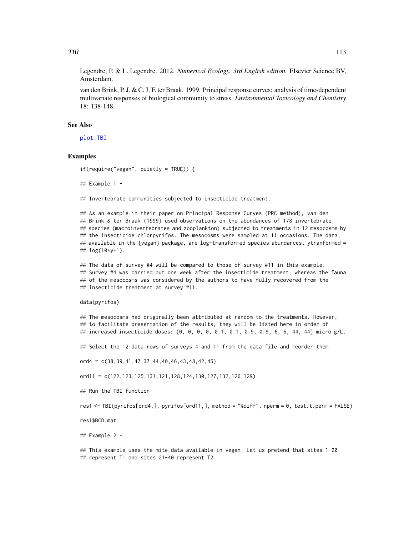<span id="page-112-0"></span>Legendre, P. & L. Legendre. 2012. *Numerical Ecology. 3rd English edition.* Elsevier Science BV, Amsterdam.

van den Brink, P. J. & C. J. F. ter Braak. 1999. Principal response curves: analysis of time-dependent multivariate responses of biological community to stress. *Environmental Toxicology and Chemistry* 18: 138-148.

# See Also

[plot.TBI](#page-93-0)

# Examples

```
if(require("vegan", quietly = TRUE)) {
```
## Example 1 -

## Invertebrate communities subjected to insecticide treatment.

## As an example in their paper on Principal Response Curves (PRC method), van den ## Brink & ter Braak (1999) used observations on the abundances of 178 invertebrate ## species (macroinvertebrates and zooplankton) subjected to treatments in 12 mesocosms by ## the insecticide chlorpyrifos. The mesocosms were sampled at 11 occasions. The data, ## available in the {vegan} package, are log-transformed species abundances, ytranformed = ## log(10\*y+1).

## The data of survey #4 will be compared to those of survey #11 in this example. ## Survey #4 was carried out one week after the insecticide treatment, whereas the fauna ## of the mesocosms was considered by the authors to have fully recovered from the ## insecticide treatment at survey #11.

data(pyrifos)

## The mesocosms had originally been attributed at random to the treatments. However, ## to facilitate presentation of the results, they will be listed here in order of ## increased insecticide doses: {0, 0, 0, 0, 0.1, 0.1, 0.9, 0.9, 6, 6, 44, 44} micro g/L.

## Select the 12 data rows of surveys 4 and 11 from the data file and reorder them

 $ord4 = c(38, 39, 41, 47, 37, 44, 40, 46, 43, 48, 42, 45)$ 

ord11 = c(122,123,125,131,121,128,124,130,127,132,126,129)

## Run the TBI function

res1 <- TBI(pyrifos[ord4,], pyrifos[ord11,], method = "%diff", nperm = 0, test.t.perm = FALSE)

res1\$BCD.mat

## Example 2 -

## This example uses the mite data available in vegan. Let us pretend that sites 1-20 ## represent T1 and sites 21-40 represent T2.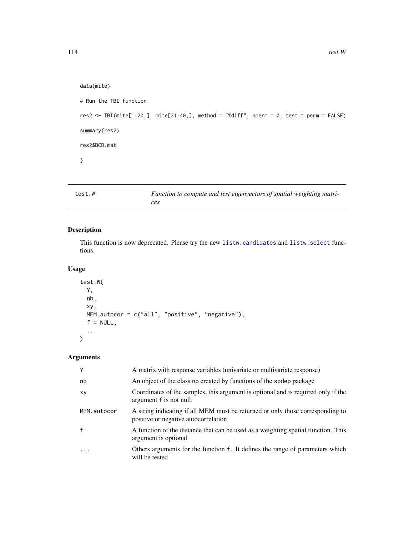```
data(mite)
# Run the TBI function
res2 <- TBI(mite[1:20,], mite[21:40,], method = "%diff", nperm = 0, test.t.perm = FALSE)
summary(res2)
res2$BCD.mat
}
```

| test.W | Function to compute and test eigenvectors of spatial weighting matri- |
|--------|-----------------------------------------------------------------------|
|        | ces                                                                   |

# Description

This function is now deprecated. Please try the new [listw.candidates](#page-51-0) and [listw.select](#page-55-0) functions.

# Usage

```
test.W(
  Y,
  nb,
  xy,
  MEM.autocor = c("all", "positive", "negative"),
  f = NULL,...
\mathcal{L}
```
# Arguments

| Y            | A matrix with response variables (univariate or multivariate response)                                                 |
|--------------|------------------------------------------------------------------------------------------------------------------------|
| nb           | An object of the class nb created by functions of the spdep package                                                    |
| XV           | Coordinates of the samples, this argument is optional and is required only if the<br>argument f is not null.           |
| MEM.autocor  | A string indicating if all MEM must be returned or only those corresponding to<br>positive or negative autocorrelation |
| $\mathbf{f}$ | A function of the distance that can be used as a weighting spatial function. This<br>argument is optional              |
|              | Others arguments for the function f. It defines the range of parameters which<br>will be tested                        |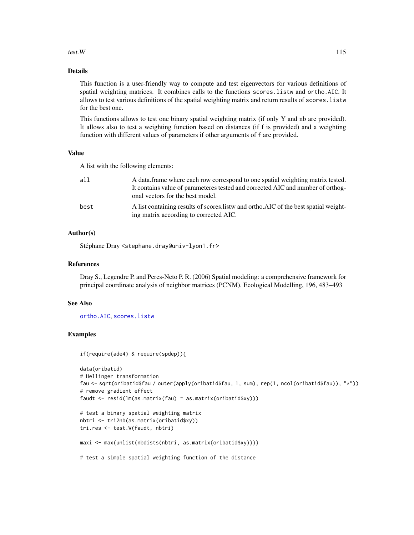# <span id="page-114-0"></span>test. W  $115$

# Details

This function is a user-friendly way to compute and test eigenvectors for various definitions of spatial weighting matrices. It combines calls to the functions scores.listw and ortho.AIC. It allows to test various definitions of the spatial weighting matrix and return results of scores.listw for the best one.

This functions allows to test one binary spatial weighting matrix (if only Y and nb are provided). It allows also to test a weighting function based on distances (if f is provided) and a weighting function with different values of parameters if other arguments of f are provided.

## Value

A list with the following elements:

| a11  | A data frame where each row correspond to one spatial weighting matrix tested.                                                  |
|------|---------------------------------------------------------------------------------------------------------------------------------|
|      | It contains value of parameteres tested and corrected AIC and number of orthog-<br>onal vectors for the best model.             |
| best | A list containing results of scores. Listw and ortho. AIC of the best spatial weight-<br>ing matrix according to corrected AIC. |

# Author(s)

Stéphane Dray <stephane.dray@univ-lyon1.fr>

# References

Dray S., Legendre P. and Peres-Neto P. R. (2006) Spatial modeling: a comprehensive framework for principal coordinate analysis of neighbor matrices (PCNM). Ecological Modelling, 196, 483–493

#### See Also

[ortho.AIC](#page-87-0), [scores.listw](#page-99-0)

# Examples

```
if(require(ade4) & require(spdep)){
```

```
data(oribatid)
# Hellinger transformation
fau <- sqrt(oribatid$fau / outer(apply(oribatid$fau, 1, sum), rep(1, ncol(oribatid$fau)), "*"))
# remove gradient effect
faudt <- resid(lm(as.matrix(fau) ~ as.matrix(oribatid$xy)))
# test a binary spatial weighting matrix
nbtri <- tri2nb(as.matrix(oribatid$xy))
tri.res <- test.W(faudt, nbtri)
maxi <- max(unlist(nbdists(nbtri, as.matrix(oribatid$xy))))
```
# test a simple spatial weighting function of the distance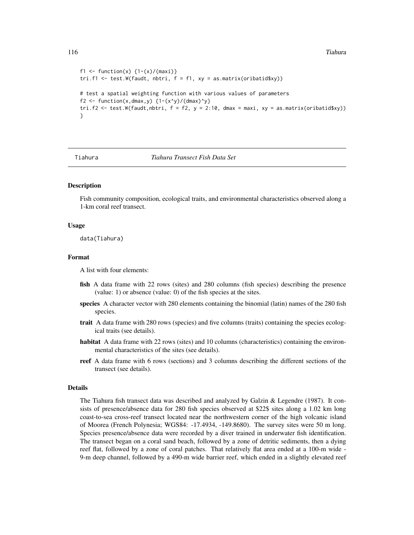```
f1 <- function(x) \{1-(x)/(maxi)\}tri.f1 \leftarrow test.W(faudt, nbtri, f = f1, xy = as.matrix(oribatid$xy))# test a spatial weighting function with various values of parameters
f2 <- function(x,dmax,y) {1-(x^y)/(dmax)^y}
tri.f2 \le test.W(faudt,nbtri, f = f2, y = 2:10, dmax = maxi, xy = as.matrix(oribatid$xy))
}
```
Tiahura *Tiahura Transect Fish Data Set*

# Description

Fish community composition, ecological traits, and environmental characteristics observed along a 1-km coral reef transect.

#### Usage

data(Tiahura)

#### Format

A list with four elements:

- fish A data frame with 22 rows (sites) and 280 columns (fish species) describing the presence (value: 1) or absence (value: 0) of the fish species at the sites.
- species A character vector with 280 elements containing the binomial (latin) names of the 280 fish species.
- trait A data frame with 280 rows (species) and five columns (traits) containing the species ecological traits (see details).
- habitat A data frame with 22 rows (sites) and 10 columns (characteristics) containing the environmental characteristics of the sites (see details).
- reef A data frame with 6 rows (sections) and 3 columns describing the different sections of the transect (see details).

#### Details

The Tiahura fish transect data was described and analyzed by Galzin & Legendre (1987). It consists of presence/absence data for 280 fish species observed at \$22\$ sites along a 1.02 km long coast-to-sea cross-reef transect located near the northwestern corner of the high volcanic island of Moorea (French Polynesia; WGS84: -17.4934, -149.8680). The survey sites were 50 m long. Species presence/absence data were recorded by a diver trained in underwater fish identification. The transect began on a coral sand beach, followed by a zone of detritic sediments, then a dying reef flat, followed by a zone of coral patches. That relatively flat area ended at a 100-m wide - 9-m deep channel, followed by a 490-m wide barrier reef, which ended in a slightly elevated reef

<span id="page-115-0"></span>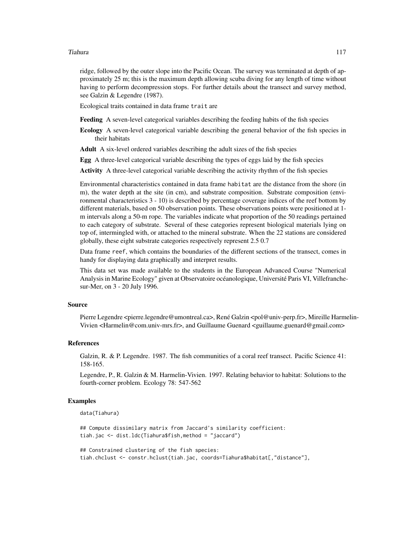#### Tiahura 117

ridge, followed by the outer slope into the Pacific Ocean. The survey was terminated at depth of approximately 25 m; this is the maximum depth allowing scuba diving for any length of time without having to perform decompression stops. For further details about the transect and survey method, see Galzin & Legendre (1987).

Ecological traits contained in data frame trait are

Feeding A seven-level categorical variables describing the feeding habits of the fish species

Ecology A seven-level categorical variable describing the general behavior of the fish species in their habitats

Adult A six-level ordered variables describing the adult sizes of the fish species

Egg A three-level categorical variable describing the types of eggs laid by the fish species

Activity A three-level categorical variable describing the activity rhythm of the fish species

Environmental characteristics contained in data frame habitat are the distance from the shore (in m), the water depth at the site (in cm), and substrate composition. Substrate composition (environmental characteristics 3 - 10) is described by percentage coverage indices of the reef bottom by different materials, based on 50 observation points. These observations points were positioned at 1 m intervals along a 50-m rope. The variables indicate what proportion of the 50 readings pertained to each category of substrate. Several of these categories represent biological materials lying on top of, intermingled with, or attached to the mineral substrate. When the 22 stations are considered globally, these eight substrate categories respectively represent 2.5 0.7

Data frame reef, which contains the boundaries of the different sections of the transect, comes in handy for displaying data graphically and interpret results.

This data set was made available to the students in the European Advanced Course "Numerical Analysis in Marine Ecology" given at Observatoire océanologique, Université Paris VI, Villefranchesur-Mer, on 3 - 20 July 1996.

# Source

Pierre Legendre <pierre.legendre@umontreal.ca>, René Galzin <pol@univ-perp.fr>, Mireille Harmelin-Vivien <Harmelin@com.univ-mrs.fr>, and Guillaume Guenard <guillaume.guenard@gmail.com>

#### References

Galzin, R. & P. Legendre. 1987. The fish communities of a coral reef transect. Pacific Science 41: 158-165.

Legendre, P., R. Galzin & M. Harmelin-Vivien. 1997. Relating behavior to habitat: Solutions to the fourth-corner problem. Ecology 78: 547-562

# Examples

```
data(Tiahura)
```
## Compute dissimilary matrix from Jaccard's similarity coefficient: tiah.jac <- dist.ldc(Tiahura\$fish,method = "jaccard")

## Constrained clustering of the fish species: tiah.chclust <- constr.hclust(tiah.jac, coords=Tiahura\$habitat[,"distance"],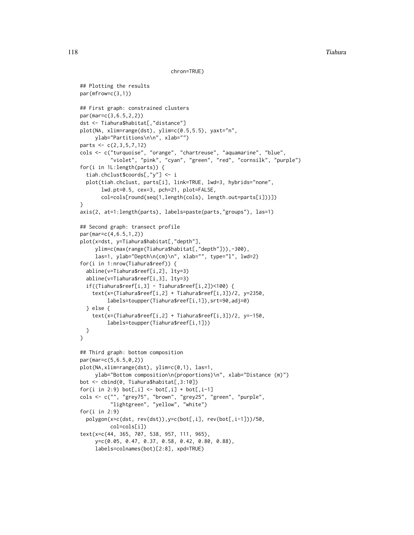```
chron=TRUE)
```

```
## Plotting the results
par(mfrow=c(3,1))
## First graph: constrained clusters
par(mar=c(3,6.5,2,2))
dst <- Tiahura$habitat[,"distance"]
plot(NA, xlim=range(dst), ylim=c(0.5,5.5), yaxt="n",
     ylab="Partitions\n\n", xlab="")
parts <- c(2,3,5,7,12)
cols <- c("turquoise", "orange", "chartreuse", "aquamarine", "blue",
          "violet", "pink", "cyan", "green", "red", "cornsilk", "purple")
for(i in 1L:length(parts)) {
  tiah.chclust$coords[,"y"] <- i
 plot(tiah.chclust, parts[i], link=TRUE, lwd=3, hybrids="none",
      lwd.pt=0.5, cex=3, pch=21, plot=FALSE,
      col=cols[round(seq(1,length(cols), length.out=parts[i]))])
}
axis(2, at=1:length(parts), labels=paste(parts,"groups"), las=1)
## Second graph: transect profile
par(mar=c(4,6.5,1,2))
plot(x=dst, y=Tiahura$habitat[,"depth"],
     ylim=c(max(range(Tiahura$habitat[,"depth"])),-300),
     las=1, ylab="Depth\n(cm)\n", xlab="", type="l", lwd=2)
for(i in 1:nrow(Tiahura$reef)) {
 abline(v=Tiahura$reef[i,2], lty=3)
 abline(v=Tiahura$reef[i,3], lty=3)
 if((Tiahura$reef[i,3] - Tiahura$reef[i,2])<100) {
    text(x=(Tiahura$reef[i,2] + Tiahura$reef[i,3])/2, y=2350,
         labels=toupper(Tiahura$reef[i,1]),srt=90,adj=0)
 } else {
    text(x=(Tiahura$reef[i,2] + Tiahura$reef[i,3])/2, y=-150,
         labels=toupper(Tiahura$reef[i,1]))
 }
}
## Third graph: bottom composition
par(mar=c(5,6.5,0,2))
plot(NA,xlim=range(dst), ylim=c(0,1), las=1,
     ylab="Bottom composition\n(proportions)\n", xlab="Distance (m)")
bot <- cbind(0, Tiahura$habitat[,3:10])
for(i in 2:9) bot[,i] <- bot[,i] + bot[,i-1]
cols <- c("", "grey75", "brown", "grey25", "green", "purple",
          "lightgreen", "yellow", "white")
for(i in 2:9)
 polygon(x=c(dst, rev(dst)),y=c(bot[,i], rev(bot[,i-1]))/50,
          col=cols[i])
text(x=c(44, 365, 707, 538, 957, 111, 965),
     y=c(0.05, 0.47, 0.37, 0.58, 0.42, 0.80, 0.88),
     labels=colnames(bot)[2:8], xpd=TRUE)
```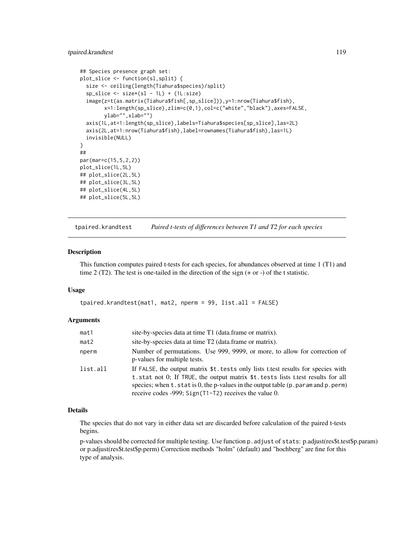# <span id="page-118-0"></span>tpaired.krandtest 119

```
## Species presence graph set:
plot_slice <- function(sl,split) {
 size <- ceiling(length(Tiahura$species)/split)
 sp\_slice \leftarrow size*(sl - 1L) + (1L: size)image(z=t(as.matrix(Tiahura$fish[,sp_slice])),y=1:nrow(Tiahura$fish),
        x=1:length(sp_slice),zlim=c(0,1),col=c("white","black"),axes=FALSE,
        ylab="",xlab="")
 axis(1L,at=1:length(sp_slice),labels=Tiahura$species[sp_slice],las=2L)
 axis(2L,at=1:nrow(Tiahura$fish),label=rownames(Tiahura$fish),las=1L)
 invisible(NULL)
}
##
par(mar=c(15,5,2,2))
plot_slice(1L,5L)
## plot_slice(2L,5L)
## plot_slice(3L,5L)
## plot_slice(4L,5L)
## plot_slice(5L,5L)
```
tpaired.krandtest *Paired t-tests of differences between T1 and T2 for each species*

# Description

This function computes paired t-tests for each species, for abundances observed at time 1 (T1) and time 2 (T2). The test is one-tailed in the direction of the sign  $(+ or -)$  of the t statistic.

#### Usage

```
tpaired.krandtest(mat1, mat2, nperm = 99, list.all = FALSE)
```
#### Arguments

| mat1     | site-by-species data at time T1 (data.frame or matrix).                                                                                                                                                                                                                                                                       |
|----------|-------------------------------------------------------------------------------------------------------------------------------------------------------------------------------------------------------------------------------------------------------------------------------------------------------------------------------|
| mat2     | site-by-species data at time T2 (data.frame or matrix).                                                                                                                                                                                                                                                                       |
| nperm    | Number of permutations. Use 999, 9999, or more, to allow for correction of<br>p-values for multiple tests.                                                                                                                                                                                                                    |
| list.all | If FALSE, the output matrix \$t.tests only lists t.test results for species with<br>t.stat not 0; If TRUE, the output matrix \$t.tests lists t.test results for all<br>species; when $t$ stat is 0, the p-values in the output table ( $p$ . param and $p$ . perm)<br>receive codes -999; $Sign(T1-T2)$ receives the value 0. |

# Details

The species that do not vary in either data set are discarded before calculation of the paired t-tests begins.

p-values should be corrected for multiple testing. Use function p.adjust of stats: p.adjust(res\$t.test\$p.param) or p.adjust(res\$t.test\$p.perm) Correction methods "holm" (default) and "hochberg" are fine for this type of analysis.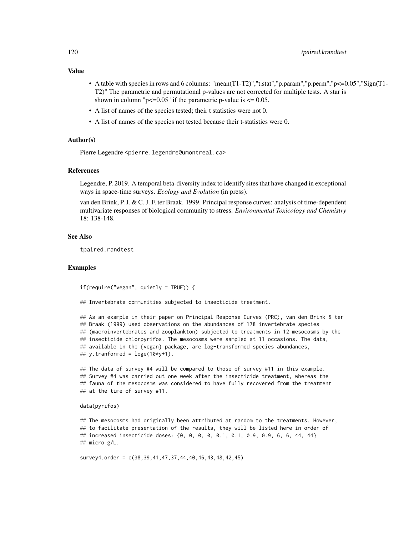# Value

- A table with species in rows and 6 columns: "mean(T1-T2)","t.stat","p.param","p.perm","p<=0.05","Sign(T1-T2)" The parametric and permutational p-values are not corrected for multiple tests. A star is shown in column " $p \le 0.05$ " if the parametric p-value is  $\le 0.05$ .
- A list of names of the species tested; their t statistics were not 0.
- A list of names of the species not tested because their t-statistics were 0.

# Author(s)

Pierre Legendre <pierre.legendre@umontreal.ca>

# References

Legendre, P. 2019. A temporal beta-diversity index to identify sites that have changed in exceptional ways in space-time surveys. *Ecology and Evolution* (in press).

van den Brink, P. J. & C. J. F. ter Braak. 1999. Principal response curves: analysis of time-dependent multivariate responses of biological community to stress. *Environmental Toxicology and Chemistry* 18: 138-148.

# See Also

tpaired.randtest

# Examples

if(require("vegan", quietly = TRUE)) {

## Invertebrate communities subjected to insecticide treatment.

## As an example in their paper on Principal Response Curves (PRC), van den Brink & ter ## Braak (1999) used observations on the abundances of 178 invertebrate species ## (macroinvertebrates and zooplankton) subjected to treatments in 12 mesocosms by the ## insecticide chlorpyrifos. The mesocosms were sampled at 11 occasions. The data, ## available in the {vegan} package, are log-transformed species abundances, ## y.tranformed =  $\log(e(10*y+1))$ .

## The data of survey #4 will be compared to those of survey #11 in this example. ## Survey #4 was carried out one week after the insecticide treatment, whereas the ## fauna of the mesocosms was considered to have fully recovered from the treatment ## at the time of survey #11.

#### data(pyrifos)

```
## The mesocosms had originally been attributed at random to the treatments. However,
## to facilitate presentation of the results, they will be listed here in order of
## increased insecticide doses: {0, 0, 0, 0, 0.1, 0.1, 0.9, 0.9, 6, 6, 44, 44}
## micro g/L.
```
survey4.order = c(38,39,41,47,37,44,40,46,43,48,42,45)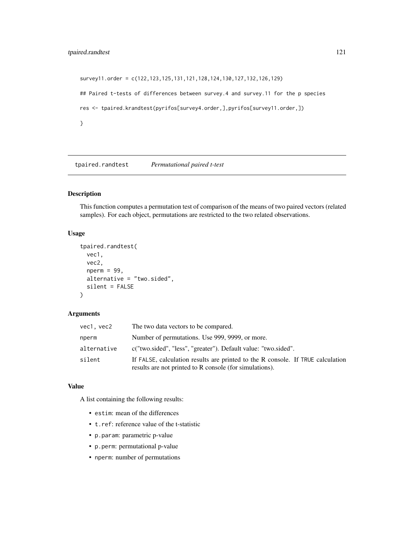# <span id="page-120-0"></span>tpaired.randtest 121

```
survey11.order = c(122,123,125,131,121,128,124,130,127,132,126,129)
## Paired t-tests of differences between survey.4 and survey.11 for the p species
res <- tpaired.krandtest(pyrifos[survey4.order,],pyrifos[survey11.order,])
}
```
tpaired.randtest *Permutational paired t-test*

# Description

This function computes a permutation test of comparison of the means of two paired vectors (related samples). For each object, permutations are restricted to the two related observations.

# Usage

```
tpaired.randtest(
 vec1,
 vec2,
  nperm = 99,alternative = "two.sided",
  silent = FALSE
)
```
# Arguments

| vec1, vec2  | The two data vectors to be compared.                                                                                                       |
|-------------|--------------------------------------------------------------------------------------------------------------------------------------------|
| nperm       | Number of permutations. Use 999, 9999, or more.                                                                                            |
| alternative | c("two.sided", "less", "greater"). Default value: "two.sided".                                                                             |
| silent      | If FALSE, calculation results are printed to the R console. If TRUE calculation<br>results are not printed to R console (for simulations). |

# Value

A list containing the following results:

- estim: mean of the differences
- t.ref: reference value of the t-statistic
- p.param: parametric p-value
- p.perm: permutational p-value
- nperm: number of permutations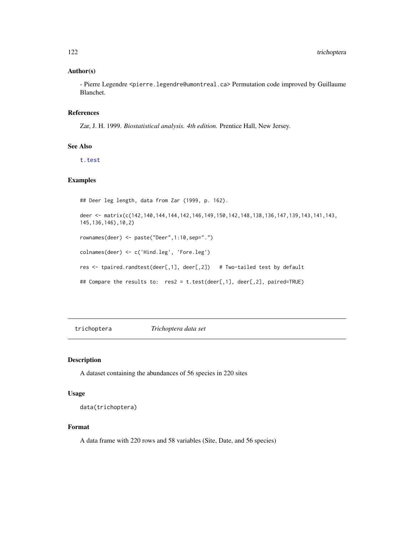# <span id="page-121-0"></span>Author(s)

- Pierre Legendre <pierre.legendre@umontreal.ca> Permutation code improved by Guillaume Blanchet.

# References

Zar, J. H. 1999. *Biostatistical analysis. 4th edition.* Prentice Hall, New Jersey.

# See Also

[t.test](#page-0-0)

# Examples

```
## Deer leg length, data from Zar (1999, p. 162).
deer <- matrix(c(142,140,144,144,142,146,149,150,142,148,138,136,147,139,143,141,143,
145,136,146),10,2)
rownames(deer) <- paste("Deer",1:10,sep=".")
colnames(deer) <- c('Hind.leg', 'Fore.leg')
res <- tpaired.randtest(deer[,1], deer[,2]) # Two-tailed test by default
## Compare the results to: res2 = t.test(deer[,1], deer[,2], paired=TRUE)
```
trichoptera *Trichoptera data set*

# Description

A dataset containing the abundances of 56 species in 220 sites

# Usage

data(trichoptera)

# Format

A data frame with 220 rows and 58 variables (Site, Date, and 56 species)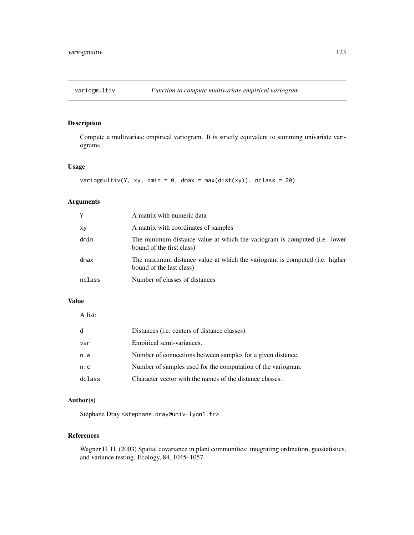<span id="page-122-0"></span>

# Description

Compute a multivariate empirical variogram. It is strictly equivalent to summing univariate variograms

# Usage

```
variogmultiv(Y, xy, dmin = 0, dmax = max(dist(xy)), nclass = 20)
```
# Arguments

| Y      | A matrix with numeric data                                                                             |
|--------|--------------------------------------------------------------------------------------------------------|
| xy     | A matrix with coordinates of samples                                                                   |
| dmin   | The minimum distance value at which the variogram is computed (i.e. lower<br>bound of the first class) |
| dmax   | The maximum distance value at which the variogram is computed (i.e. higher<br>bound of the last class) |
| nclass | Number of classes of distances                                                                         |

# Value

A list:

| d      | Distances ( <i>i.e.</i> centers of distance classes).        |
|--------|--------------------------------------------------------------|
| var    | Empirical semi-variances.                                    |
| n.w    | Number of connections between samples for a given distance.  |
| n.c    | Number of samples used for the computation of the variogram. |
| dclass | Character vector with the names of the distance classes.     |

# Author(s)

Stéphane Dray <stephane.dray@univ-lyon1.fr>

# References

Wagner H. H. (2003) Spatial covariance in plant communities: integrating ordination, geostatistics, and variance testing. Ecology, 84, 1045–1057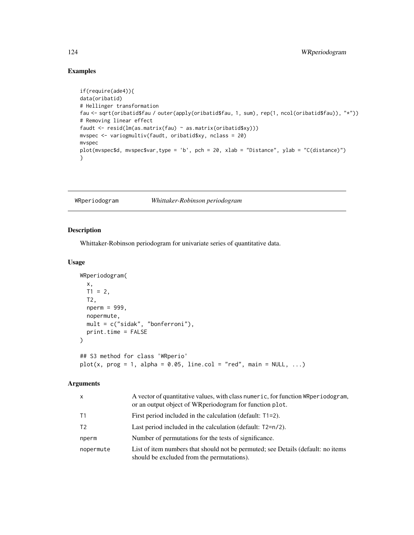# Examples

```
if(require(ade4)){
data(oribatid)
# Hellinger transformation
fau <- sqrt(oribatid$fau / outer(apply(oribatid$fau, 1, sum), rep(1, ncol(oribatid$fau)), "*"))
# Removing linear effect
faudt <- resid(lm(as.matrix(fau) ~ as.matrix(oribatid$xy)))
mvspec <- variogmultiv(faudt, oribatid$xy, nclass = 20)
mvspec
plot(mvspec$d, mvspec$var,type = 'b', pch = 20, xlab = "Distance", ylab = "C(distance)")
}
```
# WRperiodogram *Whittaker-Robinson periodogram*

# Description

Whittaker-Robinson periodogram for univariate series of quantitative data.

#### Usage

```
WRperiodogram(
  x,
 T1 = 2,
 T2,
  nperm = 999,
 nopermute,
 mult = c("sidak", "bonferroni"),
 print.time = FALSE
)
## S3 method for class 'WRperio'
plot(x, prog = 1, alpha = 0.05, line.col = "red", main = NULL, ...)
```
# Arguments

| $\mathsf{x}$   | A vector of quantitative values, with class numeric, for function WRperiodogram,<br>or an output object of WRperiodogram for function plot. |
|----------------|---------------------------------------------------------------------------------------------------------------------------------------------|
| T1             | First period included in the calculation (default: $T1=2$ ).                                                                                |
| T <sub>2</sub> | Last period included in the calculation (default: $T2=n/2$ ).                                                                               |
| nperm          | Number of permutations for the tests of significance.                                                                                       |
| nopermute      | List of item numbers that should not be permuted; see Details (default: no items<br>should be excluded from the permutations).              |

<span id="page-123-0"></span>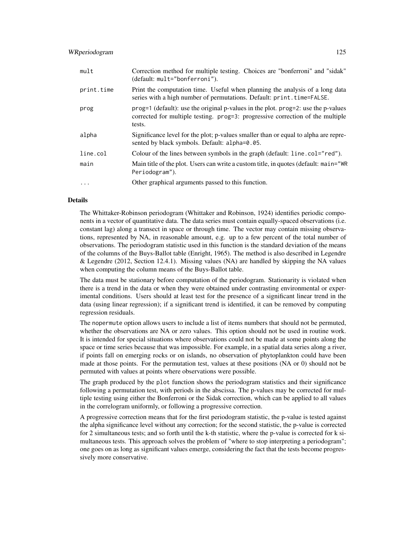# WRperiodogram 125

| mult       | Correction method for multiple testing. Choices are "bonferroni" and "sidak"<br>(default: mult="bonferroni").                                                             |
|------------|---------------------------------------------------------------------------------------------------------------------------------------------------------------------------|
| print.time | Print the computation time. Useful when planning the analysis of a long data<br>series with a high number of permutations. Default: print.time=FALSE.                     |
| prog       | $prog=1$ (default): use the original p-values in the plot. $prog=2$ : use the p-values<br>corrected for multiple testing. progestive correction of the multiple<br>tests. |
| alpha      | Significance level for the plot; p-values smaller than or equal to alpha are repre-<br>sented by black symbols. Default: alpha=0.05.                                      |
| line.col   | Colour of the lines between symbols in the graph (default: line.col="red").                                                                                               |
| main       | Main title of the plot. Users can write a custom title, in quotes (default: main="WR<br>Periodogram").                                                                    |
| $\ddotsc$  | Other graphical arguments passed to this function.                                                                                                                        |

# Details

The Whittaker-Robinson periodogram (Whittaker and Robinson, 1924) identifies periodic components in a vector of quantitative data. The data series must contain equally-spaced observations (i.e. constant lag) along a transect in space or through time. The vector may contain missing observations, represented by NA, in reasonable amount, e.g. up to a few percent of the total number of observations. The periodogram statistic used in this function is the standard deviation of the means of the columns of the Buys-Ballot table (Enright, 1965). The method is also described in Legendre & Legendre (2012, Section 12.4.1). Missing values (NA) are handled by skipping the NA values when computing the column means of the Buys-Ballot table.

The data must be stationary before computation of the periodogram. Stationarity is violated when there is a trend in the data or when they were obtained under contrasting environmental or experimental conditions. Users should at least test for the presence of a significant linear trend in the data (using linear regression); if a significant trend is identified, it can be removed by computing regression residuals.

The nopermute option allows users to include a list of items numbers that should not be permuted, whether the observations are NA or zero values. This option should not be used in routine work. It is intended for special situations where observations could not be made at some points along the space or time series because that was impossible. For example, in a spatial data series along a river, if points fall on emerging rocks or on islands, no observation of phytoplankton could have been made at those points. For the permutation test, values at these positions (NA or 0) should not be permuted with values at points where observations were possible.

The graph produced by the plot function shows the periodogram statistics and their significance following a permutation test, with periods in the abscissa. The p-values may be corrected for multiple testing using either the Bonferroni or the Sidak correction, which can be applied to all values in the correlogram uniformly, or following a progressive correction.

A progressive correction means that for the first periodogram statistic, the p-value is tested against the alpha significance level without any correction; for the second statistic, the p-value is corrected for 2 simultaneous tests; and so forth until the k-th statistic, where the p-value is corrected for k simultaneous tests. This approach solves the problem of "where to stop interpreting a periodogram"; one goes on as long as significant values emerge, considering the fact that the tests become progressively more conservative.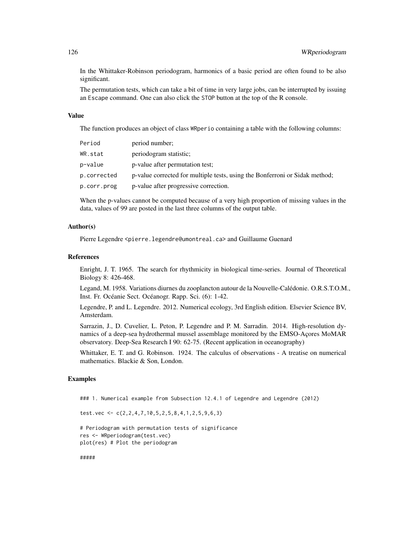In the Whittaker-Robinson periodogram, harmonics of a basic period are often found to be also significant.

The permutation tests, which can take a bit of time in very large jobs, can be interrupted by issuing an Escape command. One can also click the STOP button at the top of the R console.

#### Value

The function produces an object of class WRperio containing a table with the following columns:

| Period      | period number;                                                              |
|-------------|-----------------------------------------------------------------------------|
| WR.stat     | periodogram statistic;                                                      |
| p−value     | p-value after permutation test;                                             |
| p.corrected | p-value corrected for multiple tests, using the Bonferroni or Sidak method; |
| p.corr.prog | p-value after progressive correction.                                       |

When the p-values cannot be computed because of a very high proportion of missing values in the data, values of 99 are posted in the last three columns of the output table.

# Author(s)

Pierre Legendre <pierre.legendre@umontreal.ca> and Guillaume Guenard

#### References

Enright, J. T. 1965. The search for rhythmicity in biological time-series. Journal of Theoretical Biology 8: 426-468.

Legand, M. 1958. Variations diurnes du zooplancton autour de la Nouvelle-Calédonie. O.R.S.T.O.M., Inst. Fr. Océanie Sect. Océanogr. Rapp. Sci. (6): 1-42.

Legendre, P. and L. Legendre. 2012. Numerical ecology, 3rd English edition. Elsevier Science BV, Amsterdam.

Sarrazin, J., D. Cuvelier, L. Peton, P. Legendre and P. M. Sarradin. 2014. High-resolution dynamics of a deep-sea hydrothermal mussel assemblage monitored by the EMSO-Açores MoMAR observatory. Deep-Sea Research I 90: 62-75. (Recent application in oceanography)

Whittaker, E. T. and G. Robinson. 1924. The calculus of observations - A treatise on numerical mathematics. Blackie & Son, London.

# Examples

### 1. Numerical example from Subsection 12.4.1 of Legendre and Legendre (2012)

```
test.vec <- c(2,2,4,7,10,5,2,5,8,4,1,2,5,9,6,3)
```
# Periodogram with permutation tests of significance res <- WRperiodogram(test.vec) plot(res) # Plot the periodogram

#####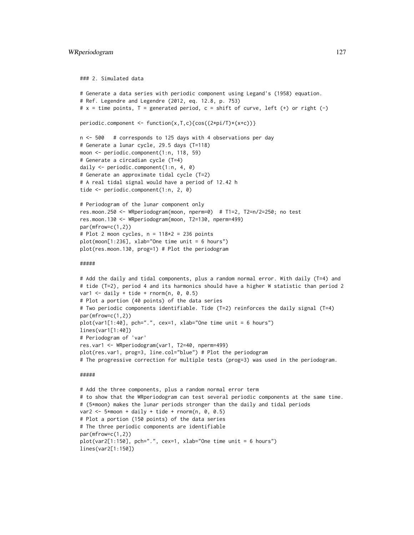### 2. Simulated data

```
# Generate a data series with periodic component using Legand's (1958) equation.
# Ref. Legendre and Legendre (2012, eq. 12.8, p. 753)
# x = time points, T = generated period, c = shift of curve, left (+) or right (-)
periodic.component <- function(x,T,c){cos((2*pi/T)*(x+c))}
n <- 500 # corresponds to 125 days with 4 observations per day
# Generate a lunar cycle, 29.5 days (T=118)
moon <- periodic.component(1:n, 118, 59)
# Generate a circadian cycle (T=4)
daily <- periodic.component(1:n, 4, 0)
# Generate an approximate tidal cycle (T=2)
# A real tidal signal would have a period of 12.42 h
tide <- periodic.component(1:n, 2, 0)
# Periodogram of the lunar component only
res.moon.250 <- WRperiodogram(moon, nperm=0) # T1=2, T2=n/2=250; no test
res.moon.130 <- WRperiodogram(moon, T2=130, nperm=499)
par(mfrow=c(1,2))
# Plot 2 moon cycles, n = 118*2 = 236 points
plot(moon[1:236], xlab="One time unit = 6 hours")
plot(res.moon.130, prog=1) # Plot the periodogram
#####
# Add the daily and tidal components, plus a random normal error. With daily (T=4) and
# tide (T=2), period 4 and its harmonics should have a higher W statistic than period 2
var1 \le daily + tide + rnorm(n, 0, 0.5)
# Plot a portion (40 points) of the data series
# Two periodic components identifiable. Tide (T=2) reinforces the daily signal (T=4)
par(mfrow=c(1,2))
plot(var1[1:40], pch=".", cex=1, xlab="One time unit = 6 hours")
lines(var1[1:40])
# Periodogram of 'var'
res.var1 <- WRperiodogram(var1, T2=40, nperm=499)
plot(res.var1, prog=3, line.col="blue") # Plot the periodogram
# The progressive correction for multiple tests (prog=3) was used in the periodogram.
#####
# Add the three components, plus a random normal error term
# to show that the WRperiodogram can test several periodic components at the same time.
# (5*moon) makes the lunar periods stronger than the daily and tidal periods
var2 \le 5*moon + daily + tide + rnorm(n, 0, 0.5)
# Plot a portion (150 points) of the data series
```

```
plot(var2[1:150], pch=".", cex=1, xlab="One time unit = 6 hours")
lines(var2[1:150])
```
par(mfrow=c(1,2))

# The three periodic components are identifiable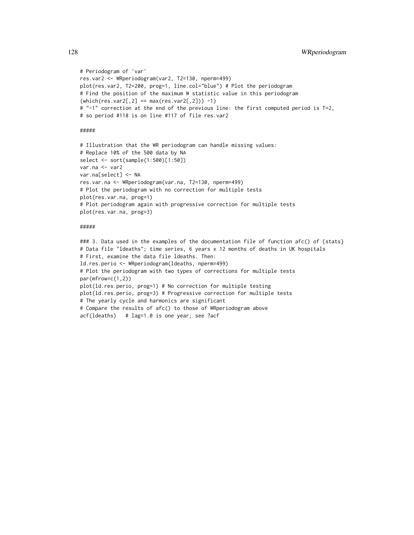```
# Periodogram of 'var'
res.var2 <- WRperiodogram(var2, T2=130, nperm=499)
plot(res.var2, T2=200, prog=1, line.col="blue") # Plot the periodogram
# Find the position of the maximum W statistic value in this periodogram
(\text{which}(\text{res}.\text{var2}[,2] == \text{max}(\text{res}.\text{var2}[,2])) -1)# "-1" correction at the end of the previous line: the first computed period is T=2,
# so period #118 is on line #117 of file res.var2
```
#####

```
# Illustration that the WR periodogram can handle missing values:
# Replace 10% of the 500 data by NA
select <- sort(sample(1:500)[1:50])
var.na <- var2
var.na[select] <- NA
res.var.na <- WRperiodogram(var.na, T2=130, nperm=499)
# Plot the periodogram with no correction for multiple tests
plot(res.var.na, prog=1)
# Plot periodogram again with progressive correction for multiple tests
plot(res.var.na, prog=3)
```
#### #####

### 3. Data used in the examples of the documentation file of function afc() of {stats} # Data file "ldeaths"; time series, 6 years x 12 months of deaths in UK hospitals # First, examine the data file ldeaths. Then: ld.res.perio <- WRperiodogram(ldeaths, nperm=499) # Plot the periodogram with two types of corrections for multiple tests par(mfrow=c(1,2)) plot(ld.res.perio, prog=1) # No correction for multiple testing plot(ld.res.perio, prog=3) # Progressive correction for multiple tests # The yearly cycle and harmonics are significant # Compare the results of afc() to those of WRperiodogram above acf(ldeaths) # lag=1.0 is one year; see ?acf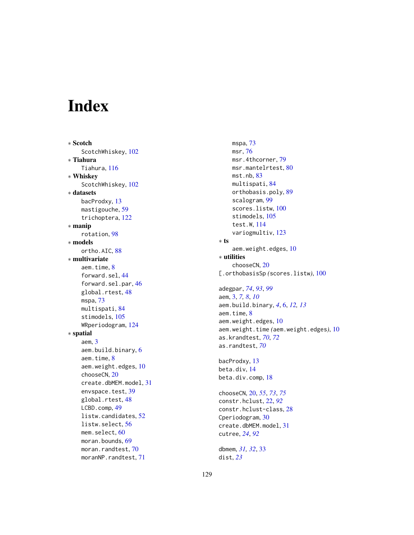# Index

∗ Scotch ScotchWhiskey , [102](#page-101-0) ∗ Tiahura Tiahura , [116](#page-115-0) ∗ Whiskey ScotchWhiskey , [102](#page-101-0) ∗ datasets bacProdxy , [13](#page-12-0) mastigouche , [59](#page-58-0) trichoptera , [122](#page-121-0) ∗ manip rotation , [98](#page-97-0) ∗ models ortho.AIC, [88](#page-87-1) ∗ multivariate aem.time , [8](#page-7-0) forward.sel , [44](#page-43-0) forward.sel.par , [46](#page-45-0) global.rtest, [48](#page-47-0) mspa , [73](#page-72-0) multispati , [84](#page-83-0) stimodels , [105](#page-104-0) WRperiodogram , [124](#page-123-0) ∗ spatial aem , [3](#page-2-0) aem.build.binary , [6](#page-5-0) aem.time , [8](#page-7-0) aem.weight.edges, [10](#page-9-0) chooseCN , [20](#page-19-0) create.dbMEM.model , [31](#page-30-0) envspace.test, [39](#page-38-0) global.rtest, [48](#page-47-0) LCBD.comp , [49](#page-48-0) listw.candidates , [52](#page-51-1) listw.select , [56](#page-55-1) mem.select,  $60$ moran.bounds, <mark>[69](#page-68-0)</mark> moran.randtest,[70](#page-69-0) moranNP.randtest , [71](#page-70-0)

mspa , [73](#page-72-0) msr , [76](#page-75-0) msr.4thcorner,[79](#page-78-0) msr.mantelrtest, $80$ mst.nb, [83](#page-82-0) multispati, [84](#page-83-0) orthobasis.poly , [89](#page-88-0) scalogram , [99](#page-98-0) scores.listw, [100](#page-99-1) stimodels , [105](#page-104-0) test.W , [114](#page-113-0) variogmultiv , [123](#page-122-0) ∗ ts aem.weight.edges , [10](#page-9-0) ∗ utilities chooseCN , [20](#page-19-0) [.orthobasisSp(scores.listw), [100](#page-99-1) adegpar , *[74](#page-73-0)* , *[93](#page-92-0)* , *[99](#page-98-0)* aem , [3](#page-2-0) , *[7,](#page-6-0) [8](#page-7-0)* , *[10](#page-9-0)* aem.build.binary , *[4](#page-3-0)* , [6](#page-5-0) , *[12](#page-11-0) , [13](#page-12-0)* aem.time , [8](#page-7-0) aem.weight.edges , [10](#page-9-0) aem.weight.time *(*aem.weight.edges *)* , [10](#page-9-0) as.krandtest , *[70](#page-69-0)* , *[72](#page-71-0)* as.randtest , *[70](#page-69-0)* bacProdxy , [13](#page-12-0) beta.div , [14](#page-13-0) beta.div.comp, [18](#page-17-0) chooseCN , [20](#page-19-0) , *[55](#page-54-0)* , *[73](#page-72-0)* , *[75](#page-74-0)* constr.hclust , [22](#page-21-0) , *[92](#page-91-0)* constr.hclust-class , [28](#page-27-0) Cperiodogram, [30](#page-29-0) create.dbMEM.model , [31](#page-30-0) cutree , *[24](#page-23-0)* , *[92](#page-91-0)* dbmem , *[31](#page-30-0) , [32](#page-31-0)* , [33](#page-32-0) dist , *[23](#page-22-0)*